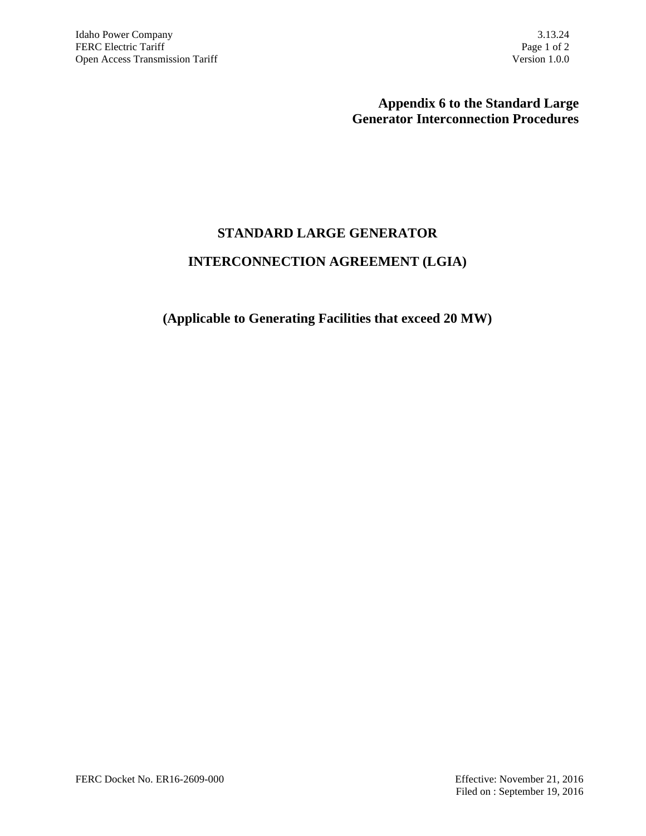## **Appendix 6 to the Standard Large Generator Interconnection Procedures**

# **STANDARD LARGE GENERATOR**

# **INTERCONNECTION AGREEMENT (LGIA)**

### **(Applicable to Generating Facilities that exceed 20 MW)**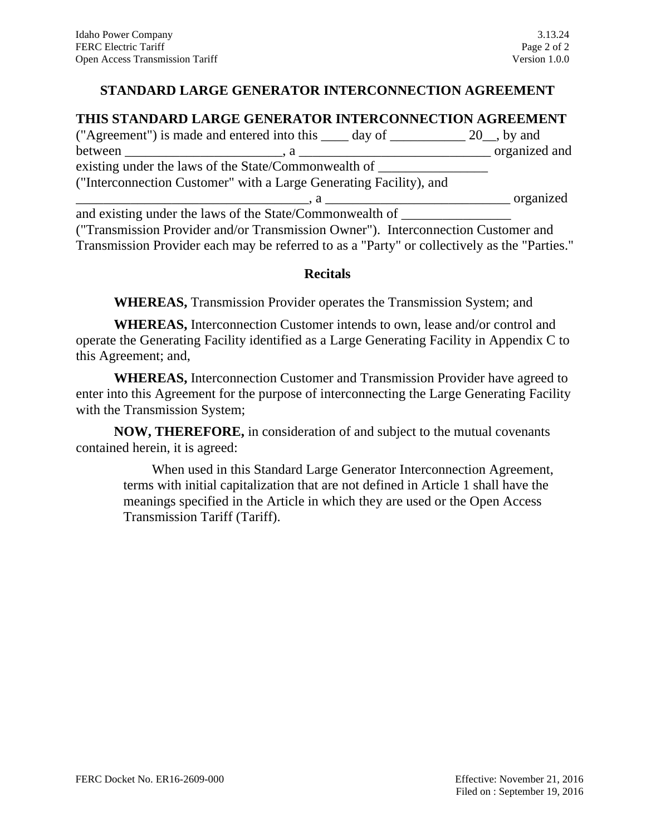## **STANDARD LARGE GENERATOR INTERCONNECTION AGREEMENT**

### **THIS STANDARD LARGE GENERATOR INTERCONNECTION AGREEMENT**

| ("Agreement") is made and entered into this _____ day of _____________ 20__, by and                                                                                                                                                                                                           |               |
|-----------------------------------------------------------------------------------------------------------------------------------------------------------------------------------------------------------------------------------------------------------------------------------------------|---------------|
|                                                                                                                                                                                                                                                                                               | organized and |
| existing under the laws of the State/Commonwealth of _________                                                                                                                                                                                                                                |               |
| ("Interconnection Customer" with a Large Generating Facility), and                                                                                                                                                                                                                            |               |
| $\mathbf{a}$ , and the state of $\mathbf{a}$ and $\mathbf{a}$ and $\mathbf{a}$ and $\mathbf{a}$ and $\mathbf{a}$ and $\mathbf{a}$ and $\mathbf{a}$ and $\mathbf{a}$ and $\mathbf{a}$ and $\mathbf{a}$ and $\mathbf{a}$ and $\mathbf{a}$ and $\mathbf{a}$ and $\mathbf{a}$ and $\mathbf{a}$ an | organized     |
|                                                                                                                                                                                                                                                                                               |               |
| ("Transmission Provider and/or Transmission Owner"). Interconnection Customer and                                                                                                                                                                                                             |               |

Transmission Provider each may be referred to as a "Party" or collectively as the "Parties."

#### **Recitals**

**WHEREAS,** Transmission Provider operates the Transmission System; and

**WHEREAS,** Interconnection Customer intends to own, lease and/or control and operate the Generating Facility identified as a Large Generating Facility in Appendix C to this Agreement; and,

**WHEREAS,** Interconnection Customer and Transmission Provider have agreed to enter into this Agreement for the purpose of interconnecting the Large Generating Facility with the Transmission System;

**NOW, THEREFORE,** in consideration of and subject to the mutual covenants contained herein, it is agreed:

When used in this Standard Large Generator Interconnection Agreement, terms with initial capitalization that are not defined in Article 1 shall have the meanings specified in the Article in which they are used or the Open Access Transmission Tariff (Tariff).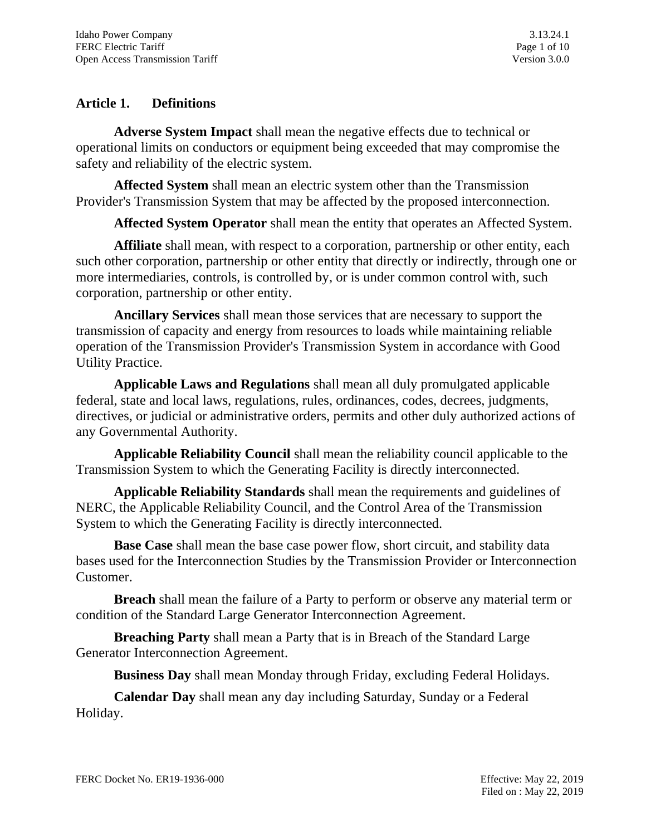# **Article 1. Definitions**

**Adverse System Impact** shall mean the negative effects due to technical or operational limits on conductors or equipment being exceeded that may compromise the safety and reliability of the electric system.

**Affected System** shall mean an electric system other than the Transmission Provider's Transmission System that may be affected by the proposed interconnection.

**Affected System Operator** shall mean the entity that operates an Affected System.

**Affiliate** shall mean, with respect to a corporation, partnership or other entity, each such other corporation, partnership or other entity that directly or indirectly, through one or more intermediaries, controls, is controlled by, or is under common control with, such corporation, partnership or other entity.

**Ancillary Services** shall mean those services that are necessary to support the transmission of capacity and energy from resources to loads while maintaining reliable operation of the Transmission Provider's Transmission System in accordance with Good Utility Practice.

**Applicable Laws and Regulations** shall mean all duly promulgated applicable federal, state and local laws, regulations, rules, ordinances, codes, decrees, judgments, directives, or judicial or administrative orders, permits and other duly authorized actions of any Governmental Authority.

**Applicable Reliability Council** shall mean the reliability council applicable to the Transmission System to which the Generating Facility is directly interconnected.

**Applicable Reliability Standards** shall mean the requirements and guidelines of NERC, the Applicable Reliability Council, and the Control Area of the Transmission System to which the Generating Facility is directly interconnected.

**Base Case** shall mean the base case power flow, short circuit, and stability data bases used for the Interconnection Studies by the Transmission Provider or Interconnection Customer.

**Breach** shall mean the failure of a Party to perform or observe any material term or condition of the Standard Large Generator Interconnection Agreement.

**Breaching Party** shall mean a Party that is in Breach of the Standard Large Generator Interconnection Agreement.

**Business Day** shall mean Monday through Friday, excluding Federal Holidays.

**Calendar Day** shall mean any day including Saturday, Sunday or a Federal Holiday.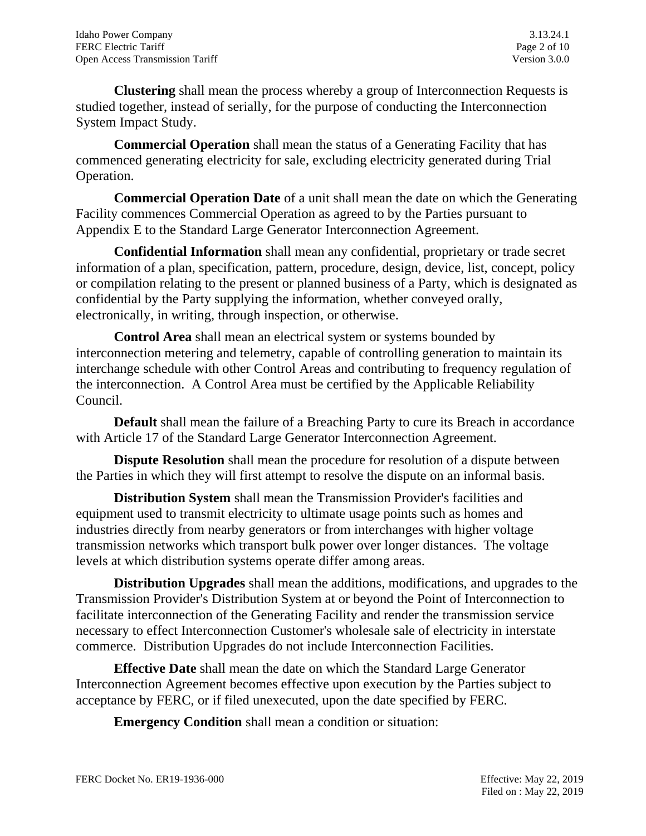**Clustering** shall mean the process whereby a group of Interconnection Requests is studied together, instead of serially, for the purpose of conducting the Interconnection System Impact Study.

**Commercial Operation** shall mean the status of a Generating Facility that has commenced generating electricity for sale, excluding electricity generated during Trial Operation.

**Commercial Operation Date** of a unit shall mean the date on which the Generating Facility commences Commercial Operation as agreed to by the Parties pursuant to Appendix E to the Standard Large Generator Interconnection Agreement.

**Confidential Information** shall mean any confidential, proprietary or trade secret information of a plan, specification, pattern, procedure, design, device, list, concept, policy or compilation relating to the present or planned business of a Party, which is designated as confidential by the Party supplying the information, whether conveyed orally, electronically, in writing, through inspection, or otherwise.

**Control Area** shall mean an electrical system or systems bounded by interconnection metering and telemetry, capable of controlling generation to maintain its interchange schedule with other Control Areas and contributing to frequency regulation of the interconnection. A Control Area must be certified by the Applicable Reliability Council.

**Default** shall mean the failure of a Breaching Party to cure its Breach in accordance with Article 17 of the Standard Large Generator Interconnection Agreement.

**Dispute Resolution** shall mean the procedure for resolution of a dispute between the Parties in which they will first attempt to resolve the dispute on an informal basis.

**Distribution System** shall mean the Transmission Provider's facilities and equipment used to transmit electricity to ultimate usage points such as homes and industries directly from nearby generators or from interchanges with higher voltage transmission networks which transport bulk power over longer distances. The voltage levels at which distribution systems operate differ among areas.

**Distribution Upgrades** shall mean the additions, modifications, and upgrades to the Transmission Provider's Distribution System at or beyond the Point of Interconnection to facilitate interconnection of the Generating Facility and render the transmission service necessary to effect Interconnection Customer's wholesale sale of electricity in interstate commerce. Distribution Upgrades do not include Interconnection Facilities.

**Effective Date** shall mean the date on which the Standard Large Generator Interconnection Agreement becomes effective upon execution by the Parties subject to acceptance by FERC, or if filed unexecuted, upon the date specified by FERC.

**Emergency Condition** shall mean a condition or situation: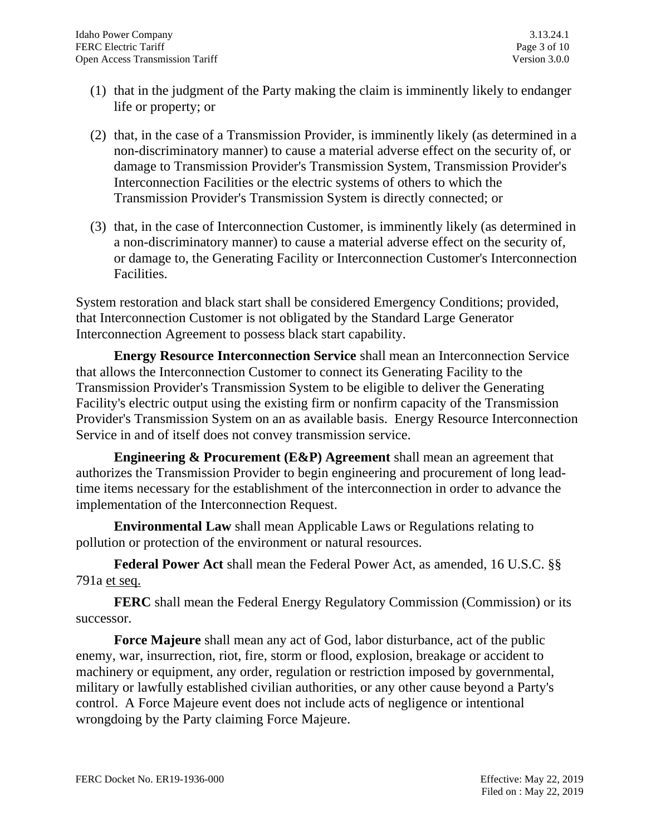- (1) that in the judgment of the Party making the claim is imminently likely to endanger life or property; or
- (2) that, in the case of a Transmission Provider, is imminently likely (as determined in a non-discriminatory manner) to cause a material adverse effect on the security of, or damage to Transmission Provider's Transmission System, Transmission Provider's Interconnection Facilities or the electric systems of others to which the Transmission Provider's Transmission System is directly connected; or
- (3) that, in the case of Interconnection Customer, is imminently likely (as determined in a non-discriminatory manner) to cause a material adverse effect on the security of, or damage to, the Generating Facility or Interconnection Customer's Interconnection Facilities.

System restoration and black start shall be considered Emergency Conditions; provided, that Interconnection Customer is not obligated by the Standard Large Generator Interconnection Agreement to possess black start capability.

**Energy Resource Interconnection Service** shall mean an Interconnection Service that allows the Interconnection Customer to connect its Generating Facility to the Transmission Provider's Transmission System to be eligible to deliver the Generating Facility's electric output using the existing firm or nonfirm capacity of the Transmission Provider's Transmission System on an as available basis. Energy Resource Interconnection Service in and of itself does not convey transmission service.

**Engineering & Procurement (E&P) Agreement** shall mean an agreement that authorizes the Transmission Provider to begin engineering and procurement of long leadtime items necessary for the establishment of the interconnection in order to advance the implementation of the Interconnection Request.

**Environmental Law** shall mean Applicable Laws or Regulations relating to pollution or protection of the environment or natural resources.

**Federal Power Act** shall mean the Federal Power Act, as amended, 16 U.S.C. §§ 791a et seq.

**FERC** shall mean the Federal Energy Regulatory Commission (Commission) or its successor.

**Force Majeure** shall mean any act of God, labor disturbance, act of the public enemy, war, insurrection, riot, fire, storm or flood, explosion, breakage or accident to machinery or equipment, any order, regulation or restriction imposed by governmental, military or lawfully established civilian authorities, or any other cause beyond a Party's control. A Force Majeure event does not include acts of negligence or intentional wrongdoing by the Party claiming Force Majeure.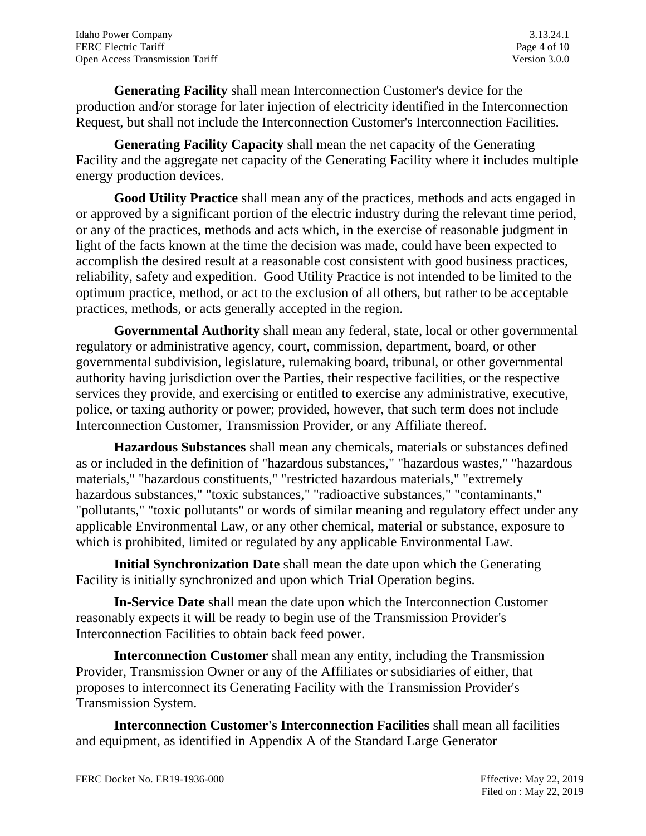**Generating Facility** shall mean Interconnection Customer's device for the production and/or storage for later injection of electricity identified in the Interconnection Request, but shall not include the Interconnection Customer's Interconnection Facilities.

**Generating Facility Capacity** shall mean the net capacity of the Generating Facility and the aggregate net capacity of the Generating Facility where it includes multiple energy production devices.

**Good Utility Practice** shall mean any of the practices, methods and acts engaged in or approved by a significant portion of the electric industry during the relevant time period, or any of the practices, methods and acts which, in the exercise of reasonable judgment in light of the facts known at the time the decision was made, could have been expected to accomplish the desired result at a reasonable cost consistent with good business practices, reliability, safety and expedition. Good Utility Practice is not intended to be limited to the optimum practice, method, or act to the exclusion of all others, but rather to be acceptable practices, methods, or acts generally accepted in the region.

**Governmental Authority** shall mean any federal, state, local or other governmental regulatory or administrative agency, court, commission, department, board, or other governmental subdivision, legislature, rulemaking board, tribunal, or other governmental authority having jurisdiction over the Parties, their respective facilities, or the respective services they provide, and exercising or entitled to exercise any administrative, executive, police, or taxing authority or power; provided, however, that such term does not include Interconnection Customer, Transmission Provider, or any Affiliate thereof.

**Hazardous Substances** shall mean any chemicals, materials or substances defined as or included in the definition of "hazardous substances," "hazardous wastes," "hazardous materials," "hazardous constituents," "restricted hazardous materials," "extremely hazardous substances," "toxic substances," "radioactive substances," "contaminants," "pollutants," "toxic pollutants" or words of similar meaning and regulatory effect under any applicable Environmental Law, or any other chemical, material or substance, exposure to which is prohibited, limited or regulated by any applicable Environmental Law.

**Initial Synchronization Date** shall mean the date upon which the Generating Facility is initially synchronized and upon which Trial Operation begins.

**In-Service Date** shall mean the date upon which the Interconnection Customer reasonably expects it will be ready to begin use of the Transmission Provider's Interconnection Facilities to obtain back feed power.

**Interconnection Customer** shall mean any entity, including the Transmission Provider, Transmission Owner or any of the Affiliates or subsidiaries of either, that proposes to interconnect its Generating Facility with the Transmission Provider's Transmission System.

**Interconnection Customer's Interconnection Facilities** shall mean all facilities and equipment, as identified in Appendix A of the Standard Large Generator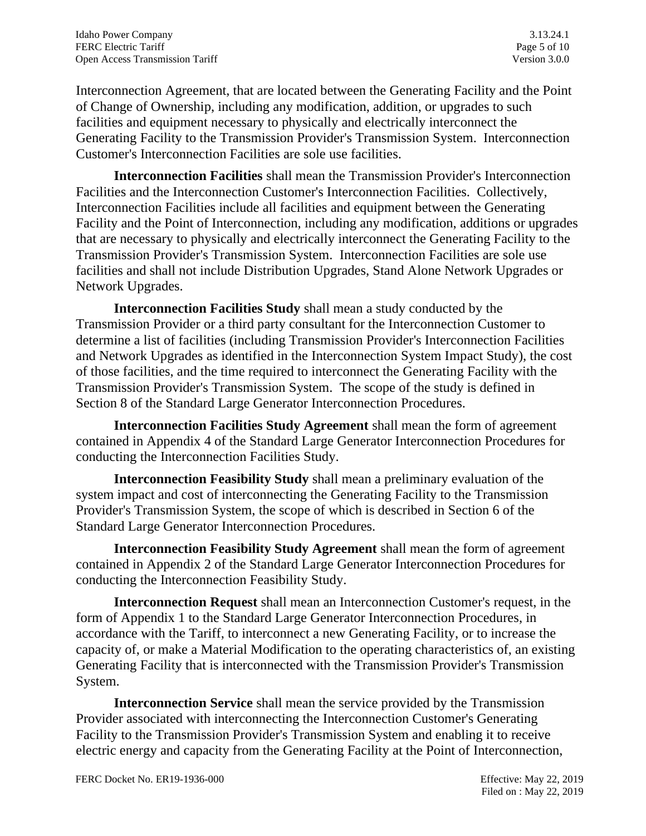Interconnection Agreement, that are located between the Generating Facility and the Point of Change of Ownership, including any modification, addition, or upgrades to such facilities and equipment necessary to physically and electrically interconnect the Generating Facility to the Transmission Provider's Transmission System. Interconnection Customer's Interconnection Facilities are sole use facilities.

**Interconnection Facilities** shall mean the Transmission Provider's Interconnection Facilities and the Interconnection Customer's Interconnection Facilities. Collectively, Interconnection Facilities include all facilities and equipment between the Generating Facility and the Point of Interconnection, including any modification, additions or upgrades that are necessary to physically and electrically interconnect the Generating Facility to the Transmission Provider's Transmission System. Interconnection Facilities are sole use facilities and shall not include Distribution Upgrades, Stand Alone Network Upgrades or Network Upgrades.

**Interconnection Facilities Study** shall mean a study conducted by the Transmission Provider or a third party consultant for the Interconnection Customer to determine a list of facilities (including Transmission Provider's Interconnection Facilities and Network Upgrades as identified in the Interconnection System Impact Study), the cost of those facilities, and the time required to interconnect the Generating Facility with the Transmission Provider's Transmission System. The scope of the study is defined in Section 8 of the Standard Large Generator Interconnection Procedures.

**Interconnection Facilities Study Agreement** shall mean the form of agreement contained in Appendix 4 of the Standard Large Generator Interconnection Procedures for conducting the Interconnection Facilities Study.

**Interconnection Feasibility Study** shall mean a preliminary evaluation of the system impact and cost of interconnecting the Generating Facility to the Transmission Provider's Transmission System, the scope of which is described in Section 6 of the Standard Large Generator Interconnection Procedures.

**Interconnection Feasibility Study Agreement** shall mean the form of agreement contained in Appendix 2 of the Standard Large Generator Interconnection Procedures for conducting the Interconnection Feasibility Study.

**Interconnection Request** shall mean an Interconnection Customer's request, in the form of Appendix 1 to the Standard Large Generator Interconnection Procedures, in accordance with the Tariff, to interconnect a new Generating Facility, or to increase the capacity of, or make a Material Modification to the operating characteristics of, an existing Generating Facility that is interconnected with the Transmission Provider's Transmission System.

**Interconnection Service** shall mean the service provided by the Transmission Provider associated with interconnecting the Interconnection Customer's Generating Facility to the Transmission Provider's Transmission System and enabling it to receive electric energy and capacity from the Generating Facility at the Point of Interconnection,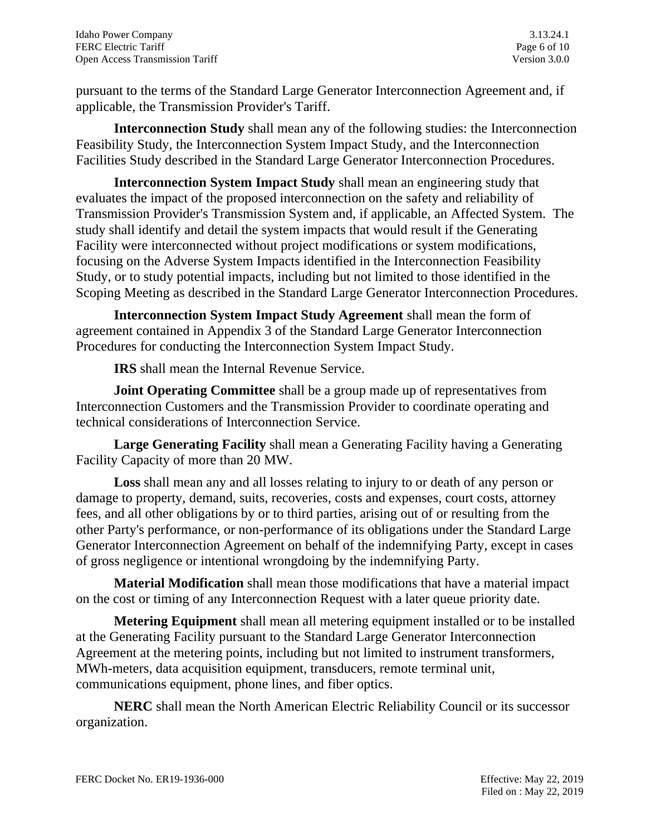pursuant to the terms of the Standard Large Generator Interconnection Agreement and, if applicable, the Transmission Provider's Tariff.

**Interconnection Study** shall mean any of the following studies: the Interconnection Feasibility Study, the Interconnection System Impact Study, and the Interconnection Facilities Study described in the Standard Large Generator Interconnection Procedures.

**Interconnection System Impact Study** shall mean an engineering study that evaluates the impact of the proposed interconnection on the safety and reliability of Transmission Provider's Transmission System and, if applicable, an Affected System. The study shall identify and detail the system impacts that would result if the Generating Facility were interconnected without project modifications or system modifications, focusing on the Adverse System Impacts identified in the Interconnection Feasibility Study, or to study potential impacts, including but not limited to those identified in the Scoping Meeting as described in the Standard Large Generator Interconnection Procedures.

**Interconnection System Impact Study Agreement** shall mean the form of agreement contained in Appendix 3 of the Standard Large Generator Interconnection Procedures for conducting the Interconnection System Impact Study.

**IRS** shall mean the Internal Revenue Service.

**Joint Operating Committee** shall be a group made up of representatives from Interconnection Customers and the Transmission Provider to coordinate operating and technical considerations of Interconnection Service.

**Large Generating Facility** shall mean a Generating Facility having a Generating Facility Capacity of more than 20 MW.

**Loss** shall mean any and all losses relating to injury to or death of any person or damage to property, demand, suits, recoveries, costs and expenses, court costs, attorney fees, and all other obligations by or to third parties, arising out of or resulting from the other Party's performance, or non-performance of its obligations under the Standard Large Generator Interconnection Agreement on behalf of the indemnifying Party, except in cases of gross negligence or intentional wrongdoing by the indemnifying Party.

**Material Modification** shall mean those modifications that have a material impact on the cost or timing of any Interconnection Request with a later queue priority date.

**Metering Equipment** shall mean all metering equipment installed or to be installed at the Generating Facility pursuant to the Standard Large Generator Interconnection Agreement at the metering points, including but not limited to instrument transformers, MWh-meters, data acquisition equipment, transducers, remote terminal unit, communications equipment, phone lines, and fiber optics.

**NERC** shall mean the North American Electric Reliability Council or its successor organization.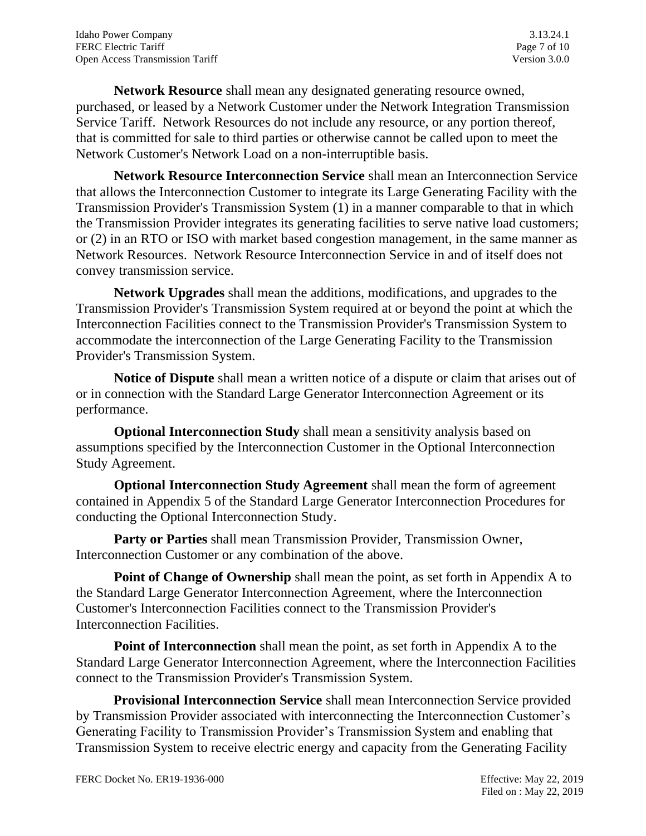**Network Resource** shall mean any designated generating resource owned, purchased, or leased by a Network Customer under the Network Integration Transmission Service Tariff. Network Resources do not include any resource, or any portion thereof, that is committed for sale to third parties or otherwise cannot be called upon to meet the Network Customer's Network Load on a non-interruptible basis.

**Network Resource Interconnection Service** shall mean an Interconnection Service that allows the Interconnection Customer to integrate its Large Generating Facility with the Transmission Provider's Transmission System (1) in a manner comparable to that in which the Transmission Provider integrates its generating facilities to serve native load customers; or (2) in an RTO or ISO with market based congestion management, in the same manner as Network Resources. Network Resource Interconnection Service in and of itself does not convey transmission service.

**Network Upgrades** shall mean the additions, modifications, and upgrades to the Transmission Provider's Transmission System required at or beyond the point at which the Interconnection Facilities connect to the Transmission Provider's Transmission System to accommodate the interconnection of the Large Generating Facility to the Transmission Provider's Transmission System.

**Notice of Dispute** shall mean a written notice of a dispute or claim that arises out of or in connection with the Standard Large Generator Interconnection Agreement or its performance.

**Optional Interconnection Study** shall mean a sensitivity analysis based on assumptions specified by the Interconnection Customer in the Optional Interconnection Study Agreement.

**Optional Interconnection Study Agreement** shall mean the form of agreement contained in Appendix 5 of the Standard Large Generator Interconnection Procedures for conducting the Optional Interconnection Study.

**Party or Parties** shall mean Transmission Provider, Transmission Owner, Interconnection Customer or any combination of the above.

**Point of Change of Ownership** shall mean the point, as set forth in Appendix A to the Standard Large Generator Interconnection Agreement, where the Interconnection Customer's Interconnection Facilities connect to the Transmission Provider's Interconnection Facilities.

**Point of Interconnection** shall mean the point, as set forth in Appendix A to the Standard Large Generator Interconnection Agreement, where the Interconnection Facilities connect to the Transmission Provider's Transmission System.

 **Provisional Interconnection Service** shall mean Interconnection Service provided by Transmission Provider associated with interconnecting the Interconnection Customer's Generating Facility to Transmission Provider's Transmission System and enabling that Transmission System to receive electric energy and capacity from the Generating Facility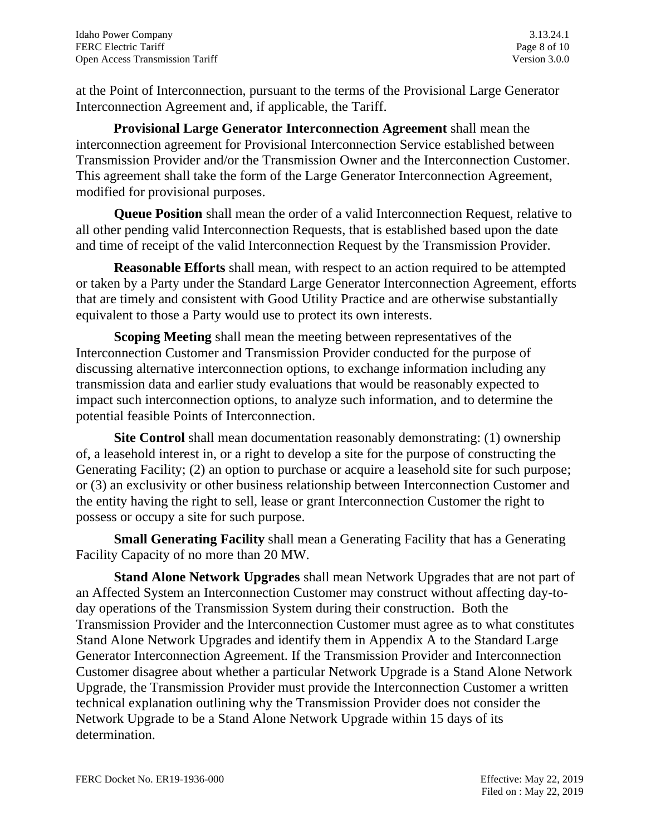at the Point of Interconnection, pursuant to the terms of the Provisional Large Generator Interconnection Agreement and, if applicable, the Tariff.

 **Provisional Large Generator Interconnection Agreement** shall mean the interconnection agreement for Provisional Interconnection Service established between Transmission Provider and/or the Transmission Owner and the Interconnection Customer. This agreement shall take the form of the Large Generator Interconnection Agreement, modified for provisional purposes.

**Queue Position** shall mean the order of a valid Interconnection Request, relative to all other pending valid Interconnection Requests, that is established based upon the date and time of receipt of the valid Interconnection Request by the Transmission Provider.

**Reasonable Efforts** shall mean, with respect to an action required to be attempted or taken by a Party under the Standard Large Generator Interconnection Agreement, efforts that are timely and consistent with Good Utility Practice and are otherwise substantially equivalent to those a Party would use to protect its own interests.

**Scoping Meeting** shall mean the meeting between representatives of the Interconnection Customer and Transmission Provider conducted for the purpose of discussing alternative interconnection options, to exchange information including any transmission data and earlier study evaluations that would be reasonably expected to impact such interconnection options, to analyze such information, and to determine the potential feasible Points of Interconnection.

**Site Control** shall mean documentation reasonably demonstrating: (1) ownership of, a leasehold interest in, or a right to develop a site for the purpose of constructing the Generating Facility; (2) an option to purchase or acquire a leasehold site for such purpose; or (3) an exclusivity or other business relationship between Interconnection Customer and the entity having the right to sell, lease or grant Interconnection Customer the right to possess or occupy a site for such purpose.

**Small Generating Facility** shall mean a Generating Facility that has a Generating Facility Capacity of no more than 20 MW.

**Stand Alone Network Upgrades** shall mean Network Upgrades that are not part of an Affected System an Interconnection Customer may construct without affecting day-today operations of the Transmission System during their construction. Both the Transmission Provider and the Interconnection Customer must agree as to what constitutes Stand Alone Network Upgrades and identify them in Appendix A to the Standard Large Generator Interconnection Agreement. If the Transmission Provider and Interconnection Customer disagree about whether a particular Network Upgrade is a Stand Alone Network Upgrade, the Transmission Provider must provide the Interconnection Customer a written technical explanation outlining why the Transmission Provider does not consider the Network Upgrade to be a Stand Alone Network Upgrade within 15 days of its determination.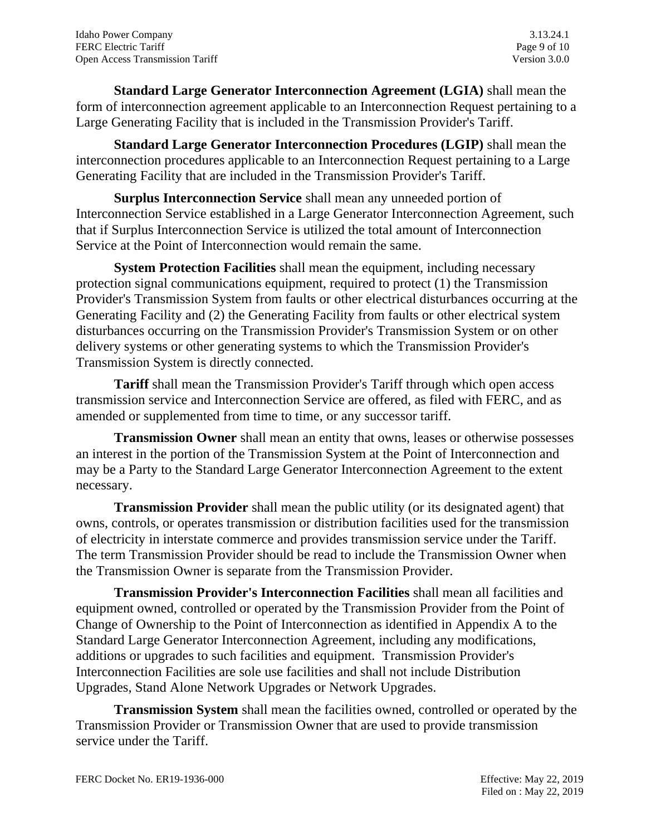**Standard Large Generator Interconnection Agreement (LGIA)** shall mean the form of interconnection agreement applicable to an Interconnection Request pertaining to a Large Generating Facility that is included in the Transmission Provider's Tariff.

**Standard Large Generator Interconnection Procedures (LGIP)** shall mean the interconnection procedures applicable to an Interconnection Request pertaining to a Large Generating Facility that are included in the Transmission Provider's Tariff.

**Surplus Interconnection Service** shall mean any unneeded portion of Interconnection Service established in a Large Generator Interconnection Agreement, such that if Surplus Interconnection Service is utilized the total amount of Interconnection Service at the Point of Interconnection would remain the same.

**System Protection Facilities** shall mean the equipment, including necessary protection signal communications equipment, required to protect (1) the Transmission Provider's Transmission System from faults or other electrical disturbances occurring at the Generating Facility and (2) the Generating Facility from faults or other electrical system disturbances occurring on the Transmission Provider's Transmission System or on other delivery systems or other generating systems to which the Transmission Provider's Transmission System is directly connected.

**Tariff** shall mean the Transmission Provider's Tariff through which open access transmission service and Interconnection Service are offered, as filed with FERC, and as amended or supplemented from time to time, or any successor tariff.

**Transmission Owner** shall mean an entity that owns, leases or otherwise possesses an interest in the portion of the Transmission System at the Point of Interconnection and may be a Party to the Standard Large Generator Interconnection Agreement to the extent necessary.

**Transmission Provider** shall mean the public utility (or its designated agent) that owns, controls, or operates transmission or distribution facilities used for the transmission of electricity in interstate commerce and provides transmission service under the Tariff. The term Transmission Provider should be read to include the Transmission Owner when the Transmission Owner is separate from the Transmission Provider.

**Transmission Provider's Interconnection Facilities** shall mean all facilities and equipment owned, controlled or operated by the Transmission Provider from the Point of Change of Ownership to the Point of Interconnection as identified in Appendix A to the Standard Large Generator Interconnection Agreement, including any modifications, additions or upgrades to such facilities and equipment. Transmission Provider's Interconnection Facilities are sole use facilities and shall not include Distribution Upgrades, Stand Alone Network Upgrades or Network Upgrades.

**Transmission System** shall mean the facilities owned, controlled or operated by the Transmission Provider or Transmission Owner that are used to provide transmission service under the Tariff.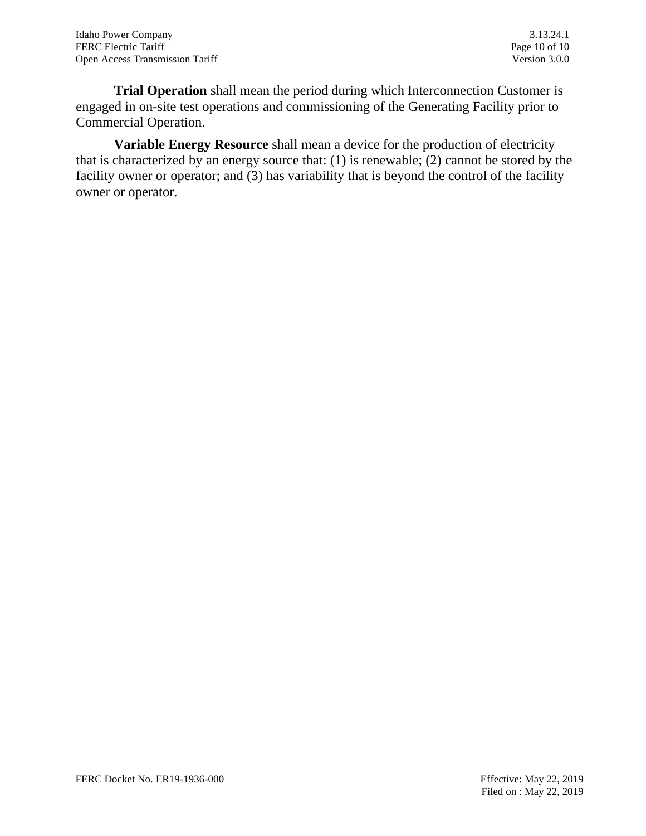**Trial Operation** shall mean the period during which Interconnection Customer is engaged in on-site test operations and commissioning of the Generating Facility prior to Commercial Operation.

**Variable Energy Resource** shall mean a device for the production of electricity that is characterized by an energy source that: (1) is renewable; (2) cannot be stored by the facility owner or operator; and (3) has variability that is beyond the control of the facility owner or operator.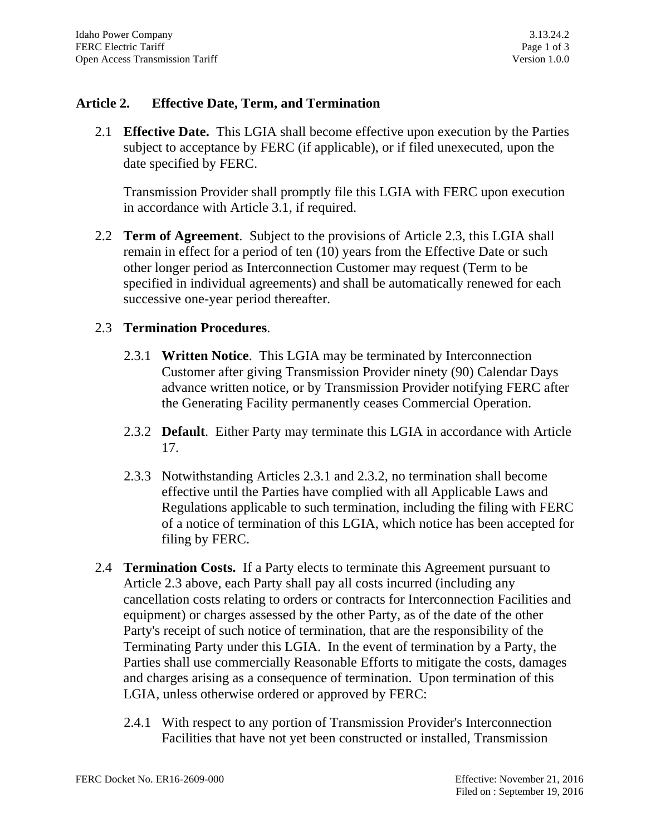## **Article 2. Effective Date, Term, and Termination**

2.1 **Effective Date.** This LGIA shall become effective upon execution by the Parties subject to acceptance by FERC (if applicable), or if filed unexecuted, upon the date specified by FERC.

Transmission Provider shall promptly file this LGIA with FERC upon execution in accordance with Article 3.1, if required.

2.2 **Term of Agreement**. Subject to the provisions of Article 2.3, this LGIA shall remain in effect for a period of ten (10) years from the Effective Date or such other longer period as Interconnection Customer may request (Term to be specified in individual agreements) and shall be automatically renewed for each successive one-year period thereafter.

## 2.3 **Termination Procedures**.

- 2.3.1 **Written Notice**. This LGIA may be terminated by Interconnection Customer after giving Transmission Provider ninety (90) Calendar Days advance written notice, or by Transmission Provider notifying FERC after the Generating Facility permanently ceases Commercial Operation.
- 2.3.2 **Default**. Either Party may terminate this LGIA in accordance with Article 17.
- 2.3.3 Notwithstanding Articles 2.3.1 and 2.3.2, no termination shall become effective until the Parties have complied with all Applicable Laws and Regulations applicable to such termination, including the filing with FERC of a notice of termination of this LGIA, which notice has been accepted for filing by FERC.
- 2.4 **Termination Costs.** If a Party elects to terminate this Agreement pursuant to Article 2.3 above, each Party shall pay all costs incurred (including any cancellation costs relating to orders or contracts for Interconnection Facilities and equipment) or charges assessed by the other Party, as of the date of the other Party's receipt of such notice of termination, that are the responsibility of the Terminating Party under this LGIA. In the event of termination by a Party, the Parties shall use commercially Reasonable Efforts to mitigate the costs, damages and charges arising as a consequence of termination. Upon termination of this LGIA, unless otherwise ordered or approved by FERC:
	- 2.4.1 With respect to any portion of Transmission Provider's Interconnection Facilities that have not yet been constructed or installed, Transmission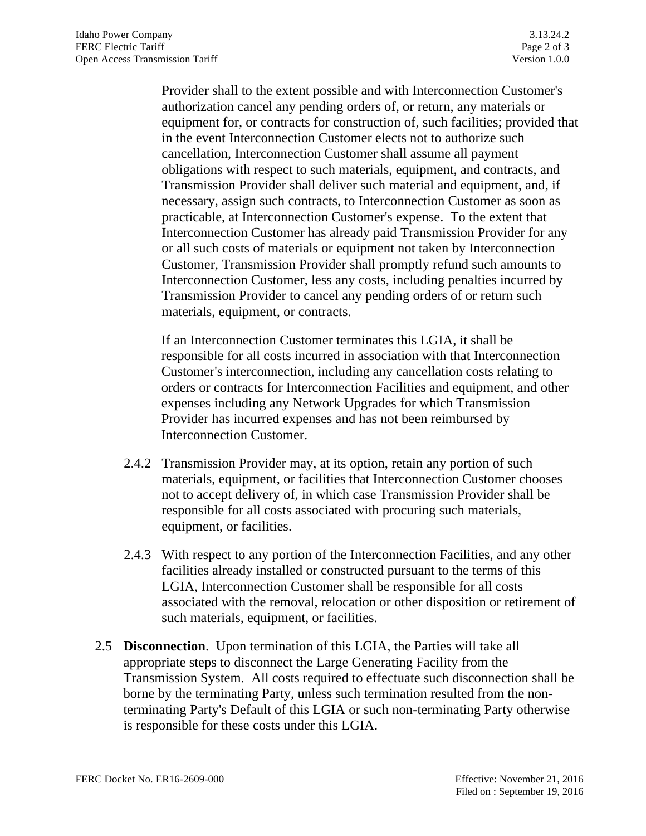Provider shall to the extent possible and with Interconnection Customer's authorization cancel any pending orders of, or return, any materials or equipment for, or contracts for construction of, such facilities; provided that in the event Interconnection Customer elects not to authorize such cancellation, Interconnection Customer shall assume all payment obligations with respect to such materials, equipment, and contracts, and Transmission Provider shall deliver such material and equipment, and, if necessary, assign such contracts, to Interconnection Customer as soon as practicable, at Interconnection Customer's expense. To the extent that Interconnection Customer has already paid Transmission Provider for any or all such costs of materials or equipment not taken by Interconnection Customer, Transmission Provider shall promptly refund such amounts to Interconnection Customer, less any costs, including penalties incurred by Transmission Provider to cancel any pending orders of or return such materials, equipment, or contracts.

If an Interconnection Customer terminates this LGIA, it shall be responsible for all costs incurred in association with that Interconnection Customer's interconnection, including any cancellation costs relating to orders or contracts for Interconnection Facilities and equipment, and other expenses including any Network Upgrades for which Transmission Provider has incurred expenses and has not been reimbursed by Interconnection Customer.

- 2.4.2 Transmission Provider may, at its option, retain any portion of such materials, equipment, or facilities that Interconnection Customer chooses not to accept delivery of, in which case Transmission Provider shall be responsible for all costs associated with procuring such materials, equipment, or facilities.
- 2.4.3 With respect to any portion of the Interconnection Facilities, and any other facilities already installed or constructed pursuant to the terms of this LGIA, Interconnection Customer shall be responsible for all costs associated with the removal, relocation or other disposition or retirement of such materials, equipment, or facilities.
- 2.5 **Disconnection**. Upon termination of this LGIA, the Parties will take all appropriate steps to disconnect the Large Generating Facility from the Transmission System. All costs required to effectuate such disconnection shall be borne by the terminating Party, unless such termination resulted from the nonterminating Party's Default of this LGIA or such non-terminating Party otherwise is responsible for these costs under this LGIA.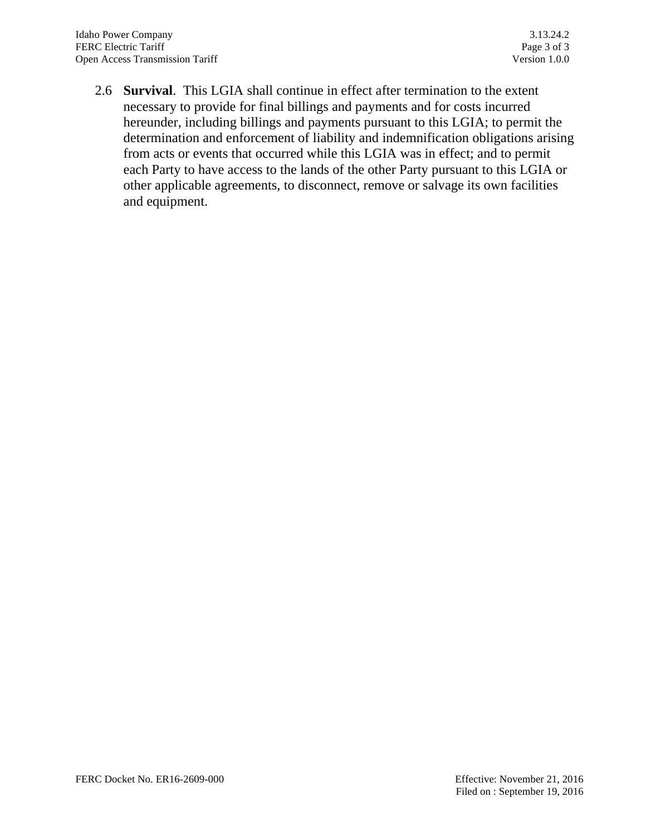2.6 **Survival**. This LGIA shall continue in effect after termination to the extent necessary to provide for final billings and payments and for costs incurred hereunder, including billings and payments pursuant to this LGIA; to permit the determination and enforcement of liability and indemnification obligations arising from acts or events that occurred while this LGIA was in effect; and to permit each Party to have access to the lands of the other Party pursuant to this LGIA or other applicable agreements, to disconnect, remove or salvage its own facilities and equipment.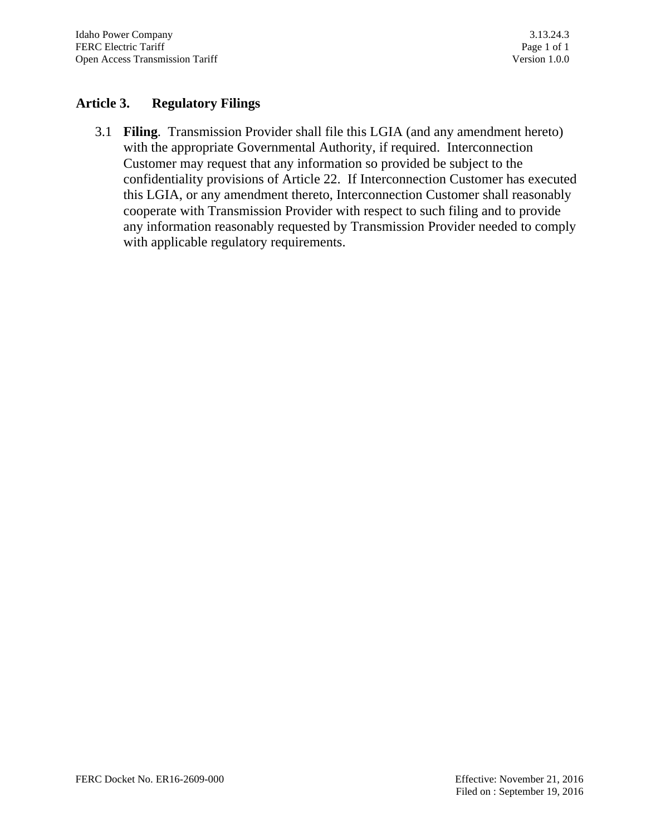## **Article 3. Regulatory Filings**

3.1 **Filing**. Transmission Provider shall file this LGIA (and any amendment hereto) with the appropriate Governmental Authority, if required. Interconnection Customer may request that any information so provided be subject to the confidentiality provisions of Article 22. If Interconnection Customer has executed this LGIA, or any amendment thereto, Interconnection Customer shall reasonably cooperate with Transmission Provider with respect to such filing and to provide any information reasonably requested by Transmission Provider needed to comply with applicable regulatory requirements.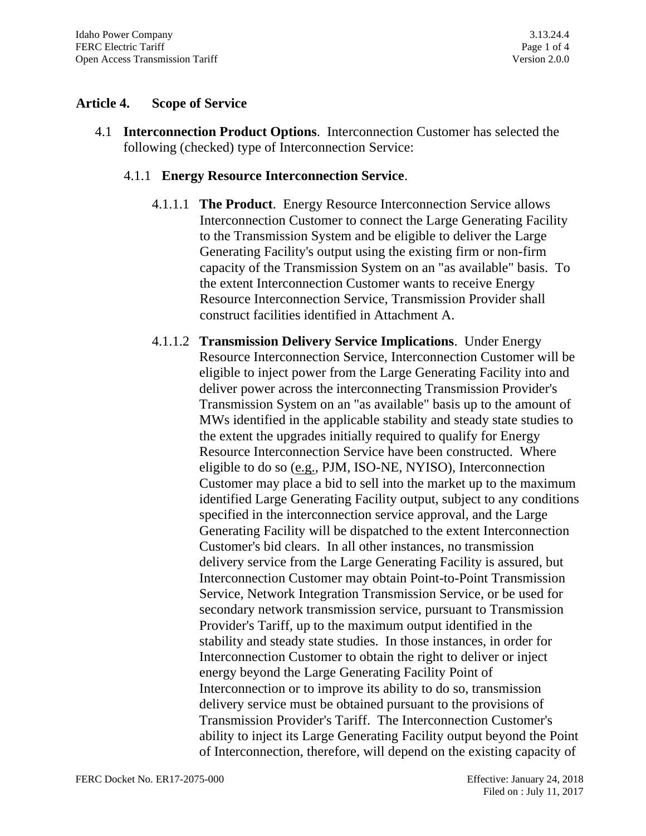## **Article 4. Scope of Service**

4.1 **Interconnection Product Options**. Interconnection Customer has selected the following (checked) type of Interconnection Service:

## 4.1.1 **Energy Resource Interconnection Service**.

- 4.1.1.1 **The Product**. Energy Resource Interconnection Service allows Interconnection Customer to connect the Large Generating Facility to the Transmission System and be eligible to deliver the Large Generating Facility's output using the existing firm or non-firm capacity of the Transmission System on an "as available" basis. To the extent Interconnection Customer wants to receive Energy Resource Interconnection Service, Transmission Provider shall construct facilities identified in Attachment A.
- 4.1.1.2 **Transmission Delivery Service Implications**. Under Energy Resource Interconnection Service, Interconnection Customer will be eligible to inject power from the Large Generating Facility into and deliver power across the interconnecting Transmission Provider's Transmission System on an "as available" basis up to the amount of MWs identified in the applicable stability and steady state studies to the extent the upgrades initially required to qualify for Energy Resource Interconnection Service have been constructed. Where eligible to do so (e.g., PJM, ISO-NE, NYISO), Interconnection Customer may place a bid to sell into the market up to the maximum identified Large Generating Facility output, subject to any conditions specified in the interconnection service approval, and the Large Generating Facility will be dispatched to the extent Interconnection Customer's bid clears. In all other instances, no transmission delivery service from the Large Generating Facility is assured, but Interconnection Customer may obtain Point-to-Point Transmission Service, Network Integration Transmission Service, or be used for secondary network transmission service, pursuant to Transmission Provider's Tariff, up to the maximum output identified in the stability and steady state studies. In those instances, in order for Interconnection Customer to obtain the right to deliver or inject energy beyond the Large Generating Facility Point of Interconnection or to improve its ability to do so, transmission delivery service must be obtained pursuant to the provisions of Transmission Provider's Tariff. The Interconnection Customer's ability to inject its Large Generating Facility output beyond the Point of Interconnection, therefore, will depend on the existing capacity of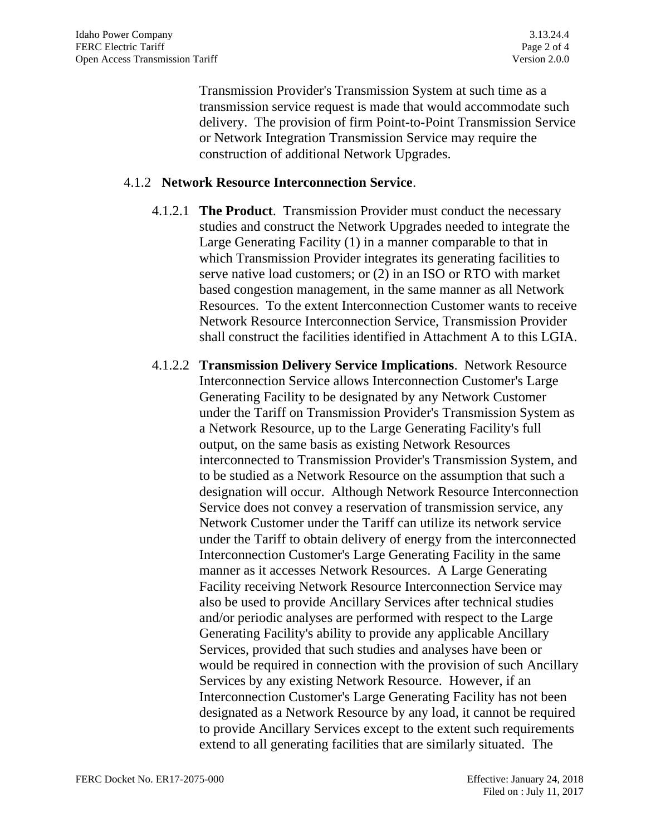Transmission Provider's Transmission System at such time as a transmission service request is made that would accommodate such delivery. The provision of firm Point-to-Point Transmission Service or Network Integration Transmission Service may require the construction of additional Network Upgrades.

#### 4.1.2 **Network Resource Interconnection Service**.

- 4.1.2.1 **The Product**. Transmission Provider must conduct the necessary studies and construct the Network Upgrades needed to integrate the Large Generating Facility (1) in a manner comparable to that in which Transmission Provider integrates its generating facilities to serve native load customers; or (2) in an ISO or RTO with market based congestion management, in the same manner as all Network Resources. To the extent Interconnection Customer wants to receive Network Resource Interconnection Service, Transmission Provider shall construct the facilities identified in Attachment A to this LGIA.
- 4.1.2.2 **Transmission Delivery Service Implications**. Network Resource Interconnection Service allows Interconnection Customer's Large Generating Facility to be designated by any Network Customer under the Tariff on Transmission Provider's Transmission System as a Network Resource, up to the Large Generating Facility's full output, on the same basis as existing Network Resources interconnected to Transmission Provider's Transmission System, and to be studied as a Network Resource on the assumption that such a designation will occur. Although Network Resource Interconnection Service does not convey a reservation of transmission service, any Network Customer under the Tariff can utilize its network service under the Tariff to obtain delivery of energy from the interconnected Interconnection Customer's Large Generating Facility in the same manner as it accesses Network Resources. A Large Generating Facility receiving Network Resource Interconnection Service may also be used to provide Ancillary Services after technical studies and/or periodic analyses are performed with respect to the Large Generating Facility's ability to provide any applicable Ancillary Services, provided that such studies and analyses have been or would be required in connection with the provision of such Ancillary Services by any existing Network Resource. However, if an Interconnection Customer's Large Generating Facility has not been designated as a Network Resource by any load, it cannot be required to provide Ancillary Services except to the extent such requirements extend to all generating facilities that are similarly situated. The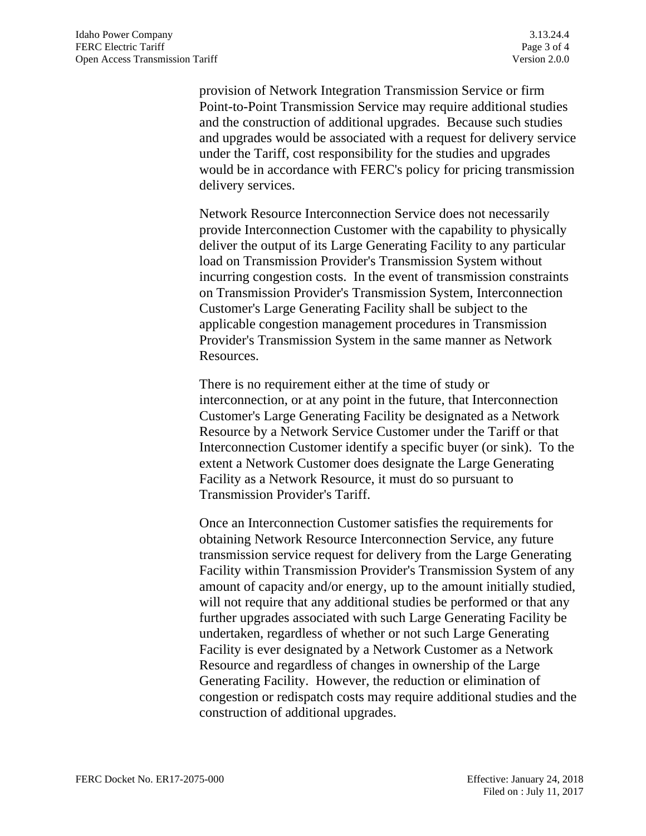provision of Network Integration Transmission Service or firm Point-to-Point Transmission Service may require additional studies and the construction of additional upgrades. Because such studies and upgrades would be associated with a request for delivery service under the Tariff, cost responsibility for the studies and upgrades would be in accordance with FERC's policy for pricing transmission delivery services.

Network Resource Interconnection Service does not necessarily provide Interconnection Customer with the capability to physically deliver the output of its Large Generating Facility to any particular load on Transmission Provider's Transmission System without incurring congestion costs. In the event of transmission constraints on Transmission Provider's Transmission System, Interconnection Customer's Large Generating Facility shall be subject to the applicable congestion management procedures in Transmission Provider's Transmission System in the same manner as Network Resources.

There is no requirement either at the time of study or interconnection, or at any point in the future, that Interconnection Customer's Large Generating Facility be designated as a Network Resource by a Network Service Customer under the Tariff or that Interconnection Customer identify a specific buyer (or sink). To the extent a Network Customer does designate the Large Generating Facility as a Network Resource, it must do so pursuant to Transmission Provider's Tariff.

Once an Interconnection Customer satisfies the requirements for obtaining Network Resource Interconnection Service, any future transmission service request for delivery from the Large Generating Facility within Transmission Provider's Transmission System of any amount of capacity and/or energy, up to the amount initially studied, will not require that any additional studies be performed or that any further upgrades associated with such Large Generating Facility be undertaken, regardless of whether or not such Large Generating Facility is ever designated by a Network Customer as a Network Resource and regardless of changes in ownership of the Large Generating Facility. However, the reduction or elimination of congestion or redispatch costs may require additional studies and the construction of additional upgrades.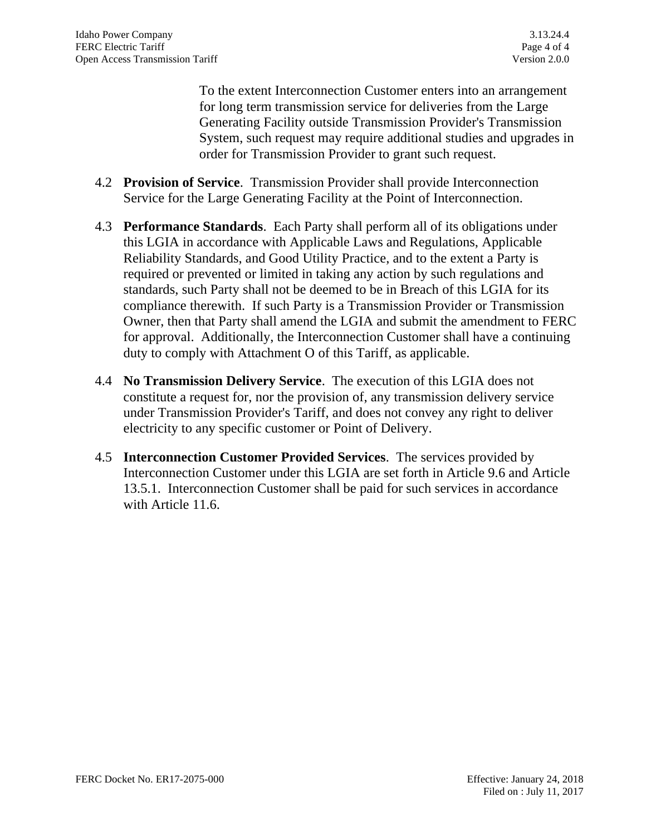To the extent Interconnection Customer enters into an arrangement for long term transmission service for deliveries from the Large Generating Facility outside Transmission Provider's Transmission System, such request may require additional studies and upgrades in order for Transmission Provider to grant such request.

- 4.2 **Provision of Service**. Transmission Provider shall provide Interconnection Service for the Large Generating Facility at the Point of Interconnection.
- 4.3 **Performance Standards**. Each Party shall perform all of its obligations under this LGIA in accordance with Applicable Laws and Regulations, Applicable Reliability Standards, and Good Utility Practice, and to the extent a Party is required or prevented or limited in taking any action by such regulations and standards, such Party shall not be deemed to be in Breach of this LGIA for its compliance therewith. If such Party is a Transmission Provider or Transmission Owner, then that Party shall amend the LGIA and submit the amendment to FERC for approval. Additionally, the Interconnection Customer shall have a continuing duty to comply with Attachment O of this Tariff, as applicable.
- 4.4 **No Transmission Delivery Service**. The execution of this LGIA does not constitute a request for, nor the provision of, any transmission delivery service under Transmission Provider's Tariff, and does not convey any right to deliver electricity to any specific customer or Point of Delivery.
- 4.5 **Interconnection Customer Provided Services**. The services provided by Interconnection Customer under this LGIA are set forth in Article 9.6 and Article 13.5.1. Interconnection Customer shall be paid for such services in accordance with Article 11.6.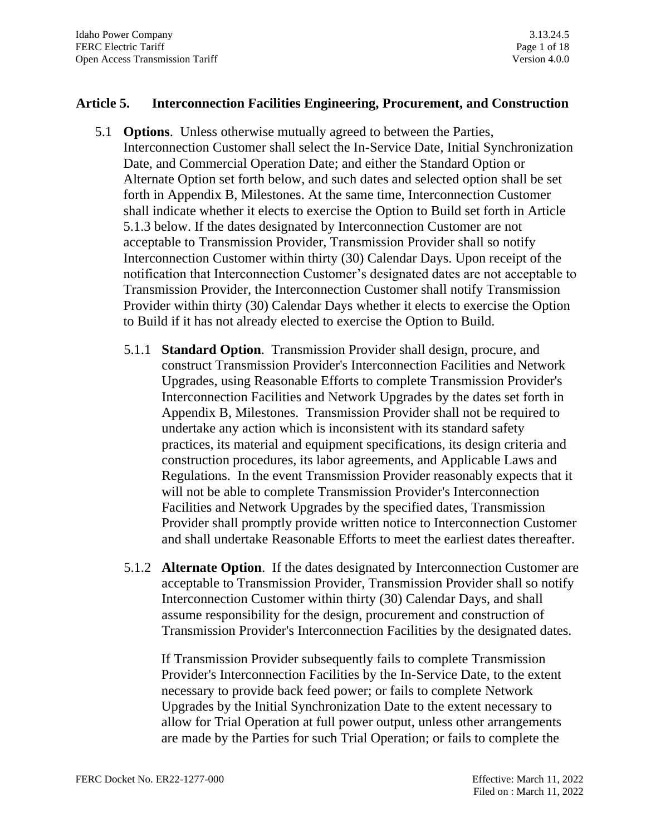### **Article 5. Interconnection Facilities Engineering, Procurement, and Construction**

- 5.1 **Options**. Unless otherwise mutually agreed to between the Parties, Interconnection Customer shall select the In-Service Date, Initial Synchronization Date, and Commercial Operation Date; and either the Standard Option or Alternate Option set forth below, and such dates and selected option shall be set forth in Appendix B, Milestones. At the same time, Interconnection Customer shall indicate whether it elects to exercise the Option to Build set forth in Article 5.1.3 below. If the dates designated by Interconnection Customer are not acceptable to Transmission Provider, Transmission Provider shall so notify Interconnection Customer within thirty (30) Calendar Days. Upon receipt of the notification that Interconnection Customer's designated dates are not acceptable to Transmission Provider, the Interconnection Customer shall notify Transmission Provider within thirty (30) Calendar Days whether it elects to exercise the Option to Build if it has not already elected to exercise the Option to Build.
	- 5.1.1 **Standard Option**. Transmission Provider shall design, procure, and construct Transmission Provider's Interconnection Facilities and Network Upgrades, using Reasonable Efforts to complete Transmission Provider's Interconnection Facilities and Network Upgrades by the dates set forth in Appendix B, Milestones. Transmission Provider shall not be required to undertake any action which is inconsistent with its standard safety practices, its material and equipment specifications, its design criteria and construction procedures, its labor agreements, and Applicable Laws and Regulations. In the event Transmission Provider reasonably expects that it will not be able to complete Transmission Provider's Interconnection Facilities and Network Upgrades by the specified dates, Transmission Provider shall promptly provide written notice to Interconnection Customer and shall undertake Reasonable Efforts to meet the earliest dates thereafter.
	- 5.1.2 **Alternate Option**. If the dates designated by Interconnection Customer are acceptable to Transmission Provider, Transmission Provider shall so notify Interconnection Customer within thirty (30) Calendar Days, and shall assume responsibility for the design, procurement and construction of Transmission Provider's Interconnection Facilities by the designated dates.

If Transmission Provider subsequently fails to complete Transmission Provider's Interconnection Facilities by the In-Service Date, to the extent necessary to provide back feed power; or fails to complete Network Upgrades by the Initial Synchronization Date to the extent necessary to allow for Trial Operation at full power output, unless other arrangements are made by the Parties for such Trial Operation; or fails to complete the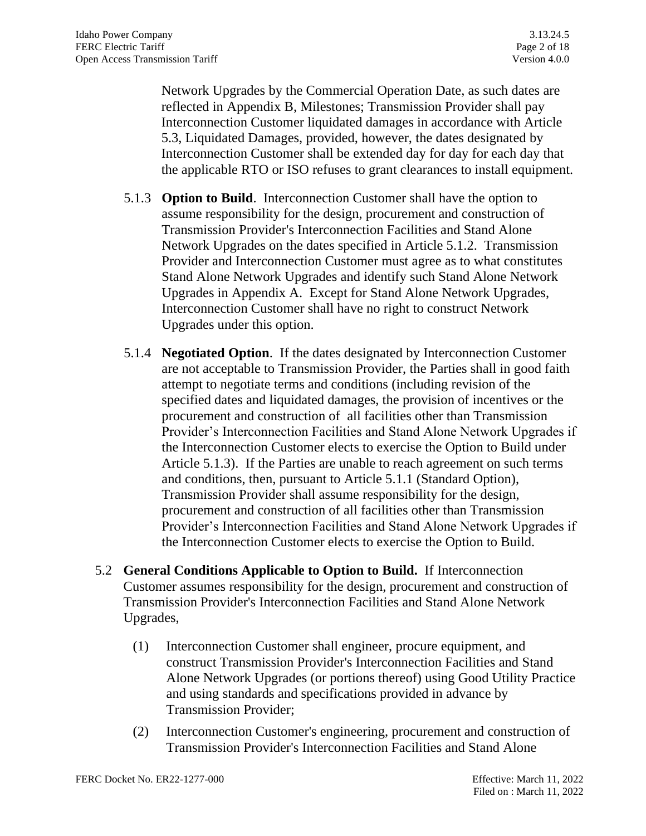Network Upgrades by the Commercial Operation Date, as such dates are reflected in Appendix B, Milestones; Transmission Provider shall pay Interconnection Customer liquidated damages in accordance with Article 5.3, Liquidated Damages, provided, however, the dates designated by Interconnection Customer shall be extended day for day for each day that the applicable RTO or ISO refuses to grant clearances to install equipment.

- 5.1.3 **Option to Build**. Interconnection Customer shall have the option to assume responsibility for the design, procurement and construction of Transmission Provider's Interconnection Facilities and Stand Alone Network Upgrades on the dates specified in Article 5.1.2. Transmission Provider and Interconnection Customer must agree as to what constitutes Stand Alone Network Upgrades and identify such Stand Alone Network Upgrades in Appendix A. Except for Stand Alone Network Upgrades, Interconnection Customer shall have no right to construct Network Upgrades under this option.
- 5.1.4 **Negotiated Option**. If the dates designated by Interconnection Customer are not acceptable to Transmission Provider, the Parties shall in good faith attempt to negotiate terms and conditions (including revision of the specified dates and liquidated damages, the provision of incentives or the procurement and construction of all facilities other than Transmission Provider's Interconnection Facilities and Stand Alone Network Upgrades if the Interconnection Customer elects to exercise the Option to Build under Article 5.1.3). If the Parties are unable to reach agreement on such terms and conditions, then, pursuant to Article 5.1.1 (Standard Option), Transmission Provider shall assume responsibility for the design, procurement and construction of all facilities other than Transmission Provider's Interconnection Facilities and Stand Alone Network Upgrades if the Interconnection Customer elects to exercise the Option to Build.
- 5.2 **General Conditions Applicable to Option to Build.** If Interconnection Customer assumes responsibility for the design, procurement and construction of Transmission Provider's Interconnection Facilities and Stand Alone Network Upgrades,
	- (1) Interconnection Customer shall engineer, procure equipment, and construct Transmission Provider's Interconnection Facilities and Stand Alone Network Upgrades (or portions thereof) using Good Utility Practice and using standards and specifications provided in advance by Transmission Provider;
	- (2) Interconnection Customer's engineering, procurement and construction of Transmission Provider's Interconnection Facilities and Stand Alone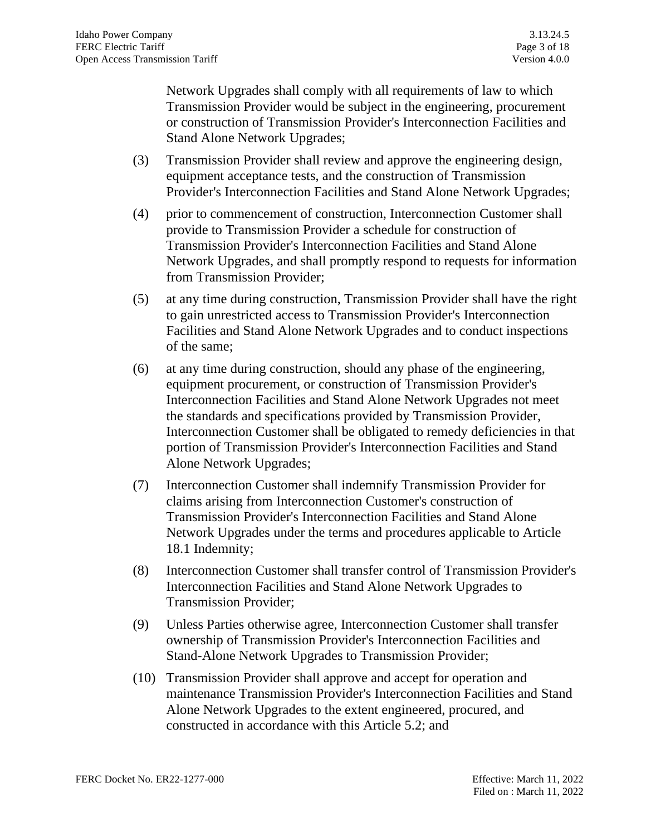Network Upgrades shall comply with all requirements of law to which Transmission Provider would be subject in the engineering, procurement or construction of Transmission Provider's Interconnection Facilities and Stand Alone Network Upgrades;

- (3) Transmission Provider shall review and approve the engineering design, equipment acceptance tests, and the construction of Transmission Provider's Interconnection Facilities and Stand Alone Network Upgrades;
- (4) prior to commencement of construction, Interconnection Customer shall provide to Transmission Provider a schedule for construction of Transmission Provider's Interconnection Facilities and Stand Alone Network Upgrades, and shall promptly respond to requests for information from Transmission Provider;
- (5) at any time during construction, Transmission Provider shall have the right to gain unrestricted access to Transmission Provider's Interconnection Facilities and Stand Alone Network Upgrades and to conduct inspections of the same;
- (6) at any time during construction, should any phase of the engineering, equipment procurement, or construction of Transmission Provider's Interconnection Facilities and Stand Alone Network Upgrades not meet the standards and specifications provided by Transmission Provider, Interconnection Customer shall be obligated to remedy deficiencies in that portion of Transmission Provider's Interconnection Facilities and Stand Alone Network Upgrades;
- (7) Interconnection Customer shall indemnify Transmission Provider for claims arising from Interconnection Customer's construction of Transmission Provider's Interconnection Facilities and Stand Alone Network Upgrades under the terms and procedures applicable to Article 18.1 Indemnity;
- (8) Interconnection Customer shall transfer control of Transmission Provider's Interconnection Facilities and Stand Alone Network Upgrades to Transmission Provider;
- (9) Unless Parties otherwise agree, Interconnection Customer shall transfer ownership of Transmission Provider's Interconnection Facilities and Stand-Alone Network Upgrades to Transmission Provider;
- (10) Transmission Provider shall approve and accept for operation and maintenance Transmission Provider's Interconnection Facilities and Stand Alone Network Upgrades to the extent engineered, procured, and constructed in accordance with this Article 5.2; and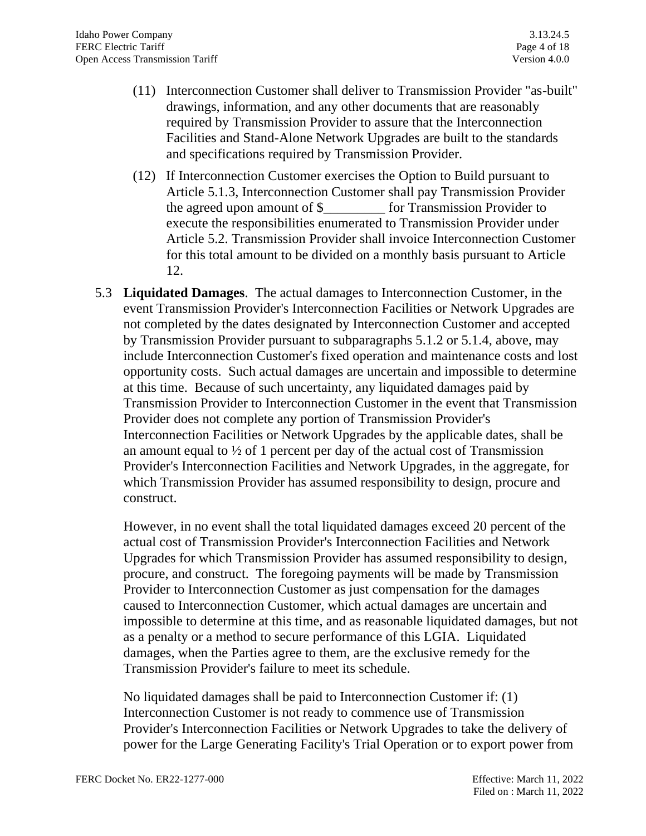- (11) Interconnection Customer shall deliver to Transmission Provider "as-built" drawings, information, and any other documents that are reasonably required by Transmission Provider to assure that the Interconnection Facilities and Stand-Alone Network Upgrades are built to the standards and specifications required by Transmission Provider.
- (12) If Interconnection Customer exercises the Option to Build pursuant to Article 5.1.3, Interconnection Customer shall pay Transmission Provider the agreed upon amount of \$\_\_\_\_\_\_\_\_\_ for Transmission Provider to execute the responsibilities enumerated to Transmission Provider under Article 5.2. Transmission Provider shall invoice Interconnection Customer for this total amount to be divided on a monthly basis pursuant to Article 12.
- 5.3 **Liquidated Damages**. The actual damages to Interconnection Customer, in the event Transmission Provider's Interconnection Facilities or Network Upgrades are not completed by the dates designated by Interconnection Customer and accepted by Transmission Provider pursuant to subparagraphs 5.1.2 or 5.1.4, above, may include Interconnection Customer's fixed operation and maintenance costs and lost opportunity costs. Such actual damages are uncertain and impossible to determine at this time. Because of such uncertainty, any liquidated damages paid by Transmission Provider to Interconnection Customer in the event that Transmission Provider does not complete any portion of Transmission Provider's Interconnection Facilities or Network Upgrades by the applicable dates, shall be an amount equal to  $\frac{1}{2}$  of 1 percent per day of the actual cost of Transmission Provider's Interconnection Facilities and Network Upgrades, in the aggregate, for which Transmission Provider has assumed responsibility to design, procure and construct.

However, in no event shall the total liquidated damages exceed 20 percent of the actual cost of Transmission Provider's Interconnection Facilities and Network Upgrades for which Transmission Provider has assumed responsibility to design, procure, and construct. The foregoing payments will be made by Transmission Provider to Interconnection Customer as just compensation for the damages caused to Interconnection Customer, which actual damages are uncertain and impossible to determine at this time, and as reasonable liquidated damages, but not as a penalty or a method to secure performance of this LGIA. Liquidated damages, when the Parties agree to them, are the exclusive remedy for the Transmission Provider's failure to meet its schedule.

No liquidated damages shall be paid to Interconnection Customer if: (1) Interconnection Customer is not ready to commence use of Transmission Provider's Interconnection Facilities or Network Upgrades to take the delivery of power for the Large Generating Facility's Trial Operation or to export power from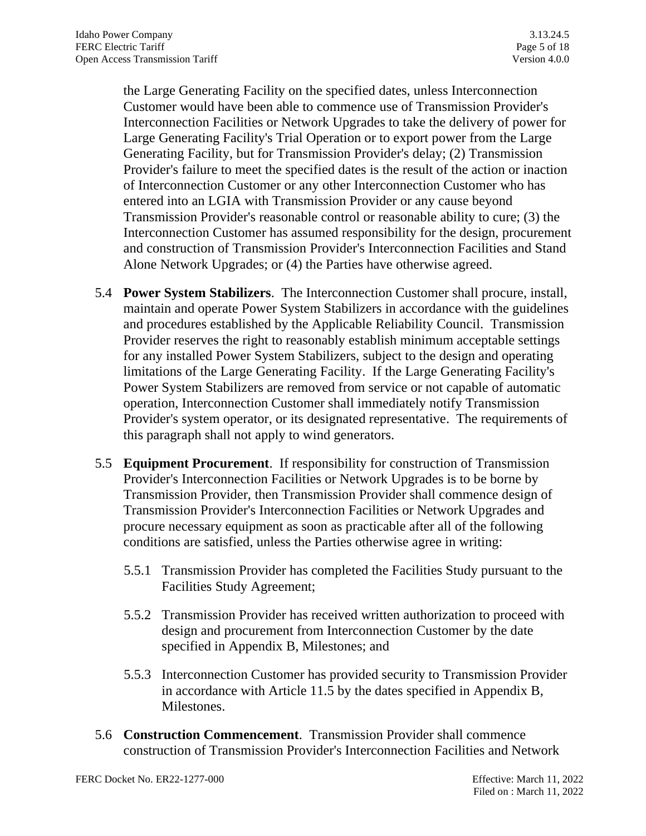the Large Generating Facility on the specified dates, unless Interconnection Customer would have been able to commence use of Transmission Provider's Interconnection Facilities or Network Upgrades to take the delivery of power for Large Generating Facility's Trial Operation or to export power from the Large Generating Facility, but for Transmission Provider's delay; (2) Transmission Provider's failure to meet the specified dates is the result of the action or inaction of Interconnection Customer or any other Interconnection Customer who has entered into an LGIA with Transmission Provider or any cause beyond Transmission Provider's reasonable control or reasonable ability to cure; (3) the Interconnection Customer has assumed responsibility for the design, procurement and construction of Transmission Provider's Interconnection Facilities and Stand Alone Network Upgrades; or (4) the Parties have otherwise agreed.

- 5.4 **Power System Stabilizers**. The Interconnection Customer shall procure, install, maintain and operate Power System Stabilizers in accordance with the guidelines and procedures established by the Applicable Reliability Council. Transmission Provider reserves the right to reasonably establish minimum acceptable settings for any installed Power System Stabilizers, subject to the design and operating limitations of the Large Generating Facility. If the Large Generating Facility's Power System Stabilizers are removed from service or not capable of automatic operation, Interconnection Customer shall immediately notify Transmission Provider's system operator, or its designated representative. The requirements of this paragraph shall not apply to wind generators.
- 5.5 **Equipment Procurement**. If responsibility for construction of Transmission Provider's Interconnection Facilities or Network Upgrades is to be borne by Transmission Provider, then Transmission Provider shall commence design of Transmission Provider's Interconnection Facilities or Network Upgrades and procure necessary equipment as soon as practicable after all of the following conditions are satisfied, unless the Parties otherwise agree in writing:
	- 5.5.1 Transmission Provider has completed the Facilities Study pursuant to the Facilities Study Agreement;
	- 5.5.2 Transmission Provider has received written authorization to proceed with design and procurement from Interconnection Customer by the date specified in Appendix B, Milestones; and
	- 5.5.3 Interconnection Customer has provided security to Transmission Provider in accordance with Article 11.5 by the dates specified in Appendix B, Milestones.
- 5.6 **Construction Commencement**. Transmission Provider shall commence construction of Transmission Provider's Interconnection Facilities and Network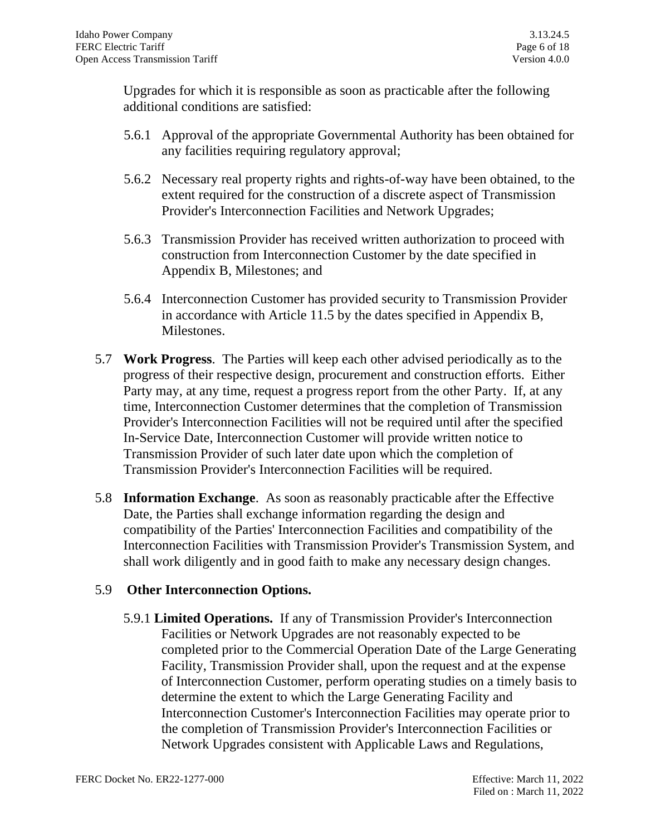Upgrades for which it is responsible as soon as practicable after the following additional conditions are satisfied:

- 5.6.1 Approval of the appropriate Governmental Authority has been obtained for any facilities requiring regulatory approval;
- 5.6.2 Necessary real property rights and rights-of-way have been obtained, to the extent required for the construction of a discrete aspect of Transmission Provider's Interconnection Facilities and Network Upgrades;
- 5.6.3 Transmission Provider has received written authorization to proceed with construction from Interconnection Customer by the date specified in Appendix B, Milestones; and
- 5.6.4 Interconnection Customer has provided security to Transmission Provider in accordance with Article 11.5 by the dates specified in Appendix B, Milestones.
- 5.7 **Work Progress**. The Parties will keep each other advised periodically as to the progress of their respective design, procurement and construction efforts. Either Party may, at any time, request a progress report from the other Party. If, at any time, Interconnection Customer determines that the completion of Transmission Provider's Interconnection Facilities will not be required until after the specified In-Service Date, Interconnection Customer will provide written notice to Transmission Provider of such later date upon which the completion of Transmission Provider's Interconnection Facilities will be required.
- 5.8 **Information Exchange**. As soon as reasonably practicable after the Effective Date, the Parties shall exchange information regarding the design and compatibility of the Parties' Interconnection Facilities and compatibility of the Interconnection Facilities with Transmission Provider's Transmission System, and shall work diligently and in good faith to make any necessary design changes.

## 5.9 **Other Interconnection Options.**

5.9.1 **Limited Operations.** If any of Transmission Provider's Interconnection Facilities or Network Upgrades are not reasonably expected to be completed prior to the Commercial Operation Date of the Large Generating Facility, Transmission Provider shall, upon the request and at the expense of Interconnection Customer, perform operating studies on a timely basis to determine the extent to which the Large Generating Facility and Interconnection Customer's Interconnection Facilities may operate prior to the completion of Transmission Provider's Interconnection Facilities or Network Upgrades consistent with Applicable Laws and Regulations,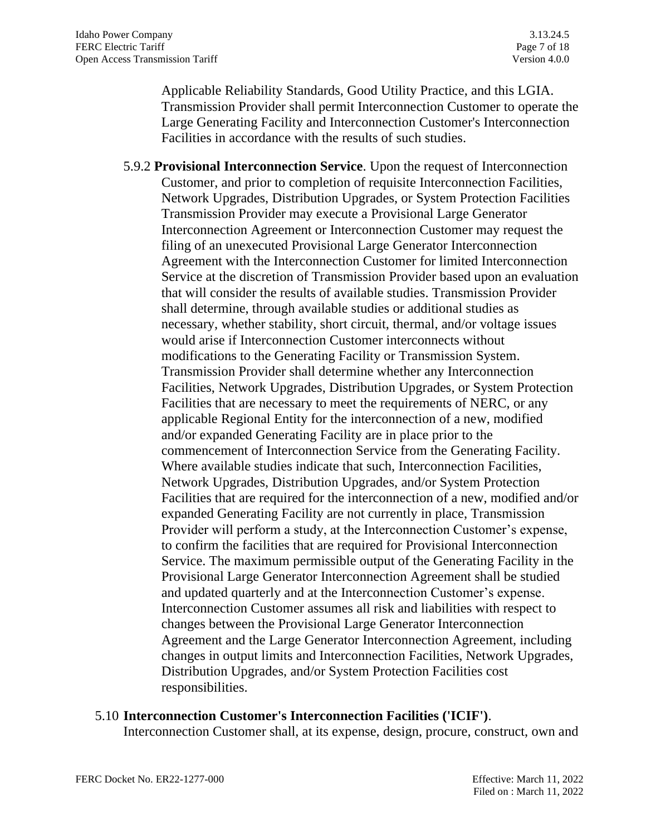Applicable Reliability Standards, Good Utility Practice, and this LGIA. Transmission Provider shall permit Interconnection Customer to operate the Large Generating Facility and Interconnection Customer's Interconnection Facilities in accordance with the results of such studies.

5.9.2 **Provisional Interconnection Service**. Upon the request of Interconnection Customer, and prior to completion of requisite Interconnection Facilities, Network Upgrades, Distribution Upgrades, or System Protection Facilities Transmission Provider may execute a Provisional Large Generator Interconnection Agreement or Interconnection Customer may request the filing of an unexecuted Provisional Large Generator Interconnection Agreement with the Interconnection Customer for limited Interconnection Service at the discretion of Transmission Provider based upon an evaluation that will consider the results of available studies. Transmission Provider shall determine, through available studies or additional studies as necessary, whether stability, short circuit, thermal, and/or voltage issues would arise if Interconnection Customer interconnects without modifications to the Generating Facility or Transmission System. Transmission Provider shall determine whether any Interconnection Facilities, Network Upgrades, Distribution Upgrades, or System Protection Facilities that are necessary to meet the requirements of NERC, or any applicable Regional Entity for the interconnection of a new, modified and/or expanded Generating Facility are in place prior to the commencement of Interconnection Service from the Generating Facility. Where available studies indicate that such, Interconnection Facilities, Network Upgrades, Distribution Upgrades, and/or System Protection Facilities that are required for the interconnection of a new, modified and/or expanded Generating Facility are not currently in place, Transmission Provider will perform a study, at the Interconnection Customer's expense, to confirm the facilities that are required for Provisional Interconnection Service. The maximum permissible output of the Generating Facility in the Provisional Large Generator Interconnection Agreement shall be studied and updated quarterly and at the Interconnection Customer's expense. Interconnection Customer assumes all risk and liabilities with respect to changes between the Provisional Large Generator Interconnection Agreement and the Large Generator Interconnection Agreement, including changes in output limits and Interconnection Facilities, Network Upgrades, Distribution Upgrades, and/or System Protection Facilities cost responsibilities.

#### 5.10 **Interconnection Customer's Interconnection Facilities ('ICIF')**.

Interconnection Customer shall, at its expense, design, procure, construct, own and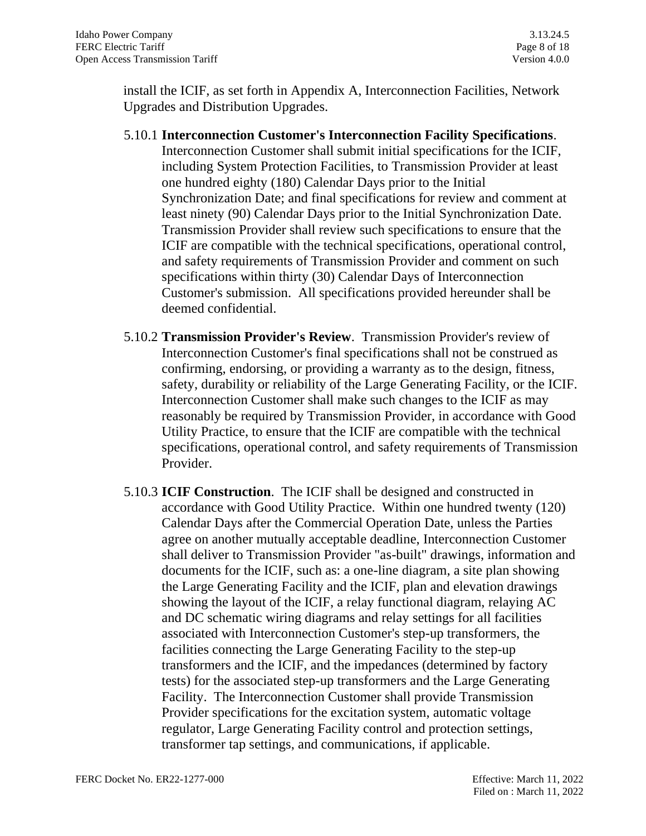install the ICIF, as set forth in Appendix A, Interconnection Facilities, Network Upgrades and Distribution Upgrades.

- 5.10.1 **Interconnection Customer's Interconnection Facility Specifications**. Interconnection Customer shall submit initial specifications for the ICIF, including System Protection Facilities, to Transmission Provider at least one hundred eighty (180) Calendar Days prior to the Initial Synchronization Date; and final specifications for review and comment at least ninety (90) Calendar Days prior to the Initial Synchronization Date. Transmission Provider shall review such specifications to ensure that the ICIF are compatible with the technical specifications, operational control, and safety requirements of Transmission Provider and comment on such specifications within thirty (30) Calendar Days of Interconnection Customer's submission. All specifications provided hereunder shall be deemed confidential.
- 5.10.2 **Transmission Provider's Review**. Transmission Provider's review of Interconnection Customer's final specifications shall not be construed as confirming, endorsing, or providing a warranty as to the design, fitness, safety, durability or reliability of the Large Generating Facility, or the ICIF. Interconnection Customer shall make such changes to the ICIF as may reasonably be required by Transmission Provider, in accordance with Good Utility Practice, to ensure that the ICIF are compatible with the technical specifications, operational control, and safety requirements of Transmission Provider.
- 5.10.3 **ICIF Construction**. The ICIF shall be designed and constructed in accordance with Good Utility Practice. Within one hundred twenty (120) Calendar Days after the Commercial Operation Date, unless the Parties agree on another mutually acceptable deadline, Interconnection Customer shall deliver to Transmission Provider "as-built" drawings, information and documents for the ICIF, such as: a one-line diagram, a site plan showing the Large Generating Facility and the ICIF, plan and elevation drawings showing the layout of the ICIF, a relay functional diagram, relaying AC and DC schematic wiring diagrams and relay settings for all facilities associated with Interconnection Customer's step-up transformers, the facilities connecting the Large Generating Facility to the step-up transformers and the ICIF, and the impedances (determined by factory tests) for the associated step-up transformers and the Large Generating Facility. The Interconnection Customer shall provide Transmission Provider specifications for the excitation system, automatic voltage regulator, Large Generating Facility control and protection settings, transformer tap settings, and communications, if applicable.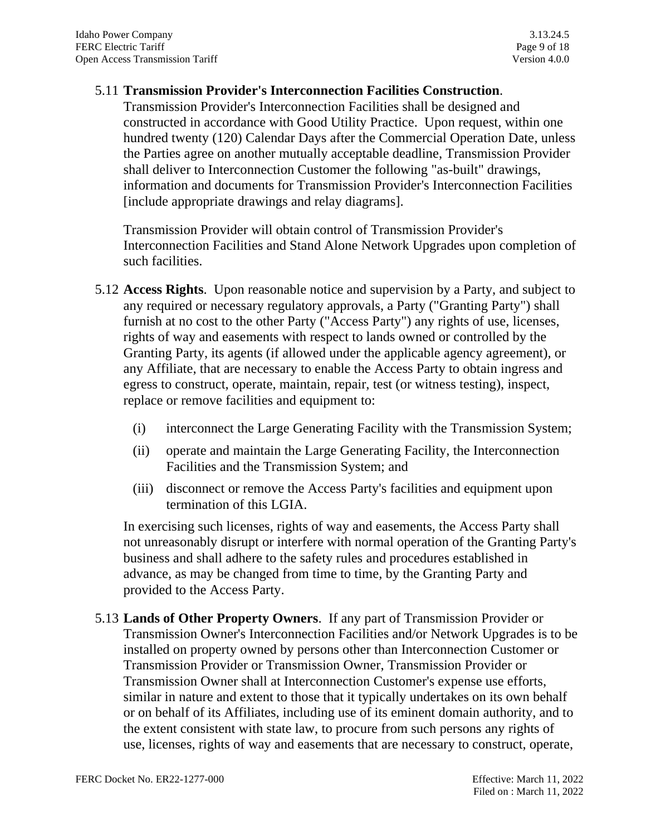#### 5.11 **Transmission Provider's Interconnection Facilities Construction**.

Transmission Provider's Interconnection Facilities shall be designed and constructed in accordance with Good Utility Practice. Upon request, within one hundred twenty (120) Calendar Days after the Commercial Operation Date, unless the Parties agree on another mutually acceptable deadline, Transmission Provider shall deliver to Interconnection Customer the following "as-built" drawings, information and documents for Transmission Provider's Interconnection Facilities [include appropriate drawings and relay diagrams].

Transmission Provider will obtain control of Transmission Provider's Interconnection Facilities and Stand Alone Network Upgrades upon completion of such facilities.

- 5.12 **Access Rights**. Upon reasonable notice and supervision by a Party, and subject to any required or necessary regulatory approvals, a Party ("Granting Party") shall furnish at no cost to the other Party ("Access Party") any rights of use, licenses, rights of way and easements with respect to lands owned or controlled by the Granting Party, its agents (if allowed under the applicable agency agreement), or any Affiliate, that are necessary to enable the Access Party to obtain ingress and egress to construct, operate, maintain, repair, test (or witness testing), inspect, replace or remove facilities and equipment to:
	- (i) interconnect the Large Generating Facility with the Transmission System;
	- (ii) operate and maintain the Large Generating Facility, the Interconnection Facilities and the Transmission System; and
	- (iii) disconnect or remove the Access Party's facilities and equipment upon termination of this LGIA.

In exercising such licenses, rights of way and easements, the Access Party shall not unreasonably disrupt or interfere with normal operation of the Granting Party's business and shall adhere to the safety rules and procedures established in advance, as may be changed from time to time, by the Granting Party and provided to the Access Party.

5.13 **Lands of Other Property Owners**. If any part of Transmission Provider or Transmission Owner's Interconnection Facilities and/or Network Upgrades is to be installed on property owned by persons other than Interconnection Customer or Transmission Provider or Transmission Owner, Transmission Provider or Transmission Owner shall at Interconnection Customer's expense use efforts, similar in nature and extent to those that it typically undertakes on its own behalf or on behalf of its Affiliates, including use of its eminent domain authority, and to the extent consistent with state law, to procure from such persons any rights of use, licenses, rights of way and easements that are necessary to construct, operate,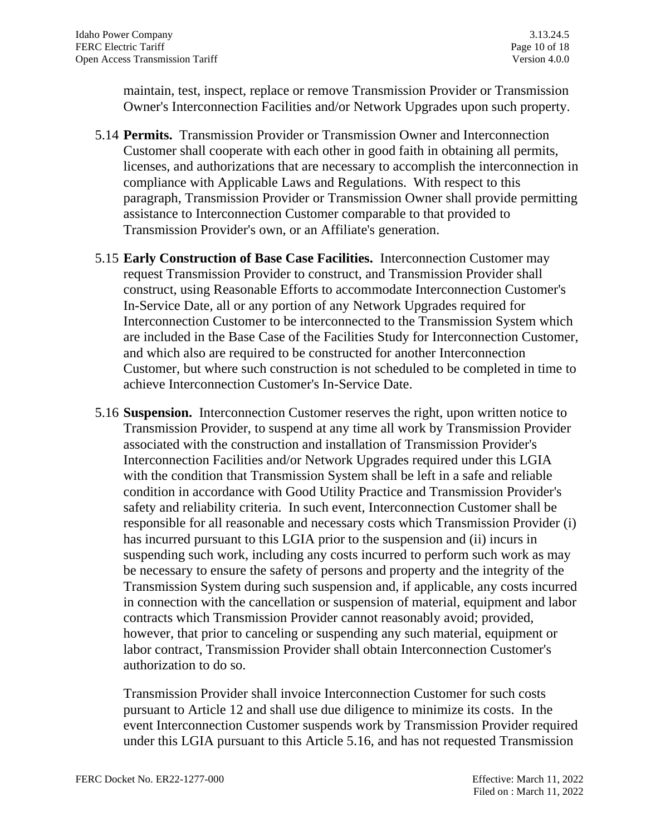maintain, test, inspect, replace or remove Transmission Provider or Transmission Owner's Interconnection Facilities and/or Network Upgrades upon such property.

- 5.14 **Permits.** Transmission Provider or Transmission Owner and Interconnection Customer shall cooperate with each other in good faith in obtaining all permits, licenses, and authorizations that are necessary to accomplish the interconnection in compliance with Applicable Laws and Regulations. With respect to this paragraph, Transmission Provider or Transmission Owner shall provide permitting assistance to Interconnection Customer comparable to that provided to Transmission Provider's own, or an Affiliate's generation.
- 5.15 **Early Construction of Base Case Facilities.** Interconnection Customer may request Transmission Provider to construct, and Transmission Provider shall construct, using Reasonable Efforts to accommodate Interconnection Customer's In-Service Date, all or any portion of any Network Upgrades required for Interconnection Customer to be interconnected to the Transmission System which are included in the Base Case of the Facilities Study for Interconnection Customer, and which also are required to be constructed for another Interconnection Customer, but where such construction is not scheduled to be completed in time to achieve Interconnection Customer's In-Service Date.
- 5.16 **Suspension.** Interconnection Customer reserves the right, upon written notice to Transmission Provider, to suspend at any time all work by Transmission Provider associated with the construction and installation of Transmission Provider's Interconnection Facilities and/or Network Upgrades required under this LGIA with the condition that Transmission System shall be left in a safe and reliable condition in accordance with Good Utility Practice and Transmission Provider's safety and reliability criteria. In such event, Interconnection Customer shall be responsible for all reasonable and necessary costs which Transmission Provider (i) has incurred pursuant to this LGIA prior to the suspension and (ii) incurs in suspending such work, including any costs incurred to perform such work as may be necessary to ensure the safety of persons and property and the integrity of the Transmission System during such suspension and, if applicable, any costs incurred in connection with the cancellation or suspension of material, equipment and labor contracts which Transmission Provider cannot reasonably avoid; provided, however, that prior to canceling or suspending any such material, equipment or labor contract, Transmission Provider shall obtain Interconnection Customer's authorization to do so.

Transmission Provider shall invoice Interconnection Customer for such costs pursuant to Article 12 and shall use due diligence to minimize its costs. In the event Interconnection Customer suspends work by Transmission Provider required under this LGIA pursuant to this Article 5.16, and has not requested Transmission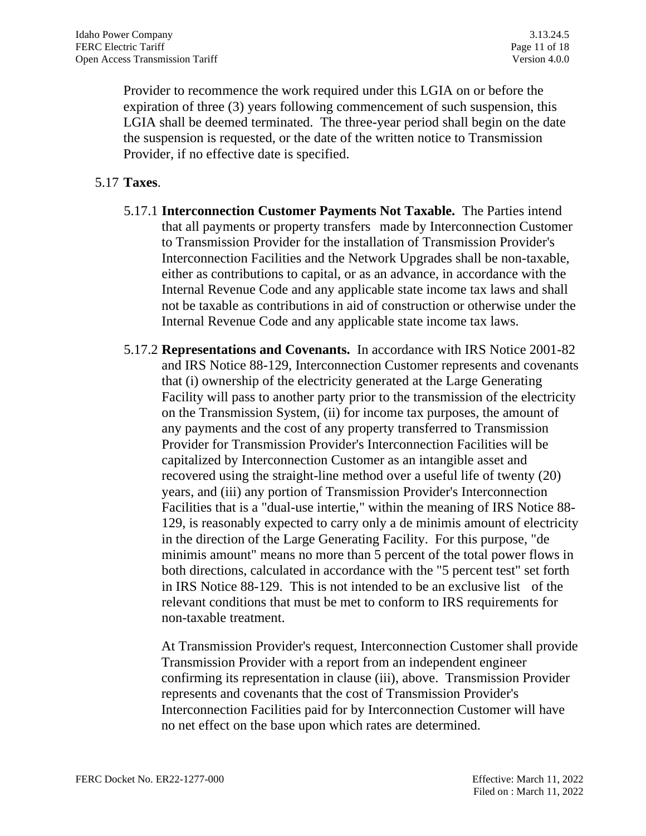Provider to recommence the work required under this LGIA on or before the expiration of three (3) years following commencement of such suspension, this LGIA shall be deemed terminated. The three-year period shall begin on the date the suspension is requested, or the date of the written notice to Transmission Provider, if no effective date is specified.

### 5.17 **Taxes**.

- 5.17.1 **Interconnection Customer Payments Not Taxable.** The Parties intend that all payments or property transfers made by Interconnection Customer to Transmission Provider for the installation of Transmission Provider's Interconnection Facilities and the Network Upgrades shall be non-taxable, either as contributions to capital, or as an advance, in accordance with the Internal Revenue Code and any applicable state income tax laws and shall not be taxable as contributions in aid of construction or otherwise under the Internal Revenue Code and any applicable state income tax laws.
- 5.17.2 **Representations and Covenants.** In accordance with IRS Notice 2001-82 and IRS Notice 88-129, Interconnection Customer represents and covenants that (i) ownership of the electricity generated at the Large Generating Facility will pass to another party prior to the transmission of the electricity on the Transmission System, (ii) for income tax purposes, the amount of any payments and the cost of any property transferred to Transmission Provider for Transmission Provider's Interconnection Facilities will be capitalized by Interconnection Customer as an intangible asset and recovered using the straight-line method over a useful life of twenty (20) years, and (iii) any portion of Transmission Provider's Interconnection Facilities that is a "dual-use intertie," within the meaning of IRS Notice 88- 129, is reasonably expected to carry only a de minimis amount of electricity in the direction of the Large Generating Facility. For this purpose, "de minimis amount" means no more than 5 percent of the total power flows in both directions, calculated in accordance with the "5 percent test" set forth in IRS Notice 88-129. This is not intended to be an exclusive list of the relevant conditions that must be met to conform to IRS requirements for non-taxable treatment.

At Transmission Provider's request, Interconnection Customer shall provide Transmission Provider with a report from an independent engineer confirming its representation in clause (iii), above. Transmission Provider represents and covenants that the cost of Transmission Provider's Interconnection Facilities paid for by Interconnection Customer will have no net effect on the base upon which rates are determined.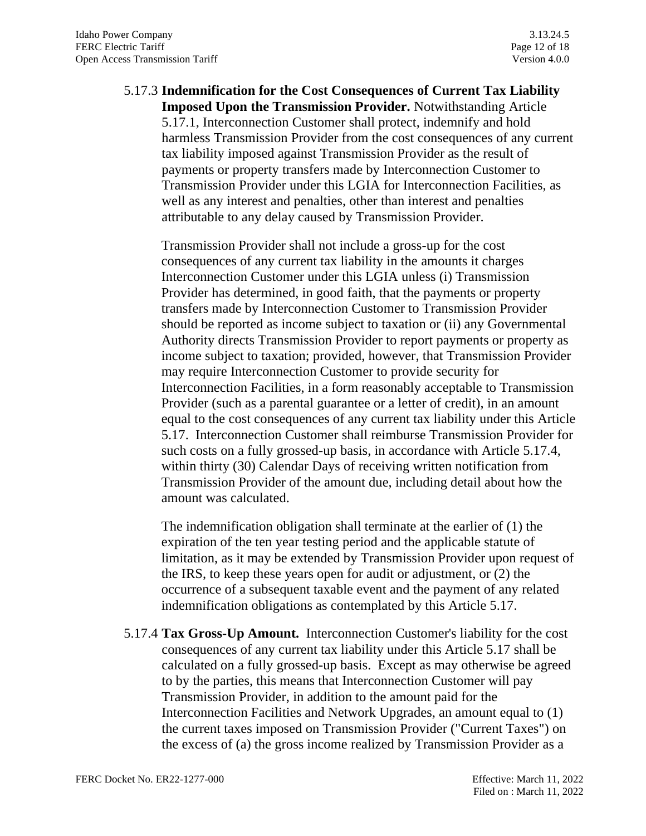# 5.17.3 **Indemnification for the Cost Consequences of Current Tax Liability Imposed Upon the Transmission Provider.** Notwithstanding Article 5.17.1, Interconnection Customer shall protect, indemnify and hold harmless Transmission Provider from the cost consequences of any current tax liability imposed against Transmission Provider as the result of payments or property transfers made by Interconnection Customer to Transmission Provider under this LGIA for Interconnection Facilities, as well as any interest and penalties, other than interest and penalties attributable to any delay caused by Transmission Provider.

Transmission Provider shall not include a gross-up for the cost consequences of any current tax liability in the amounts it charges Interconnection Customer under this LGIA unless (i) Transmission Provider has determined, in good faith, that the payments or property transfers made by Interconnection Customer to Transmission Provider should be reported as income subject to taxation or (ii) any Governmental Authority directs Transmission Provider to report payments or property as income subject to taxation; provided, however, that Transmission Provider may require Interconnection Customer to provide security for Interconnection Facilities, in a form reasonably acceptable to Transmission Provider (such as a parental guarantee or a letter of credit), in an amount equal to the cost consequences of any current tax liability under this Article 5.17. Interconnection Customer shall reimburse Transmission Provider for such costs on a fully grossed-up basis, in accordance with Article 5.17.4, within thirty (30) Calendar Days of receiving written notification from Transmission Provider of the amount due, including detail about how the amount was calculated.

The indemnification obligation shall terminate at the earlier of (1) the expiration of the ten year testing period and the applicable statute of limitation, as it may be extended by Transmission Provider upon request of the IRS, to keep these years open for audit or adjustment, or (2) the occurrence of a subsequent taxable event and the payment of any related indemnification obligations as contemplated by this Article 5.17.

5.17.4 **Tax Gross-Up Amount.** Interconnection Customer's liability for the cost consequences of any current tax liability under this Article 5.17 shall be calculated on a fully grossed-up basis. Except as may otherwise be agreed to by the parties, this means that Interconnection Customer will pay Transmission Provider, in addition to the amount paid for the Interconnection Facilities and Network Upgrades, an amount equal to (1) the current taxes imposed on Transmission Provider ("Current Taxes") on the excess of (a) the gross income realized by Transmission Provider as a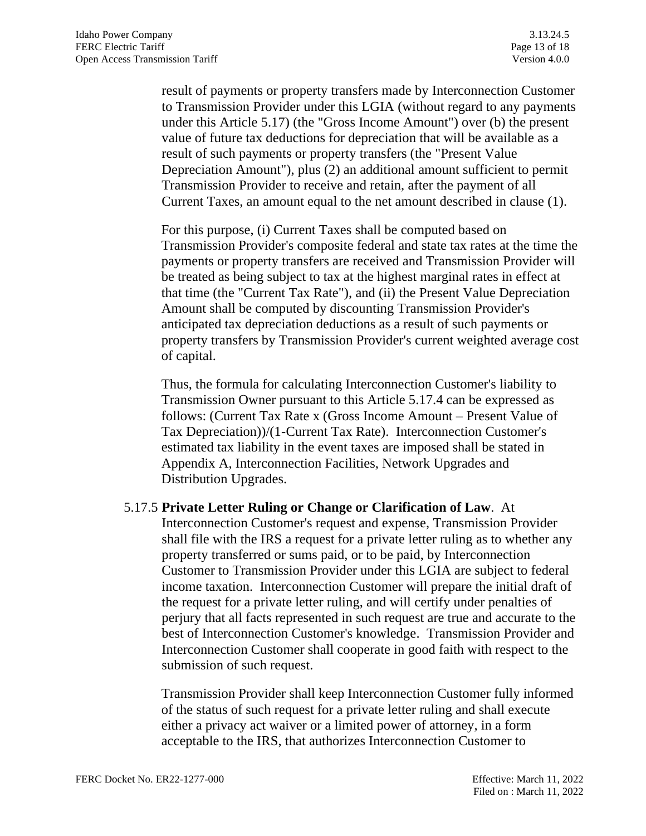result of payments or property transfers made by Interconnection Customer to Transmission Provider under this LGIA (without regard to any payments under this Article 5.17) (the "Gross Income Amount") over (b) the present value of future tax deductions for depreciation that will be available as a result of such payments or property transfers (the "Present Value Depreciation Amount"), plus (2) an additional amount sufficient to permit Transmission Provider to receive and retain, after the payment of all Current Taxes, an amount equal to the net amount described in clause (1).

For this purpose, (i) Current Taxes shall be computed based on Transmission Provider's composite federal and state tax rates at the time the payments or property transfers are received and Transmission Provider will be treated as being subject to tax at the highest marginal rates in effect at that time (the "Current Tax Rate"), and (ii) the Present Value Depreciation Amount shall be computed by discounting Transmission Provider's anticipated tax depreciation deductions as a result of such payments or property transfers by Transmission Provider's current weighted average cost of capital.

Thus, the formula for calculating Interconnection Customer's liability to Transmission Owner pursuant to this Article 5.17.4 can be expressed as follows: (Current Tax Rate x (Gross Income Amount – Present Value of Tax Depreciation))/(1-Current Tax Rate). Interconnection Customer's estimated tax liability in the event taxes are imposed shall be stated in Appendix A, Interconnection Facilities, Network Upgrades and Distribution Upgrades.

#### 5.17.5 **Private Letter Ruling or Change or Clarification of Law**. At

Interconnection Customer's request and expense, Transmission Provider shall file with the IRS a request for a private letter ruling as to whether any property transferred or sums paid, or to be paid, by Interconnection Customer to Transmission Provider under this LGIA are subject to federal income taxation. Interconnection Customer will prepare the initial draft of the request for a private letter ruling, and will certify under penalties of perjury that all facts represented in such request are true and accurate to the best of Interconnection Customer's knowledge. Transmission Provider and Interconnection Customer shall cooperate in good faith with respect to the submission of such request.

Transmission Provider shall keep Interconnection Customer fully informed of the status of such request for a private letter ruling and shall execute either a privacy act waiver or a limited power of attorney, in a form acceptable to the IRS, that authorizes Interconnection Customer to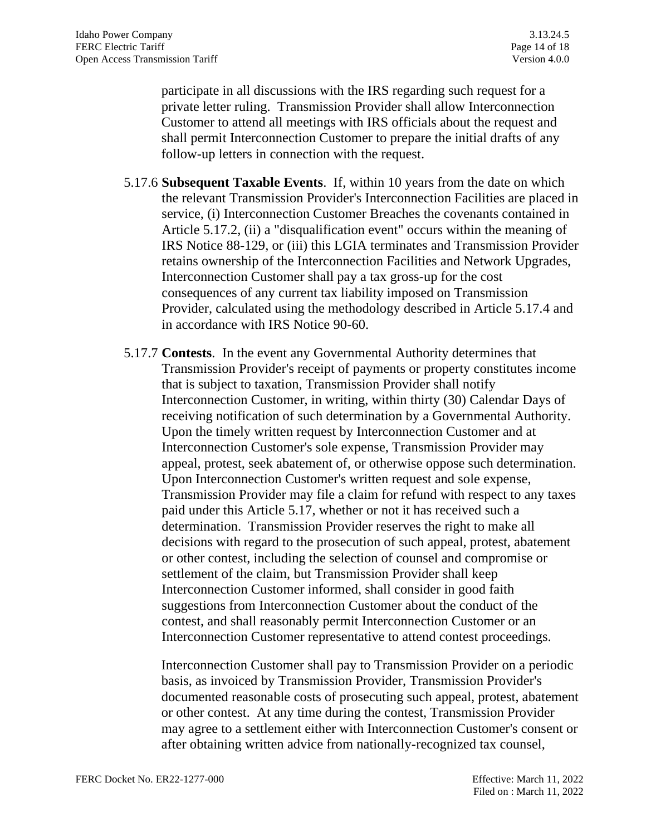participate in all discussions with the IRS regarding such request for a private letter ruling. Transmission Provider shall allow Interconnection Customer to attend all meetings with IRS officials about the request and shall permit Interconnection Customer to prepare the initial drafts of any follow-up letters in connection with the request.

- 5.17.6 **Subsequent Taxable Events**. If, within 10 years from the date on which the relevant Transmission Provider's Interconnection Facilities are placed in service, (i) Interconnection Customer Breaches the covenants contained in Article 5.17.2, (ii) a "disqualification event" occurs within the meaning of IRS Notice 88-129, or (iii) this LGIA terminates and Transmission Provider retains ownership of the Interconnection Facilities and Network Upgrades, Interconnection Customer shall pay a tax gross-up for the cost consequences of any current tax liability imposed on Transmission Provider, calculated using the methodology described in Article 5.17.4 and in accordance with IRS Notice 90-60.
- 5.17.7 **Contests**. In the event any Governmental Authority determines that Transmission Provider's receipt of payments or property constitutes income that is subject to taxation, Transmission Provider shall notify Interconnection Customer, in writing, within thirty (30) Calendar Days of receiving notification of such determination by a Governmental Authority. Upon the timely written request by Interconnection Customer and at Interconnection Customer's sole expense, Transmission Provider may appeal, protest, seek abatement of, or otherwise oppose such determination. Upon Interconnection Customer's written request and sole expense, Transmission Provider may file a claim for refund with respect to any taxes paid under this Article 5.17, whether or not it has received such a determination. Transmission Provider reserves the right to make all decisions with regard to the prosecution of such appeal, protest, abatement or other contest, including the selection of counsel and compromise or settlement of the claim, but Transmission Provider shall keep Interconnection Customer informed, shall consider in good faith suggestions from Interconnection Customer about the conduct of the contest, and shall reasonably permit Interconnection Customer or an Interconnection Customer representative to attend contest proceedings.

Interconnection Customer shall pay to Transmission Provider on a periodic basis, as invoiced by Transmission Provider, Transmission Provider's documented reasonable costs of prosecuting such appeal, protest, abatement or other contest. At any time during the contest, Transmission Provider may agree to a settlement either with Interconnection Customer's consent or after obtaining written advice from nationally-recognized tax counsel,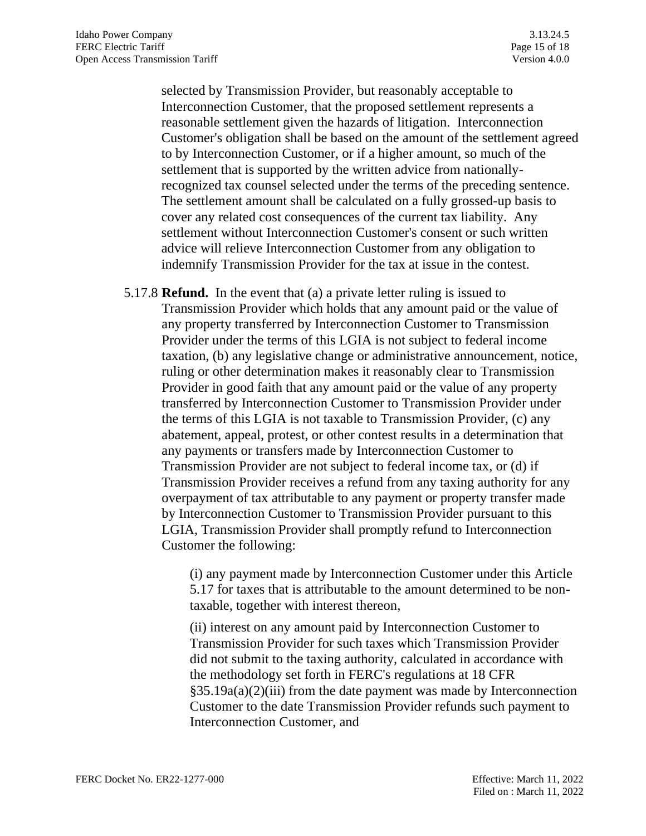selected by Transmission Provider, but reasonably acceptable to Interconnection Customer, that the proposed settlement represents a reasonable settlement given the hazards of litigation. Interconnection Customer's obligation shall be based on the amount of the settlement agreed to by Interconnection Customer, or if a higher amount, so much of the settlement that is supported by the written advice from nationallyrecognized tax counsel selected under the terms of the preceding sentence. The settlement amount shall be calculated on a fully grossed-up basis to cover any related cost consequences of the current tax liability. Any settlement without Interconnection Customer's consent or such written advice will relieve Interconnection Customer from any obligation to indemnify Transmission Provider for the tax at issue in the contest.

5.17.8 **Refund.** In the event that (a) a private letter ruling is issued to Transmission Provider which holds that any amount paid or the value of any property transferred by Interconnection Customer to Transmission Provider under the terms of this LGIA is not subject to federal income taxation, (b) any legislative change or administrative announcement, notice, ruling or other determination makes it reasonably clear to Transmission Provider in good faith that any amount paid or the value of any property transferred by Interconnection Customer to Transmission Provider under the terms of this LGIA is not taxable to Transmission Provider, (c) any abatement, appeal, protest, or other contest results in a determination that any payments or transfers made by Interconnection Customer to Transmission Provider are not subject to federal income tax, or (d) if Transmission Provider receives a refund from any taxing authority for any overpayment of tax attributable to any payment or property transfer made by Interconnection Customer to Transmission Provider pursuant to this LGIA, Transmission Provider shall promptly refund to Interconnection Customer the following:

> (i) any payment made by Interconnection Customer under this Article 5.17 for taxes that is attributable to the amount determined to be nontaxable, together with interest thereon,

> (ii) interest on any amount paid by Interconnection Customer to Transmission Provider for such taxes which Transmission Provider did not submit to the taxing authority, calculated in accordance with the methodology set forth in FERC's regulations at 18 CFR §35.19a(a)(2)(iii) from the date payment was made by Interconnection Customer to the date Transmission Provider refunds such payment to Interconnection Customer, and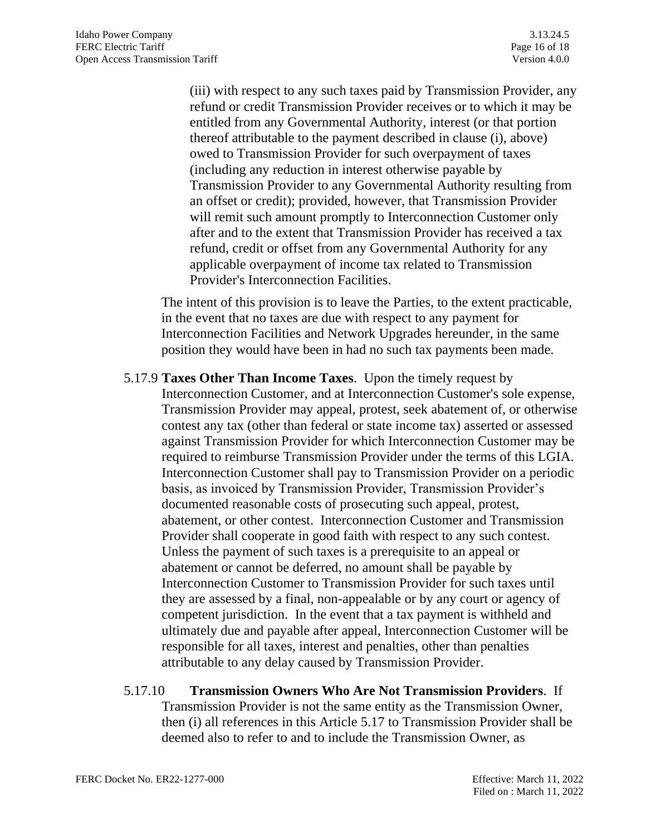(iii) with respect to any such taxes paid by Transmission Provider, any refund or credit Transmission Provider receives or to which it may be entitled from any Governmental Authority, interest (or that portion thereof attributable to the payment described in clause (i), above) owed to Transmission Provider for such overpayment of taxes (including any reduction in interest otherwise payable by Transmission Provider to any Governmental Authority resulting from an offset or credit); provided, however, that Transmission Provider will remit such amount promptly to Interconnection Customer only after and to the extent that Transmission Provider has received a tax refund, credit or offset from any Governmental Authority for any applicable overpayment of income tax related to Transmission Provider's Interconnection Facilities.

The intent of this provision is to leave the Parties, to the extent practicable, in the event that no taxes are due with respect to any payment for Interconnection Facilities and Network Upgrades hereunder, in the same position they would have been in had no such tax payments been made.

5.17.9 **Taxes Other Than Income Taxes**. Upon the timely request by Interconnection Customer, and at Interconnection Customer's sole expense, Transmission Provider may appeal, protest, seek abatement of, or otherwise contest any tax (other than federal or state income tax) asserted or assessed against Transmission Provider for which Interconnection Customer may be required to reimburse Transmission Provider under the terms of this LGIA. Interconnection Customer shall pay to Transmission Provider on a periodic basis, as invoiced by Transmission Provider, Transmission Provider's documented reasonable costs of prosecuting such appeal, protest, abatement, or other contest. Interconnection Customer and Transmission Provider shall cooperate in good faith with respect to any such contest. Unless the payment of such taxes is a prerequisite to an appeal or abatement or cannot be deferred, no amount shall be payable by Interconnection Customer to Transmission Provider for such taxes until they are assessed by a final, non-appealable or by any court or agency of competent jurisdiction. In the event that a tax payment is withheld and ultimately due and payable after appeal, Interconnection Customer will be responsible for all taxes, interest and penalties, other than penalties attributable to any delay caused by Transmission Provider.

#### 5.17.10 **Transmission Owners Who Are Not Transmission Providers**. If

Transmission Provider is not the same entity as the Transmission Owner, then (i) all references in this Article 5.17 to Transmission Provider shall be deemed also to refer to and to include the Transmission Owner, as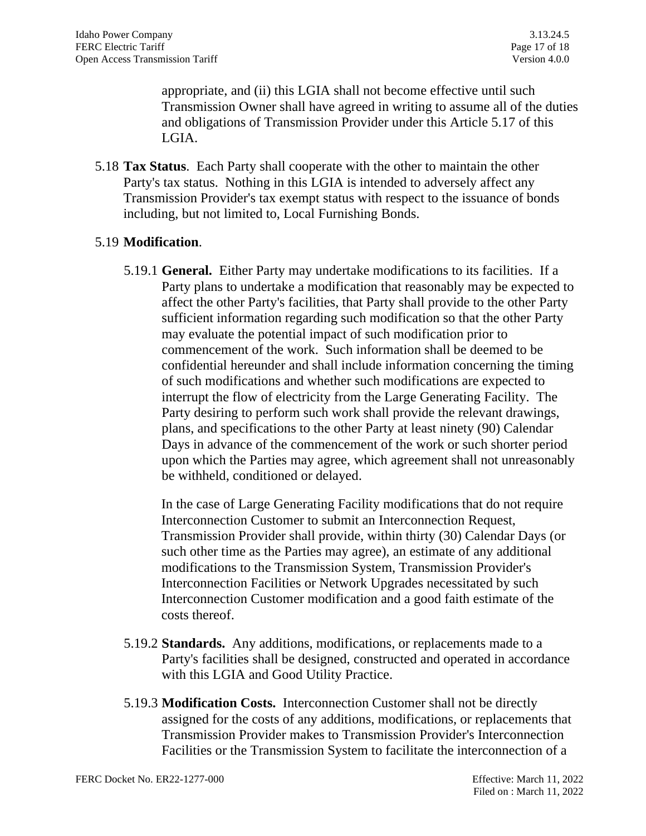appropriate, and (ii) this LGIA shall not become effective until such Transmission Owner shall have agreed in writing to assume all of the duties and obligations of Transmission Provider under this Article 5.17 of this LGIA.

5.18 **Tax Status**. Each Party shall cooperate with the other to maintain the other Party's tax status. Nothing in this LGIA is intended to adversely affect any Transmission Provider's tax exempt status with respect to the issuance of bonds including, but not limited to, Local Furnishing Bonds.

## 5.19 **Modification**.

5.19.1 **General.** Either Party may undertake modifications to its facilities. If a Party plans to undertake a modification that reasonably may be expected to affect the other Party's facilities, that Party shall provide to the other Party sufficient information regarding such modification so that the other Party may evaluate the potential impact of such modification prior to commencement of the work. Such information shall be deemed to be confidential hereunder and shall include information concerning the timing of such modifications and whether such modifications are expected to interrupt the flow of electricity from the Large Generating Facility. The Party desiring to perform such work shall provide the relevant drawings, plans, and specifications to the other Party at least ninety (90) Calendar Days in advance of the commencement of the work or such shorter period upon which the Parties may agree, which agreement shall not unreasonably be withheld, conditioned or delayed.

In the case of Large Generating Facility modifications that do not require Interconnection Customer to submit an Interconnection Request, Transmission Provider shall provide, within thirty (30) Calendar Days (or such other time as the Parties may agree), an estimate of any additional modifications to the Transmission System, Transmission Provider's Interconnection Facilities or Network Upgrades necessitated by such Interconnection Customer modification and a good faith estimate of the costs thereof.

- 5.19.2 **Standards.** Any additions, modifications, or replacements made to a Party's facilities shall be designed, constructed and operated in accordance with this LGIA and Good Utility Practice.
- 5.19.3 **Modification Costs.** Interconnection Customer shall not be directly assigned for the costs of any additions, modifications, or replacements that Transmission Provider makes to Transmission Provider's Interconnection Facilities or the Transmission System to facilitate the interconnection of a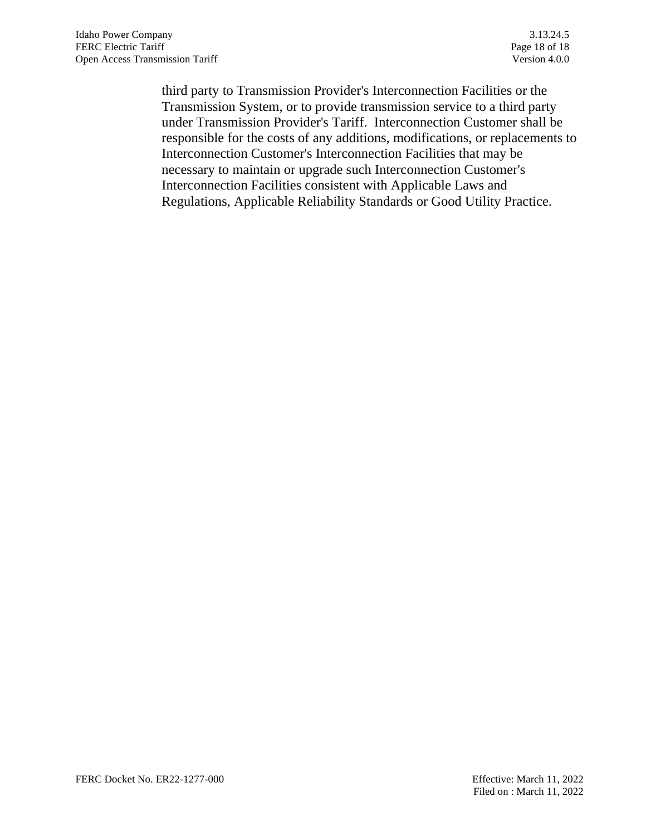third party to Transmission Provider's Interconnection Facilities or the Transmission System, or to provide transmission service to a third party under Transmission Provider's Tariff. Interconnection Customer shall be responsible for the costs of any additions, modifications, or replacements to Interconnection Customer's Interconnection Facilities that may be necessary to maintain or upgrade such Interconnection Customer's Interconnection Facilities consistent with Applicable Laws and Regulations, Applicable Reliability Standards or Good Utility Practice.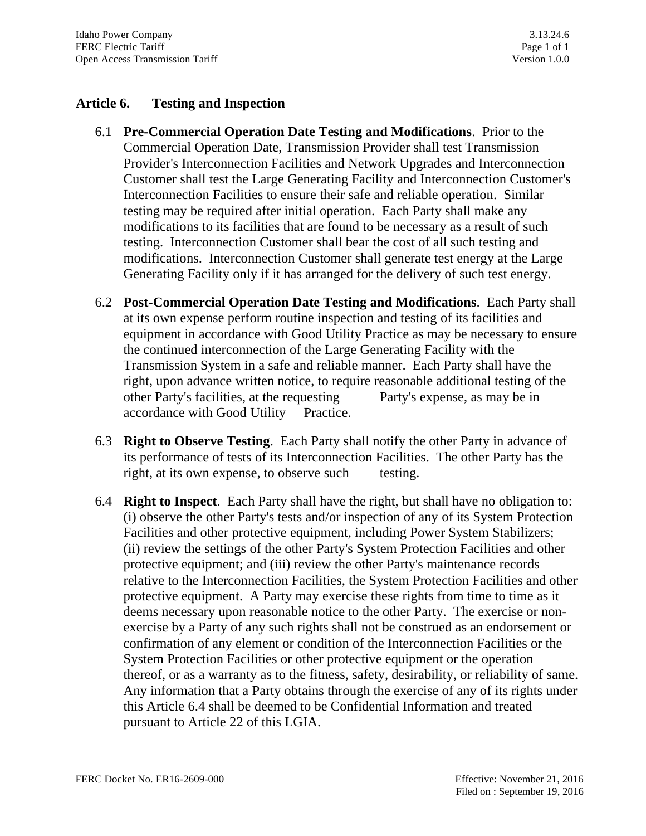## **Article 6. Testing and Inspection**

- 6.1 **Pre-Commercial Operation Date Testing and Modifications**. Prior to the Commercial Operation Date, Transmission Provider shall test Transmission Provider's Interconnection Facilities and Network Upgrades and Interconnection Customer shall test the Large Generating Facility and Interconnection Customer's Interconnection Facilities to ensure their safe and reliable operation. Similar testing may be required after initial operation. Each Party shall make any modifications to its facilities that are found to be necessary as a result of such testing. Interconnection Customer shall bear the cost of all such testing and modifications. Interconnection Customer shall generate test energy at the Large Generating Facility only if it has arranged for the delivery of such test energy.
- 6.2 **Post-Commercial Operation Date Testing and Modifications**. Each Party shall at its own expense perform routine inspection and testing of its facilities and equipment in accordance with Good Utility Practice as may be necessary to ensure the continued interconnection of the Large Generating Facility with the Transmission System in a safe and reliable manner. Each Party shall have the right, upon advance written notice, to require reasonable additional testing of the other Party's facilities, at the requesting Party's expense, as may be in accordance with Good Utility Practice.
- 6.3 **Right to Observe Testing**. Each Party shall notify the other Party in advance of its performance of tests of its Interconnection Facilities. The other Party has the right, at its own expense, to observe such testing.
- 6.4 **Right to Inspect**. Each Party shall have the right, but shall have no obligation to: (i) observe the other Party's tests and/or inspection of any of its System Protection Facilities and other protective equipment, including Power System Stabilizers; (ii) review the settings of the other Party's System Protection Facilities and other protective equipment; and (iii) review the other Party's maintenance records relative to the Interconnection Facilities, the System Protection Facilities and other protective equipment. A Party may exercise these rights from time to time as it deems necessary upon reasonable notice to the other Party. The exercise or nonexercise by a Party of any such rights shall not be construed as an endorsement or confirmation of any element or condition of the Interconnection Facilities or the System Protection Facilities or other protective equipment or the operation thereof, or as a warranty as to the fitness, safety, desirability, or reliability of same. Any information that a Party obtains through the exercise of any of its rights under this Article 6.4 shall be deemed to be Confidential Information and treated pursuant to Article 22 of this LGIA.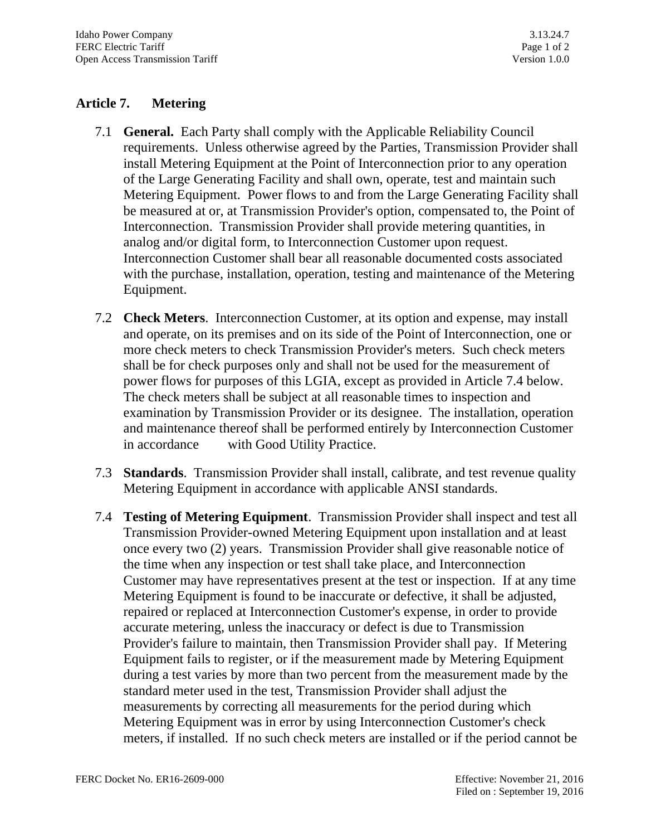# **Article 7. Metering**

- 7.1 **General.** Each Party shall comply with the Applicable Reliability Council requirements. Unless otherwise agreed by the Parties, Transmission Provider shall install Metering Equipment at the Point of Interconnection prior to any operation of the Large Generating Facility and shall own, operate, test and maintain such Metering Equipment. Power flows to and from the Large Generating Facility shall be measured at or, at Transmission Provider's option, compensated to, the Point of Interconnection. Transmission Provider shall provide metering quantities, in analog and/or digital form, to Interconnection Customer upon request. Interconnection Customer shall bear all reasonable documented costs associated with the purchase, installation, operation, testing and maintenance of the Metering Equipment.
- 7.2 **Check Meters**. Interconnection Customer, at its option and expense, may install and operate, on its premises and on its side of the Point of Interconnection, one or more check meters to check Transmission Provider's meters. Such check meters shall be for check purposes only and shall not be used for the measurement of power flows for purposes of this LGIA, except as provided in Article 7.4 below. The check meters shall be subject at all reasonable times to inspection and examination by Transmission Provider or its designee. The installation, operation and maintenance thereof shall be performed entirely by Interconnection Customer in accordance with Good Utility Practice.
- 7.3 **Standards**. Transmission Provider shall install, calibrate, and test revenue quality Metering Equipment in accordance with applicable ANSI standards.
- 7.4 **Testing of Metering Equipment**. Transmission Provider shall inspect and test all Transmission Provider-owned Metering Equipment upon installation and at least once every two (2) years. Transmission Provider shall give reasonable notice of the time when any inspection or test shall take place, and Interconnection Customer may have representatives present at the test or inspection. If at any time Metering Equipment is found to be inaccurate or defective, it shall be adjusted, repaired or replaced at Interconnection Customer's expense, in order to provide accurate metering, unless the inaccuracy or defect is due to Transmission Provider's failure to maintain, then Transmission Provider shall pay. If Metering Equipment fails to register, or if the measurement made by Metering Equipment during a test varies by more than two percent from the measurement made by the standard meter used in the test, Transmission Provider shall adjust the measurements by correcting all measurements for the period during which Metering Equipment was in error by using Interconnection Customer's check meters, if installed. If no such check meters are installed or if the period cannot be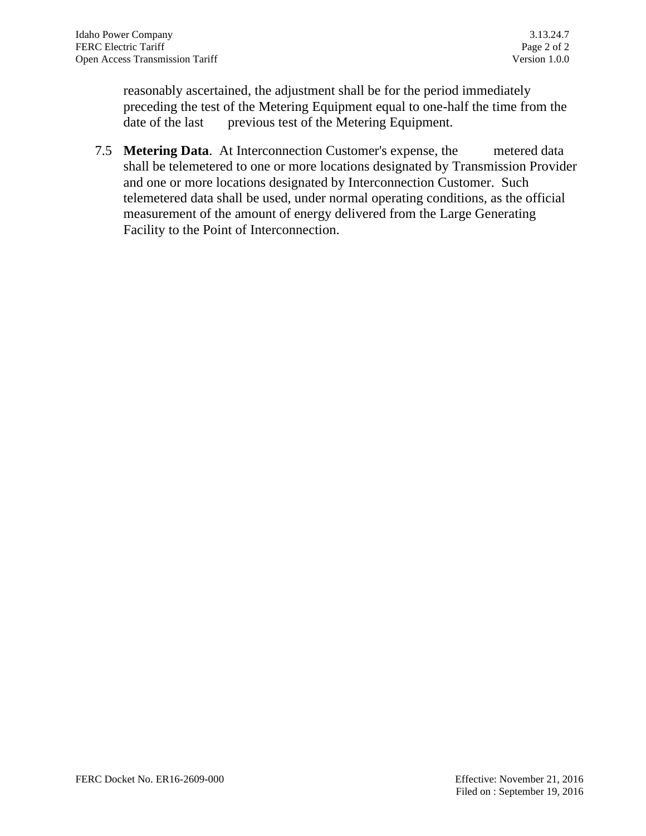reasonably ascertained, the adjustment shall be for the period immediately preceding the test of the Metering Equipment equal to one-half the time from the date of the last previous test of the Metering Equipment.

7.5 **Metering Data**. At Interconnection Customer's expense, the metered data shall be telemetered to one or more locations designated by Transmission Provider and one or more locations designated by Interconnection Customer. Such telemetered data shall be used, under normal operating conditions, as the official measurement of the amount of energy delivered from the Large Generating Facility to the Point of Interconnection.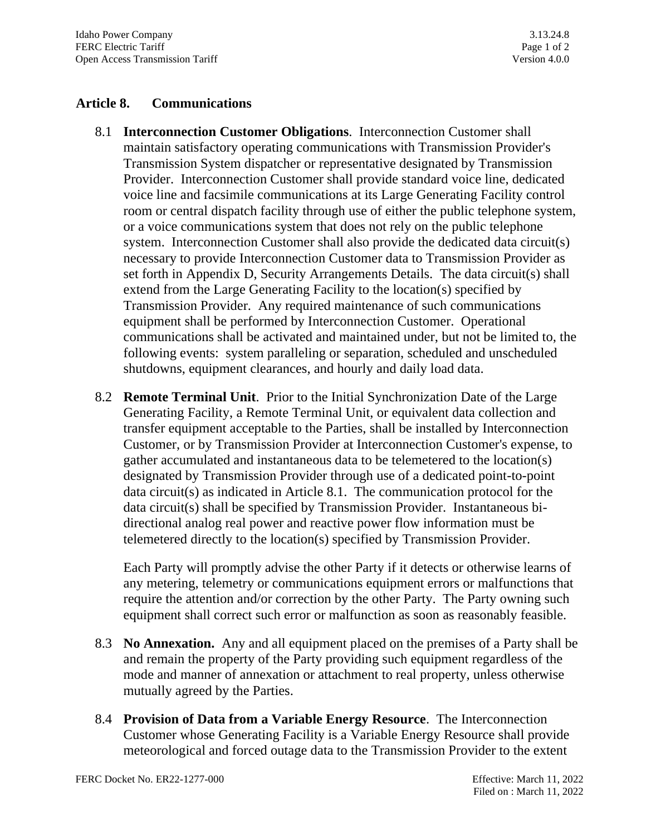### **Article 8. Communications**

- 8.1 **Interconnection Customer Obligations**. Interconnection Customer shall maintain satisfactory operating communications with Transmission Provider's Transmission System dispatcher or representative designated by Transmission Provider. Interconnection Customer shall provide standard voice line, dedicated voice line and facsimile communications at its Large Generating Facility control room or central dispatch facility through use of either the public telephone system, or a voice communications system that does not rely on the public telephone system. Interconnection Customer shall also provide the dedicated data circuit(s) necessary to provide Interconnection Customer data to Transmission Provider as set forth in Appendix D, Security Arrangements Details. The data circuit(s) shall extend from the Large Generating Facility to the location(s) specified by Transmission Provider. Any required maintenance of such communications equipment shall be performed by Interconnection Customer. Operational communications shall be activated and maintained under, but not be limited to, the following events: system paralleling or separation, scheduled and unscheduled shutdowns, equipment clearances, and hourly and daily load data.
- 8.2 **Remote Terminal Unit**. Prior to the Initial Synchronization Date of the Large Generating Facility, a Remote Terminal Unit, or equivalent data collection and transfer equipment acceptable to the Parties, shall be installed by Interconnection Customer, or by Transmission Provider at Interconnection Customer's expense, to gather accumulated and instantaneous data to be telemetered to the location(s) designated by Transmission Provider through use of a dedicated point-to-point data circuit(s) as indicated in Article 8.1. The communication protocol for the data circuit(s) shall be specified by Transmission Provider. Instantaneous bidirectional analog real power and reactive power flow information must be telemetered directly to the location(s) specified by Transmission Provider.

Each Party will promptly advise the other Party if it detects or otherwise learns of any metering, telemetry or communications equipment errors or malfunctions that require the attention and/or correction by the other Party. The Party owning such equipment shall correct such error or malfunction as soon as reasonably feasible.

- 8.3 **No Annexation.** Any and all equipment placed on the premises of a Party shall be and remain the property of the Party providing such equipment regardless of the mode and manner of annexation or attachment to real property, unless otherwise mutually agreed by the Parties.
- 8.4 **Provision of Data from a Variable Energy Resource**. The Interconnection Customer whose Generating Facility is a Variable Energy Resource shall provide meteorological and forced outage data to the Transmission Provider to the extent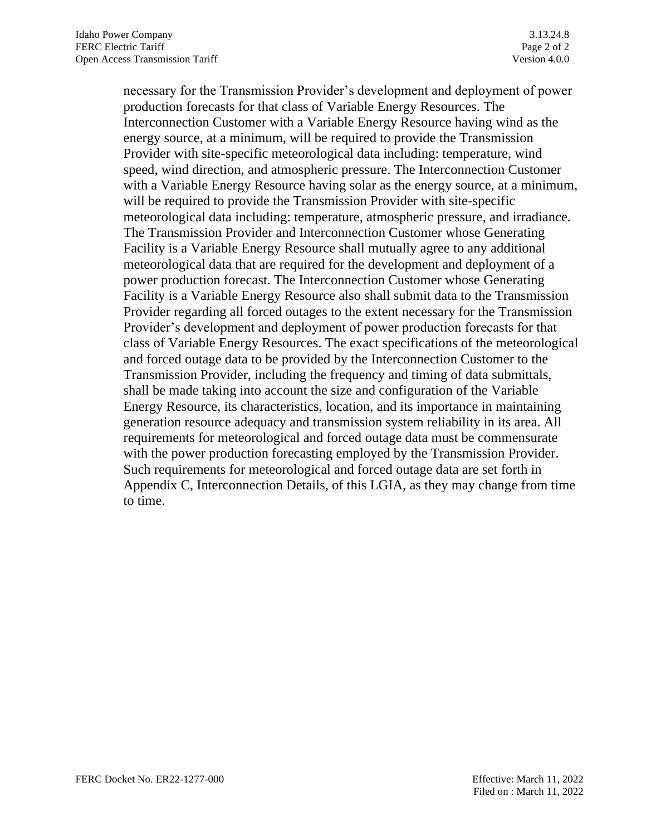necessary for the Transmission Provider's development and deployment of power production forecasts for that class of Variable Energy Resources. The Interconnection Customer with a Variable Energy Resource having wind as the energy source, at a minimum, will be required to provide the Transmission Provider with site-specific meteorological data including: temperature, wind speed, wind direction, and atmospheric pressure. The Interconnection Customer with a Variable Energy Resource having solar as the energy source, at a minimum, will be required to provide the Transmission Provider with site-specific meteorological data including: temperature, atmospheric pressure, and irradiance. The Transmission Provider and Interconnection Customer whose Generating Facility is a Variable Energy Resource shall mutually agree to any additional meteorological data that are required for the development and deployment of a power production forecast. The Interconnection Customer whose Generating Facility is a Variable Energy Resource also shall submit data to the Transmission Provider regarding all forced outages to the extent necessary for the Transmission Provider's development and deployment of power production forecasts for that class of Variable Energy Resources. The exact specifications of the meteorological and forced outage data to be provided by the Interconnection Customer to the Transmission Provider, including the frequency and timing of data submittals, shall be made taking into account the size and configuration of the Variable Energy Resource, its characteristics, location, and its importance in maintaining generation resource adequacy and transmission system reliability in its area. All requirements for meteorological and forced outage data must be commensurate with the power production forecasting employed by the Transmission Provider. Such requirements for meteorological and forced outage data are set forth in Appendix C, Interconnection Details, of this LGIA, as they may change from time to time.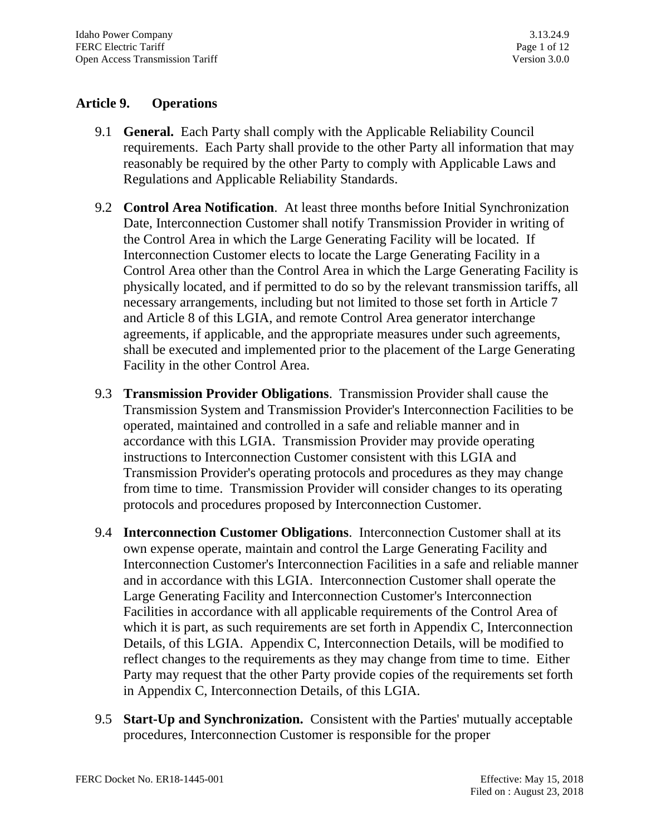# **Article 9. Operations**

- 9.1 **General.** Each Party shall comply with the Applicable Reliability Council requirements. Each Party shall provide to the other Party all information that may reasonably be required by the other Party to comply with Applicable Laws and Regulations and Applicable Reliability Standards.
- 9.2 **Control Area Notification**. At least three months before Initial Synchronization Date, Interconnection Customer shall notify Transmission Provider in writing of the Control Area in which the Large Generating Facility will be located. If Interconnection Customer elects to locate the Large Generating Facility in a Control Area other than the Control Area in which the Large Generating Facility is physically located, and if permitted to do so by the relevant transmission tariffs, all necessary arrangements, including but not limited to those set forth in Article 7 and Article 8 of this LGIA, and remote Control Area generator interchange agreements, if applicable, and the appropriate measures under such agreements, shall be executed and implemented prior to the placement of the Large Generating Facility in the other Control Area.
- 9.3 **Transmission Provider Obligations**. Transmission Provider shall cause the Transmission System and Transmission Provider's Interconnection Facilities to be operated, maintained and controlled in a safe and reliable manner and in accordance with this LGIA. Transmission Provider may provide operating instructions to Interconnection Customer consistent with this LGIA and Transmission Provider's operating protocols and procedures as they may change from time to time. Transmission Provider will consider changes to its operating protocols and procedures proposed by Interconnection Customer.
- 9.4 **Interconnection Customer Obligations**. Interconnection Customer shall at its own expense operate, maintain and control the Large Generating Facility and Interconnection Customer's Interconnection Facilities in a safe and reliable manner and in accordance with this LGIA. Interconnection Customer shall operate the Large Generating Facility and Interconnection Customer's Interconnection Facilities in accordance with all applicable requirements of the Control Area of which it is part, as such requirements are set forth in Appendix C, Interconnection Details, of this LGIA. Appendix C, Interconnection Details, will be modified to reflect changes to the requirements as they may change from time to time. Either Party may request that the other Party provide copies of the requirements set forth in Appendix C, Interconnection Details, of this LGIA.
- 9.5 **Start-Up and Synchronization.** Consistent with the Parties' mutually acceptable procedures, Interconnection Customer is responsible for the proper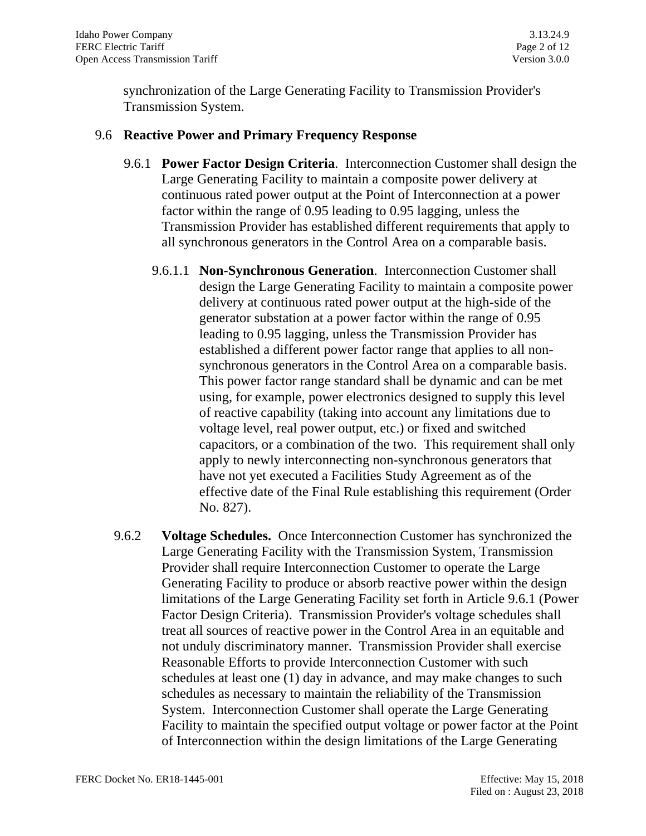synchronization of the Large Generating Facility to Transmission Provider's Transmission System.

### 9.6 **Reactive Power and Primary Frequency Response**

- 9.6.1 **Power Factor Design Criteria**. Interconnection Customer shall design the Large Generating Facility to maintain a composite power delivery at continuous rated power output at the Point of Interconnection at a power factor within the range of 0.95 leading to 0.95 lagging, unless the Transmission Provider has established different requirements that apply to all synchronous generators in the Control Area on a comparable basis.
	- 9.6.1.1 **Non-Synchronous Generation**. Interconnection Customer shall design the Large Generating Facility to maintain a composite power delivery at continuous rated power output at the high-side of the generator substation at a power factor within the range of 0.95 leading to 0.95 lagging, unless the Transmission Provider has established a different power factor range that applies to all nonsynchronous generators in the Control Area on a comparable basis. This power factor range standard shall be dynamic and can be met using, for example, power electronics designed to supply this level of reactive capability (taking into account any limitations due to voltage level, real power output, etc.) or fixed and switched capacitors, or a combination of the two. This requirement shall only apply to newly interconnecting non-synchronous generators that have not yet executed a Facilities Study Agreement as of the effective date of the Final Rule establishing this requirement (Order No. 827).
- 9.6.2 **Voltage Schedules.** Once Interconnection Customer has synchronized the Large Generating Facility with the Transmission System, Transmission Provider shall require Interconnection Customer to operate the Large Generating Facility to produce or absorb reactive power within the design limitations of the Large Generating Facility set forth in Article 9.6.1 (Power Factor Design Criteria). Transmission Provider's voltage schedules shall treat all sources of reactive power in the Control Area in an equitable and not unduly discriminatory manner. Transmission Provider shall exercise Reasonable Efforts to provide Interconnection Customer with such schedules at least one (1) day in advance, and may make changes to such schedules as necessary to maintain the reliability of the Transmission System. Interconnection Customer shall operate the Large Generating Facility to maintain the specified output voltage or power factor at the Point of Interconnection within the design limitations of the Large Generating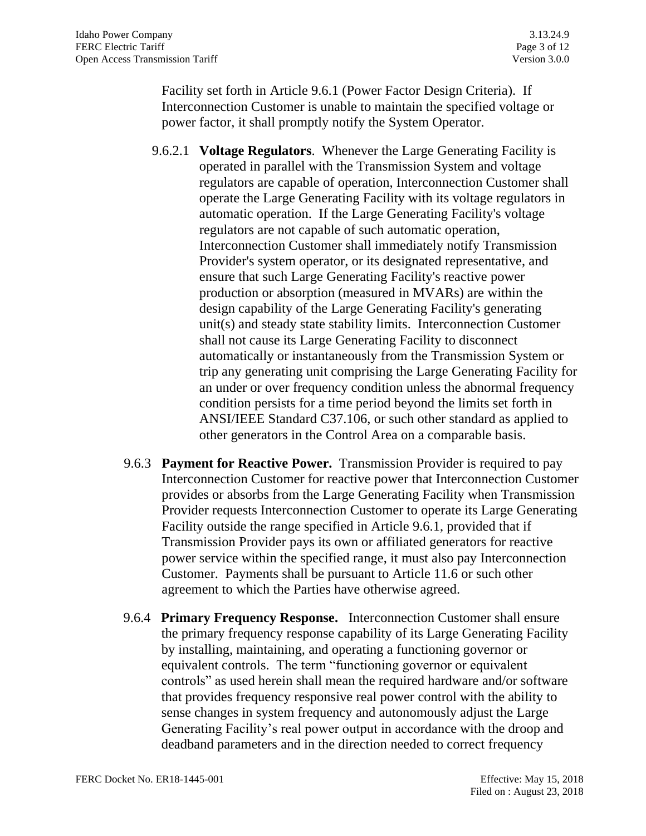Facility set forth in Article 9.6.1 (Power Factor Design Criteria). If Interconnection Customer is unable to maintain the specified voltage or power factor, it shall promptly notify the System Operator.

- 9.6.2.1 **Voltage Regulators**. Whenever the Large Generating Facility is operated in parallel with the Transmission System and voltage regulators are capable of operation, Interconnection Customer shall operate the Large Generating Facility with its voltage regulators in automatic operation. If the Large Generating Facility's voltage regulators are not capable of such automatic operation, Interconnection Customer shall immediately notify Transmission Provider's system operator, or its designated representative, and ensure that such Large Generating Facility's reactive power production or absorption (measured in MVARs) are within the design capability of the Large Generating Facility's generating unit(s) and steady state stability limits. Interconnection Customer shall not cause its Large Generating Facility to disconnect automatically or instantaneously from the Transmission System or trip any generating unit comprising the Large Generating Facility for an under or over frequency condition unless the abnormal frequency condition persists for a time period beyond the limits set forth in ANSI/IEEE Standard C37.106, or such other standard as applied to other generators in the Control Area on a comparable basis.
- 9.6.3 **Payment for Reactive Power.** Transmission Provider is required to pay Interconnection Customer for reactive power that Interconnection Customer provides or absorbs from the Large Generating Facility when Transmission Provider requests Interconnection Customer to operate its Large Generating Facility outside the range specified in Article 9.6.1, provided that if Transmission Provider pays its own or affiliated generators for reactive power service within the specified range, it must also pay Interconnection Customer. Payments shall be pursuant to Article 11.6 or such other agreement to which the Parties have otherwise agreed.
- 9.6.4 **Primary Frequency Response.** Interconnection Customer shall ensure the primary frequency response capability of its Large Generating Facility by installing, maintaining, and operating a functioning governor or equivalent controls. The term "functioning governor or equivalent controls" as used herein shall mean the required hardware and/or software that provides frequency responsive real power control with the ability to sense changes in system frequency and autonomously adjust the Large Generating Facility's real power output in accordance with the droop and deadband parameters and in the direction needed to correct frequency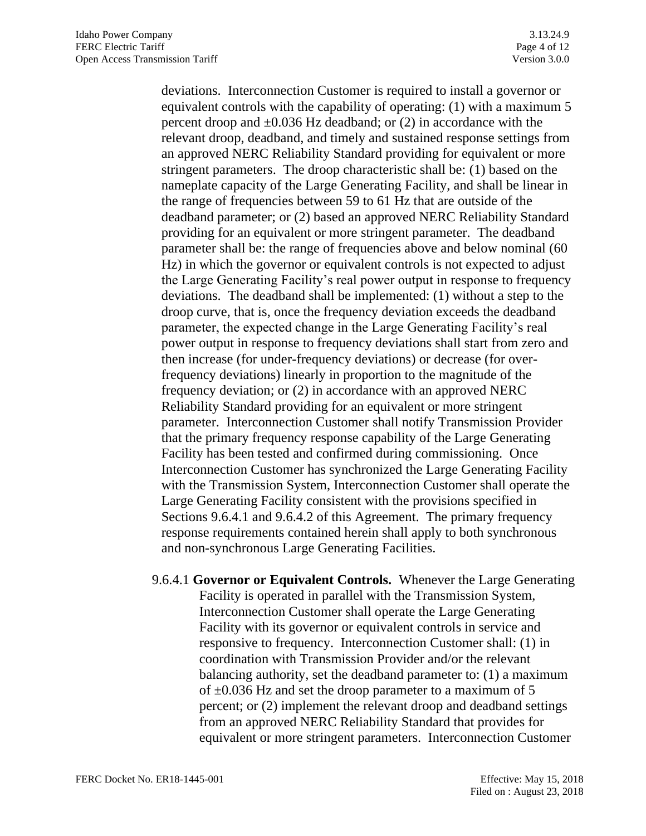deviations. Interconnection Customer is required to install a governor or equivalent controls with the capability of operating: (1) with a maximum 5 percent droop and  $\pm 0.036$  Hz deadband; or (2) in accordance with the relevant droop, deadband, and timely and sustained response settings from an approved NERC Reliability Standard providing for equivalent or more stringent parameters. The droop characteristic shall be: (1) based on the nameplate capacity of the Large Generating Facility, and shall be linear in the range of frequencies between 59 to 61 Hz that are outside of the deadband parameter; or (2) based an approved NERC Reliability Standard providing for an equivalent or more stringent parameter. The deadband parameter shall be: the range of frequencies above and below nominal (60 Hz) in which the governor or equivalent controls is not expected to adjust the Large Generating Facility's real power output in response to frequency deviations. The deadband shall be implemented: (1) without a step to the droop curve, that is, once the frequency deviation exceeds the deadband parameter, the expected change in the Large Generating Facility's real power output in response to frequency deviations shall start from zero and then increase (for under-frequency deviations) or decrease (for overfrequency deviations) linearly in proportion to the magnitude of the frequency deviation; or (2) in accordance with an approved NERC Reliability Standard providing for an equivalent or more stringent parameter. Interconnection Customer shall notify Transmission Provider that the primary frequency response capability of the Large Generating Facility has been tested and confirmed during commissioning. Once Interconnection Customer has synchronized the Large Generating Facility with the Transmission System, Interconnection Customer shall operate the Large Generating Facility consistent with the provisions specified in Sections 9.6.4.1 and 9.6.4.2 of this Agreement. The primary frequency response requirements contained herein shall apply to both synchronous and non-synchronous Large Generating Facilities.

9.6.4.1 **Governor or Equivalent Controls.** Whenever the Large Generating Facility is operated in parallel with the Transmission System, Interconnection Customer shall operate the Large Generating Facility with its governor or equivalent controls in service and responsive to frequency. Interconnection Customer shall: (1) in coordination with Transmission Provider and/or the relevant balancing authority, set the deadband parameter to: (1) a maximum of  $\pm 0.036$  Hz and set the droop parameter to a maximum of 5 percent; or (2) implement the relevant droop and deadband settings from an approved NERC Reliability Standard that provides for equivalent or more stringent parameters. Interconnection Customer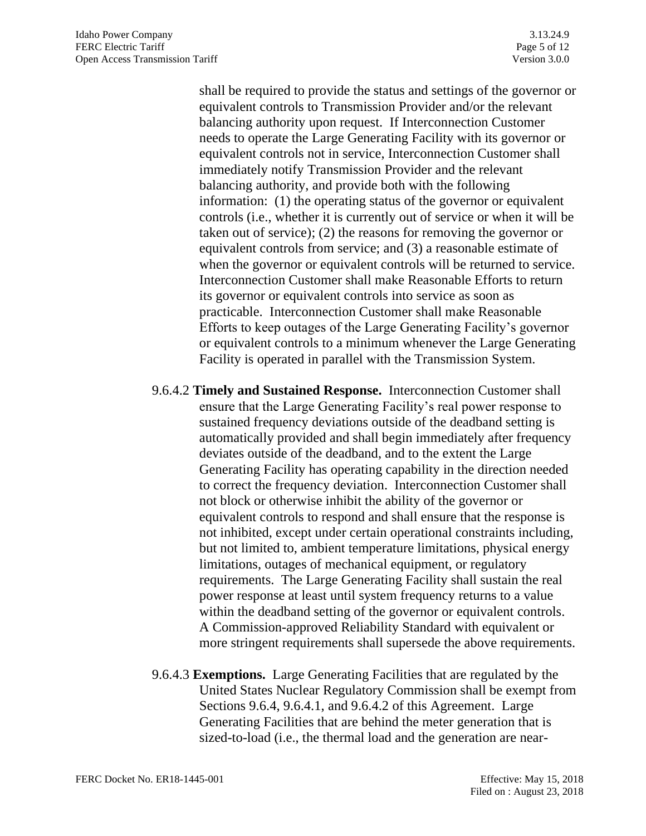shall be required to provide the status and settings of the governor or equivalent controls to Transmission Provider and/or the relevant balancing authority upon request. If Interconnection Customer needs to operate the Large Generating Facility with its governor or equivalent controls not in service, Interconnection Customer shall immediately notify Transmission Provider and the relevant balancing authority, and provide both with the following information: (1) the operating status of the governor or equivalent controls (i.e., whether it is currently out of service or when it will be taken out of service); (2) the reasons for removing the governor or equivalent controls from service; and (3) a reasonable estimate of when the governor or equivalent controls will be returned to service. Interconnection Customer shall make Reasonable Efforts to return its governor or equivalent controls into service as soon as practicable. Interconnection Customer shall make Reasonable Efforts to keep outages of the Large Generating Facility's governor or equivalent controls to a minimum whenever the Large Generating Facility is operated in parallel with the Transmission System.

- 9.6.4.2 **Timely and Sustained Response.** Interconnection Customer shall ensure that the Large Generating Facility's real power response to sustained frequency deviations outside of the deadband setting is automatically provided and shall begin immediately after frequency deviates outside of the deadband, and to the extent the Large Generating Facility has operating capability in the direction needed to correct the frequency deviation. Interconnection Customer shall not block or otherwise inhibit the ability of the governor or equivalent controls to respond and shall ensure that the response is not inhibited, except under certain operational constraints including, but not limited to, ambient temperature limitations, physical energy limitations, outages of mechanical equipment, or regulatory requirements. The Large Generating Facility shall sustain the real power response at least until system frequency returns to a value within the deadband setting of the governor or equivalent controls. A Commission-approved Reliability Standard with equivalent or more stringent requirements shall supersede the above requirements.
- 9.6.4.3 **Exemptions.** Large Generating Facilities that are regulated by the United States Nuclear Regulatory Commission shall be exempt from Sections 9.6.4, 9.6.4.1, and 9.6.4.2 of this Agreement. Large Generating Facilities that are behind the meter generation that is sized-to-load (i.e., the thermal load and the generation are near-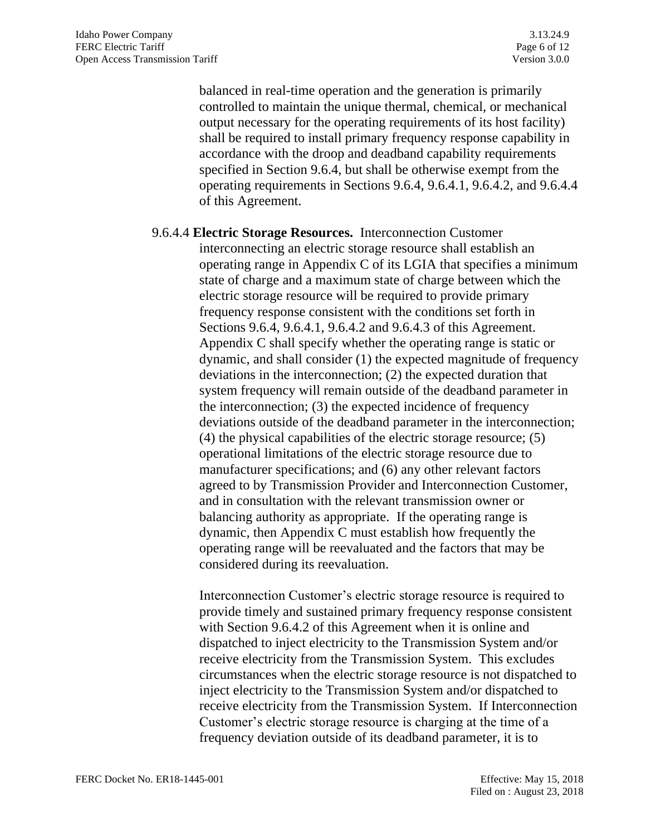balanced in real-time operation and the generation is primarily controlled to maintain the unique thermal, chemical, or mechanical output necessary for the operating requirements of its host facility) shall be required to install primary frequency response capability in accordance with the droop and deadband capability requirements specified in Section 9.6.4, but shall be otherwise exempt from the operating requirements in Sections 9.6.4, 9.6.4.1, 9.6.4.2, and 9.6.4.4 of this Agreement.

# 9.6.4.4 **Electric Storage Resources.** Interconnection Customer interconnecting an electric storage resource shall establish an operating range in Appendix C of its LGIA that specifies a minimum state of charge and a maximum state of charge between which the electric storage resource will be required to provide primary frequency response consistent with the conditions set forth in Sections 9.6.4, 9.6.4.1, 9.6.4.2 and 9.6.4.3 of this Agreement. Appendix C shall specify whether the operating range is static or dynamic, and shall consider (1) the expected magnitude of frequency deviations in the interconnection; (2) the expected duration that system frequency will remain outside of the deadband parameter in the interconnection; (3) the expected incidence of frequency deviations outside of the deadband parameter in the interconnection; (4) the physical capabilities of the electric storage resource; (5) operational limitations of the electric storage resource due to manufacturer specifications; and (6) any other relevant factors agreed to by Transmission Provider and Interconnection Customer, and in consultation with the relevant transmission owner or balancing authority as appropriate. If the operating range is dynamic, then Appendix C must establish how frequently the operating range will be reevaluated and the factors that may be considered during its reevaluation.

Interconnection Customer's electric storage resource is required to provide timely and sustained primary frequency response consistent with Section 9.6.4.2 of this Agreement when it is online and dispatched to inject electricity to the Transmission System and/or receive electricity from the Transmission System. This excludes circumstances when the electric storage resource is not dispatched to inject electricity to the Transmission System and/or dispatched to receive electricity from the Transmission System. If Interconnection Customer's electric storage resource is charging at the time of a frequency deviation outside of its deadband parameter, it is to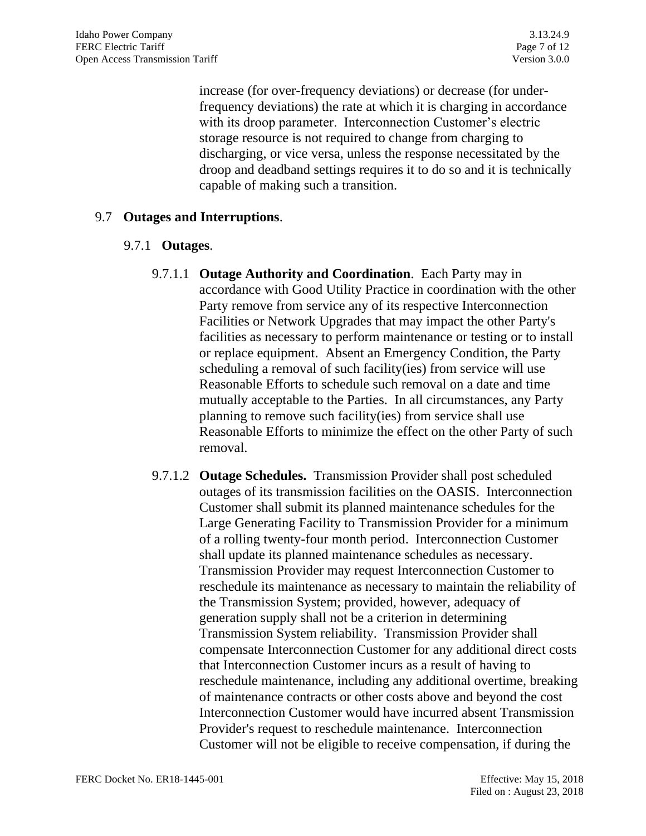increase (for over-frequency deviations) or decrease (for underfrequency deviations) the rate at which it is charging in accordance with its droop parameter. Interconnection Customer's electric storage resource is not required to change from charging to discharging, or vice versa, unless the response necessitated by the droop and deadband settings requires it to do so and it is technically capable of making such a transition.

# 9.7 **Outages and Interruptions**.

## 9.7.1 **Outages**.

- 9.7.1.1 **Outage Authority and Coordination**. Each Party may in accordance with Good Utility Practice in coordination with the other Party remove from service any of its respective Interconnection Facilities or Network Upgrades that may impact the other Party's facilities as necessary to perform maintenance or testing or to install or replace equipment. Absent an Emergency Condition, the Party scheduling a removal of such facility(ies) from service will use Reasonable Efforts to schedule such removal on a date and time mutually acceptable to the Parties. In all circumstances, any Party planning to remove such facility(ies) from service shall use Reasonable Efforts to minimize the effect on the other Party of such removal.
- 9.7.1.2 **Outage Schedules.** Transmission Provider shall post scheduled outages of its transmission facilities on the OASIS. Interconnection Customer shall submit its planned maintenance schedules for the Large Generating Facility to Transmission Provider for a minimum of a rolling twenty-four month period. Interconnection Customer shall update its planned maintenance schedules as necessary. Transmission Provider may request Interconnection Customer to reschedule its maintenance as necessary to maintain the reliability of the Transmission System; provided, however, adequacy of generation supply shall not be a criterion in determining Transmission System reliability. Transmission Provider shall compensate Interconnection Customer for any additional direct costs that Interconnection Customer incurs as a result of having to reschedule maintenance, including any additional overtime, breaking of maintenance contracts or other costs above and beyond the cost Interconnection Customer would have incurred absent Transmission Provider's request to reschedule maintenance. Interconnection Customer will not be eligible to receive compensation, if during the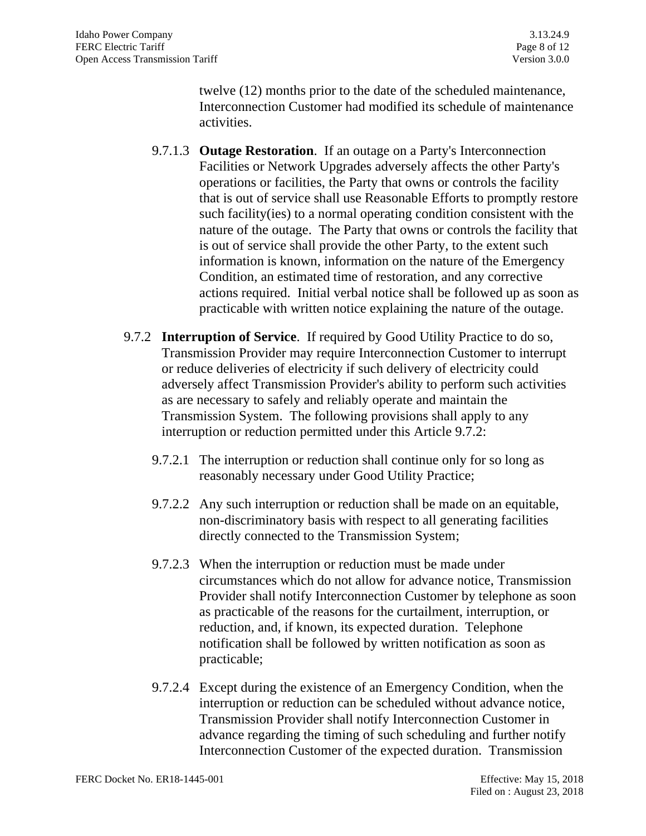twelve (12) months prior to the date of the scheduled maintenance, Interconnection Customer had modified its schedule of maintenance activities.

- 9.7.1.3 **Outage Restoration**. If an outage on a Party's Interconnection Facilities or Network Upgrades adversely affects the other Party's operations or facilities, the Party that owns or controls the facility that is out of service shall use Reasonable Efforts to promptly restore such facility(ies) to a normal operating condition consistent with the nature of the outage. The Party that owns or controls the facility that is out of service shall provide the other Party, to the extent such information is known, information on the nature of the Emergency Condition, an estimated time of restoration, and any corrective actions required. Initial verbal notice shall be followed up as soon as practicable with written notice explaining the nature of the outage.
- 9.7.2 **Interruption of Service**. If required by Good Utility Practice to do so, Transmission Provider may require Interconnection Customer to interrupt or reduce deliveries of electricity if such delivery of electricity could adversely affect Transmission Provider's ability to perform such activities as are necessary to safely and reliably operate and maintain the Transmission System. The following provisions shall apply to any interruption or reduction permitted under this Article 9.7.2:
	- 9.7.2.1 The interruption or reduction shall continue only for so long as reasonably necessary under Good Utility Practice;
	- 9.7.2.2 Any such interruption or reduction shall be made on an equitable, non-discriminatory basis with respect to all generating facilities directly connected to the Transmission System;
	- 9.7.2.3 When the interruption or reduction must be made under circumstances which do not allow for advance notice, Transmission Provider shall notify Interconnection Customer by telephone as soon as practicable of the reasons for the curtailment, interruption, or reduction, and, if known, its expected duration. Telephone notification shall be followed by written notification as soon as practicable;
	- 9.7.2.4 Except during the existence of an Emergency Condition, when the interruption or reduction can be scheduled without advance notice, Transmission Provider shall notify Interconnection Customer in advance regarding the timing of such scheduling and further notify Interconnection Customer of the expected duration. Transmission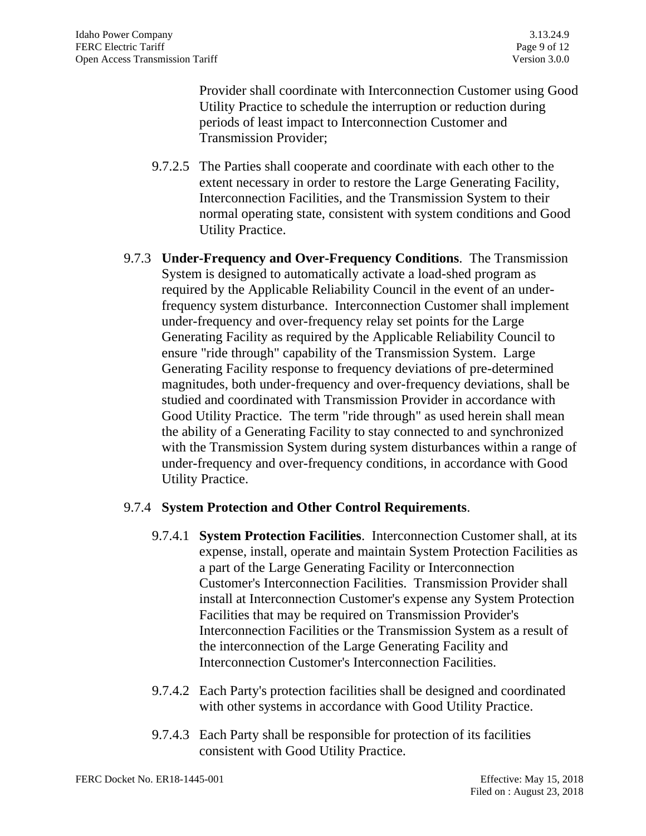Provider shall coordinate with Interconnection Customer using Good Utility Practice to schedule the interruption or reduction during periods of least impact to Interconnection Customer and Transmission Provider;

- 9.7.2.5 The Parties shall cooperate and coordinate with each other to the extent necessary in order to restore the Large Generating Facility, Interconnection Facilities, and the Transmission System to their normal operating state, consistent with system conditions and Good Utility Practice.
- 9.7.3 **Under-Frequency and Over-Frequency Conditions**. The Transmission System is designed to automatically activate a load-shed program as required by the Applicable Reliability Council in the event of an underfrequency system disturbance. Interconnection Customer shall implement under-frequency and over-frequency relay set points for the Large Generating Facility as required by the Applicable Reliability Council to ensure "ride through" capability of the Transmission System. Large Generating Facility response to frequency deviations of pre-determined magnitudes, both under-frequency and over-frequency deviations, shall be studied and coordinated with Transmission Provider in accordance with Good Utility Practice. The term "ride through" as used herein shall mean the ability of a Generating Facility to stay connected to and synchronized with the Transmission System during system disturbances within a range of under-frequency and over-frequency conditions, in accordance with Good Utility Practice.

## 9.7.4 **System Protection and Other Control Requirements**.

- 9.7.4.1 **System Protection Facilities**. Interconnection Customer shall, at its expense, install, operate and maintain System Protection Facilities as a part of the Large Generating Facility or Interconnection Customer's Interconnection Facilities. Transmission Provider shall install at Interconnection Customer's expense any System Protection Facilities that may be required on Transmission Provider's Interconnection Facilities or the Transmission System as a result of the interconnection of the Large Generating Facility and Interconnection Customer's Interconnection Facilities.
- 9.7.4.2 Each Party's protection facilities shall be designed and coordinated with other systems in accordance with Good Utility Practice.
- 9.7.4.3 Each Party shall be responsible for protection of its facilities consistent with Good Utility Practice.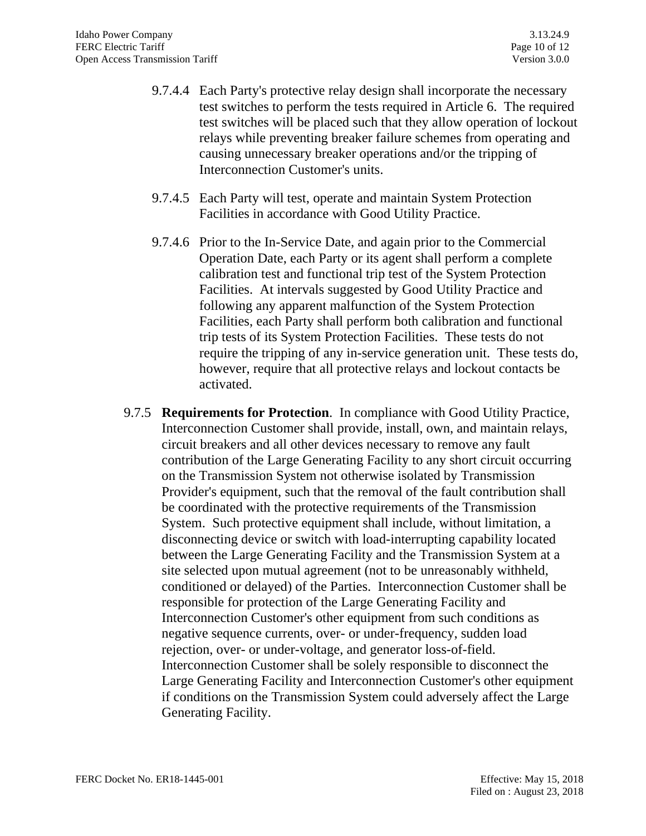- 9.7.4.4 Each Party's protective relay design shall incorporate the necessary test switches to perform the tests required in Article 6. The required test switches will be placed such that they allow operation of lockout relays while preventing breaker failure schemes from operating and causing unnecessary breaker operations and/or the tripping of Interconnection Customer's units.
- 9.7.4.5 Each Party will test, operate and maintain System Protection Facilities in accordance with Good Utility Practice.
- 9.7.4.6 Prior to the In-Service Date, and again prior to the Commercial Operation Date, each Party or its agent shall perform a complete calibration test and functional trip test of the System Protection Facilities. At intervals suggested by Good Utility Practice and following any apparent malfunction of the System Protection Facilities, each Party shall perform both calibration and functional trip tests of its System Protection Facilities. These tests do not require the tripping of any in-service generation unit. These tests do, however, require that all protective relays and lockout contacts be activated.
- 9.7.5 **Requirements for Protection**. In compliance with Good Utility Practice, Interconnection Customer shall provide, install, own, and maintain relays, circuit breakers and all other devices necessary to remove any fault contribution of the Large Generating Facility to any short circuit occurring on the Transmission System not otherwise isolated by Transmission Provider's equipment, such that the removal of the fault contribution shall be coordinated with the protective requirements of the Transmission System. Such protective equipment shall include, without limitation, a disconnecting device or switch with load-interrupting capability located between the Large Generating Facility and the Transmission System at a site selected upon mutual agreement (not to be unreasonably withheld, conditioned or delayed) of the Parties. Interconnection Customer shall be responsible for protection of the Large Generating Facility and Interconnection Customer's other equipment from such conditions as negative sequence currents, over- or under-frequency, sudden load rejection, over- or under-voltage, and generator loss-of-field. Interconnection Customer shall be solely responsible to disconnect the Large Generating Facility and Interconnection Customer's other equipment if conditions on the Transmission System could adversely affect the Large Generating Facility.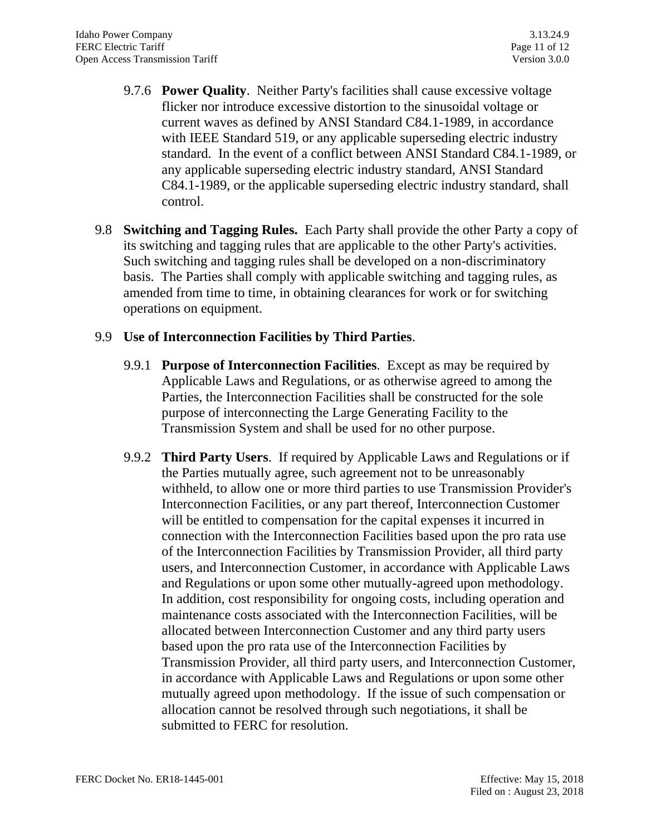- 9.7.6 **Power Quality**. Neither Party's facilities shall cause excessive voltage flicker nor introduce excessive distortion to the sinusoidal voltage or current waves as defined by ANSI Standard C84.1-1989, in accordance with IEEE Standard 519, or any applicable superseding electric industry standard. In the event of a conflict between ANSI Standard C84.1-1989, or any applicable superseding electric industry standard, ANSI Standard C84.1-1989, or the applicable superseding electric industry standard, shall control.
- 9.8 **Switching and Tagging Rules.** Each Party shall provide the other Party a copy of its switching and tagging rules that are applicable to the other Party's activities. Such switching and tagging rules shall be developed on a non-discriminatory basis. The Parties shall comply with applicable switching and tagging rules, as amended from time to time, in obtaining clearances for work or for switching operations on equipment.

#### 9.9 **Use of Interconnection Facilities by Third Parties**.

- 9.9.1 **Purpose of Interconnection Facilities**. Except as may be required by Applicable Laws and Regulations, or as otherwise agreed to among the Parties, the Interconnection Facilities shall be constructed for the sole purpose of interconnecting the Large Generating Facility to the Transmission System and shall be used for no other purpose.
- 9.9.2 **Third Party Users**. If required by Applicable Laws and Regulations or if the Parties mutually agree, such agreement not to be unreasonably withheld, to allow one or more third parties to use Transmission Provider's Interconnection Facilities, or any part thereof, Interconnection Customer will be entitled to compensation for the capital expenses it incurred in connection with the Interconnection Facilities based upon the pro rata use of the Interconnection Facilities by Transmission Provider, all third party users, and Interconnection Customer, in accordance with Applicable Laws and Regulations or upon some other mutually-agreed upon methodology. In addition, cost responsibility for ongoing costs, including operation and maintenance costs associated with the Interconnection Facilities, will be allocated between Interconnection Customer and any third party users based upon the pro rata use of the Interconnection Facilities by Transmission Provider, all third party users, and Interconnection Customer, in accordance with Applicable Laws and Regulations or upon some other mutually agreed upon methodology. If the issue of such compensation or allocation cannot be resolved through such negotiations, it shall be submitted to FERC for resolution.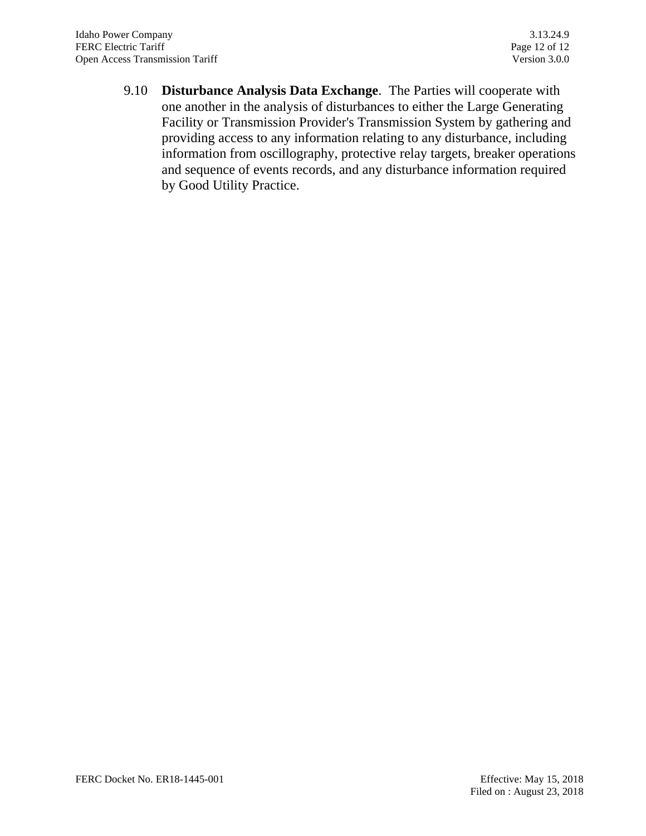9.10 **Disturbance Analysis Data Exchange**. The Parties will cooperate with one another in the analysis of disturbances to either the Large Generating Facility or Transmission Provider's Transmission System by gathering and providing access to any information relating to any disturbance, including information from oscillography, protective relay targets, breaker operations and sequence of events records, and any disturbance information required by Good Utility Practice.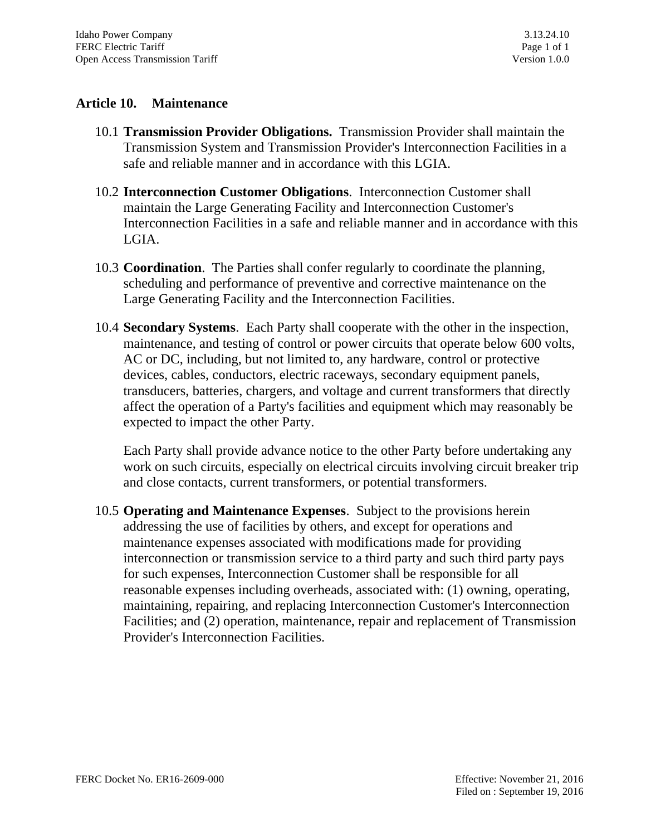### **Article 10. Maintenance**

- 10.1 **Transmission Provider Obligations.** Transmission Provider shall maintain the Transmission System and Transmission Provider's Interconnection Facilities in a safe and reliable manner and in accordance with this LGIA.
- 10.2 **Interconnection Customer Obligations**. Interconnection Customer shall maintain the Large Generating Facility and Interconnection Customer's Interconnection Facilities in a safe and reliable manner and in accordance with this LGIA.
- 10.3 **Coordination**. The Parties shall confer regularly to coordinate the planning, scheduling and performance of preventive and corrective maintenance on the Large Generating Facility and the Interconnection Facilities.
- 10.4 **Secondary Systems**. Each Party shall cooperate with the other in the inspection, maintenance, and testing of control or power circuits that operate below 600 volts, AC or DC, including, but not limited to, any hardware, control or protective devices, cables, conductors, electric raceways, secondary equipment panels, transducers, batteries, chargers, and voltage and current transformers that directly affect the operation of a Party's facilities and equipment which may reasonably be expected to impact the other Party.

Each Party shall provide advance notice to the other Party before undertaking any work on such circuits, especially on electrical circuits involving circuit breaker trip and close contacts, current transformers, or potential transformers.

10.5 **Operating and Maintenance Expenses**. Subject to the provisions herein addressing the use of facilities by others, and except for operations and maintenance expenses associated with modifications made for providing interconnection or transmission service to a third party and such third party pays for such expenses, Interconnection Customer shall be responsible for all reasonable expenses including overheads, associated with: (1) owning, operating, maintaining, repairing, and replacing Interconnection Customer's Interconnection Facilities; and (2) operation, maintenance, repair and replacement of Transmission Provider's Interconnection Facilities.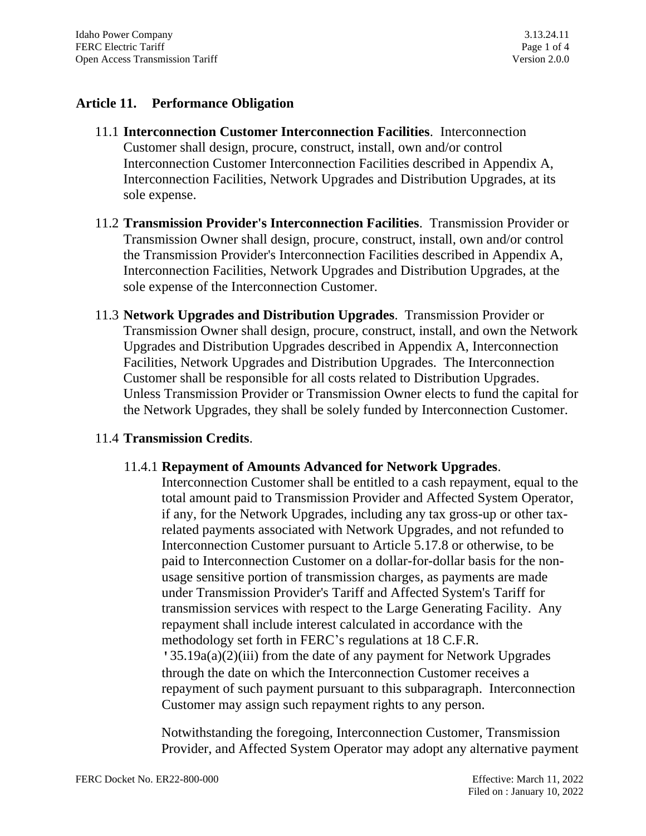## **Article 11. Performance Obligation**

- 11.1 **Interconnection Customer Interconnection Facilities**. Interconnection Customer shall design, procure, construct, install, own and/or control Interconnection Customer Interconnection Facilities described in Appendix A, Interconnection Facilities, Network Upgrades and Distribution Upgrades, at its sole expense.
- 11.2 **Transmission Provider's Interconnection Facilities**. Transmission Provider or Transmission Owner shall design, procure, construct, install, own and/or control the Transmission Provider's Interconnection Facilities described in Appendix A, Interconnection Facilities, Network Upgrades and Distribution Upgrades, at the sole expense of the Interconnection Customer.
- 11.3 **Network Upgrades and Distribution Upgrades**. Transmission Provider or Transmission Owner shall design, procure, construct, install, and own the Network Upgrades and Distribution Upgrades described in Appendix A, Interconnection Facilities, Network Upgrades and Distribution Upgrades. The Interconnection Customer shall be responsible for all costs related to Distribution Upgrades. Unless Transmission Provider or Transmission Owner elects to fund the capital for the Network Upgrades, they shall be solely funded by Interconnection Customer.

## 11.4 **Transmission Credits**.

#### 11.4.1 **Repayment of Amounts Advanced for Network Upgrades**.

Interconnection Customer shall be entitled to a cash repayment, equal to the total amount paid to Transmission Provider and Affected System Operator, if any, for the Network Upgrades, including any tax gross-up or other taxrelated payments associated with Network Upgrades, and not refunded to Interconnection Customer pursuant to Article 5.17.8 or otherwise, to be paid to Interconnection Customer on a dollar-for-dollar basis for the nonusage sensitive portion of transmission charges, as payments are made under Transmission Provider's Tariff and Affected System's Tariff for transmission services with respect to the Large Generating Facility. Any repayment shall include interest calculated in accordance with the methodology set forth in FERC's regulations at 18 C.F.R. '35.19a(a)(2)(iii) from the date of any payment for Network Upgrades through the date on which the Interconnection Customer receives a repayment of such payment pursuant to this subparagraph. Interconnection Customer may assign such repayment rights to any person.

Notwithstanding the foregoing, Interconnection Customer, Transmission Provider, and Affected System Operator may adopt any alternative payment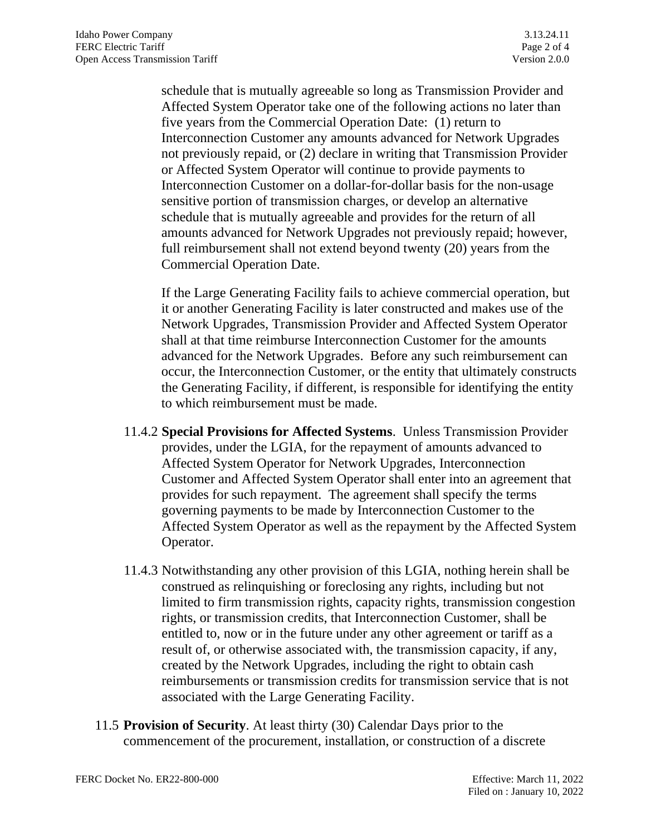schedule that is mutually agreeable so long as Transmission Provider and Affected System Operator take one of the following actions no later than five years from the Commercial Operation Date: (1) return to Interconnection Customer any amounts advanced for Network Upgrades not previously repaid, or (2) declare in writing that Transmission Provider or Affected System Operator will continue to provide payments to Interconnection Customer on a dollar-for-dollar basis for the non-usage sensitive portion of transmission charges, or develop an alternative schedule that is mutually agreeable and provides for the return of all amounts advanced for Network Upgrades not previously repaid; however, full reimbursement shall not extend beyond twenty (20) years from the Commercial Operation Date.

If the Large Generating Facility fails to achieve commercial operation, but it or another Generating Facility is later constructed and makes use of the Network Upgrades, Transmission Provider and Affected System Operator shall at that time reimburse Interconnection Customer for the amounts advanced for the Network Upgrades. Before any such reimbursement can occur, the Interconnection Customer, or the entity that ultimately constructs the Generating Facility, if different, is responsible for identifying the entity to which reimbursement must be made.

- 11.4.2 **Special Provisions for Affected Systems**. Unless Transmission Provider provides, under the LGIA, for the repayment of amounts advanced to Affected System Operator for Network Upgrades, Interconnection Customer and Affected System Operator shall enter into an agreement that provides for such repayment. The agreement shall specify the terms governing payments to be made by Interconnection Customer to the Affected System Operator as well as the repayment by the Affected System Operator.
- 11.4.3 Notwithstanding any other provision of this LGIA, nothing herein shall be construed as relinquishing or foreclosing any rights, including but not limited to firm transmission rights, capacity rights, transmission congestion rights, or transmission credits, that Interconnection Customer, shall be entitled to, now or in the future under any other agreement or tariff as a result of, or otherwise associated with, the transmission capacity, if any, created by the Network Upgrades, including the right to obtain cash reimbursements or transmission credits for transmission service that is not associated with the Large Generating Facility.
- 11.5 **Provision of Security**. At least thirty (30) Calendar Days prior to the commencement of the procurement, installation, or construction of a discrete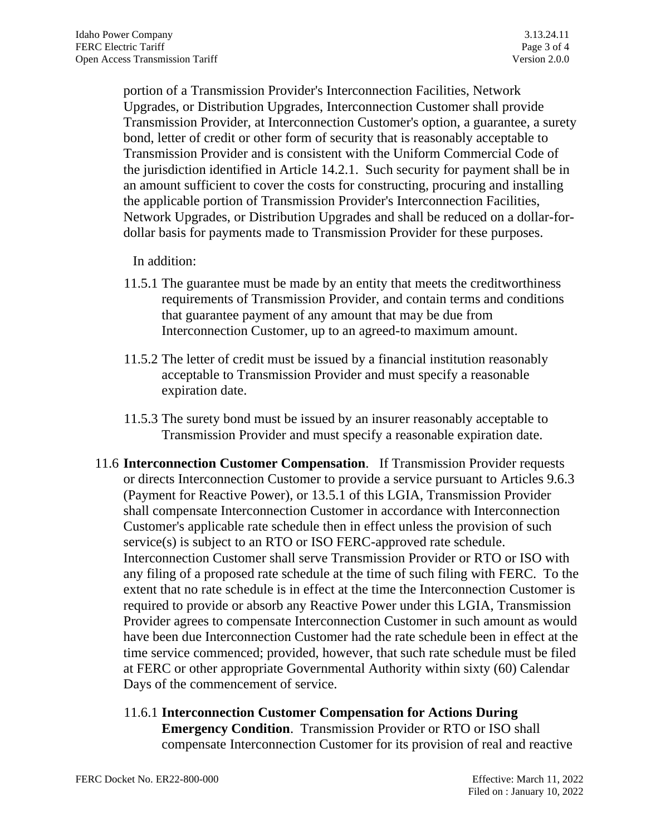portion of a Transmission Provider's Interconnection Facilities, Network Upgrades, or Distribution Upgrades, Interconnection Customer shall provide Transmission Provider, at Interconnection Customer's option, a guarantee, a surety bond, letter of credit or other form of security that is reasonably acceptable to Transmission Provider and is consistent with the Uniform Commercial Code of the jurisdiction identified in Article 14.2.1. Such security for payment shall be in an amount sufficient to cover the costs for constructing, procuring and installing the applicable portion of Transmission Provider's Interconnection Facilities, Network Upgrades, or Distribution Upgrades and shall be reduced on a dollar-fordollar basis for payments made to Transmission Provider for these purposes.

In addition:

- 11.5.1 The guarantee must be made by an entity that meets the creditworthiness requirements of Transmission Provider, and contain terms and conditions that guarantee payment of any amount that may be due from Interconnection Customer, up to an agreed-to maximum amount.
- 11.5.2 The letter of credit must be issued by a financial institution reasonably acceptable to Transmission Provider and must specify a reasonable expiration date.
- 11.5.3 The surety bond must be issued by an insurer reasonably acceptable to Transmission Provider and must specify a reasonable expiration date.
- 11.6 **Interconnection Customer Compensation**. If Transmission Provider requests or directs Interconnection Customer to provide a service pursuant to Articles 9.6.3 (Payment for Reactive Power), or 13.5.1 of this LGIA, Transmission Provider shall compensate Interconnection Customer in accordance with Interconnection Customer's applicable rate schedule then in effect unless the provision of such service(s) is subject to an RTO or ISO FERC-approved rate schedule. Interconnection Customer shall serve Transmission Provider or RTO or ISO with any filing of a proposed rate schedule at the time of such filing with FERC. To the extent that no rate schedule is in effect at the time the Interconnection Customer is required to provide or absorb any Reactive Power under this LGIA, Transmission Provider agrees to compensate Interconnection Customer in such amount as would have been due Interconnection Customer had the rate schedule been in effect at the time service commenced; provided, however, that such rate schedule must be filed at FERC or other appropriate Governmental Authority within sixty (60) Calendar Days of the commencement of service.
	- 11.6.1 **Interconnection Customer Compensation for Actions During Emergency Condition**. Transmission Provider or RTO or ISO shall compensate Interconnection Customer for its provision of real and reactive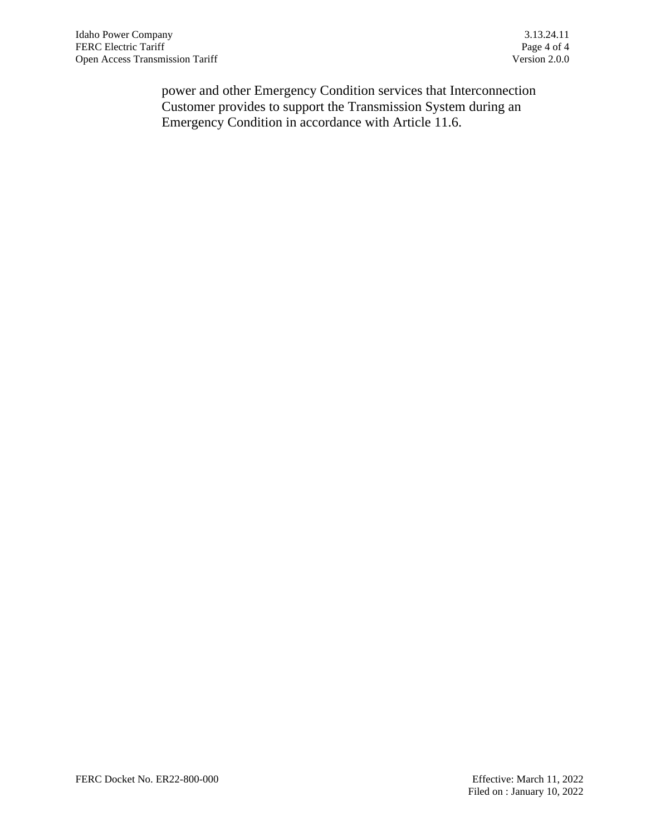power and other Emergency Condition services that Interconnection Customer provides to support the Transmission System during an Emergency Condition in accordance with Article 11.6.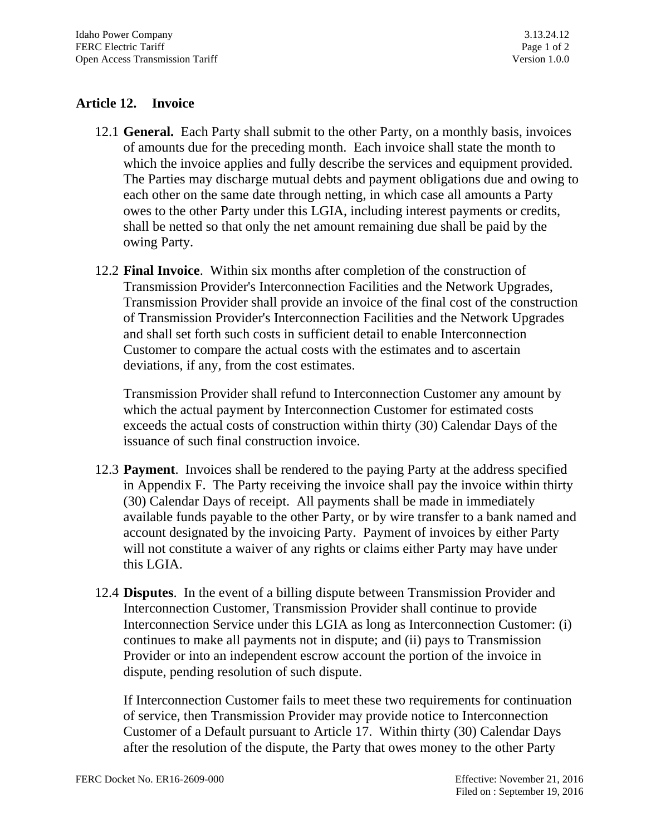# **Article 12. Invoice**

- 12.1 **General.** Each Party shall submit to the other Party, on a monthly basis, invoices of amounts due for the preceding month. Each invoice shall state the month to which the invoice applies and fully describe the services and equipment provided. The Parties may discharge mutual debts and payment obligations due and owing to each other on the same date through netting, in which case all amounts a Party owes to the other Party under this LGIA, including interest payments or credits, shall be netted so that only the net amount remaining due shall be paid by the owing Party.
- 12.2 **Final Invoice**. Within six months after completion of the construction of Transmission Provider's Interconnection Facilities and the Network Upgrades, Transmission Provider shall provide an invoice of the final cost of the construction of Transmission Provider's Interconnection Facilities and the Network Upgrades and shall set forth such costs in sufficient detail to enable Interconnection Customer to compare the actual costs with the estimates and to ascertain deviations, if any, from the cost estimates.

Transmission Provider shall refund to Interconnection Customer any amount by which the actual payment by Interconnection Customer for estimated costs exceeds the actual costs of construction within thirty (30) Calendar Days of the issuance of such final construction invoice.

- 12.3 **Payment**. Invoices shall be rendered to the paying Party at the address specified in Appendix F. The Party receiving the invoice shall pay the invoice within thirty (30) Calendar Days of receipt. All payments shall be made in immediately available funds payable to the other Party, or by wire transfer to a bank named and account designated by the invoicing Party. Payment of invoices by either Party will not constitute a waiver of any rights or claims either Party may have under this LGIA.
- 12.4 **Disputes**. In the event of a billing dispute between Transmission Provider and Interconnection Customer, Transmission Provider shall continue to provide Interconnection Service under this LGIA as long as Interconnection Customer: (i) continues to make all payments not in dispute; and (ii) pays to Transmission Provider or into an independent escrow account the portion of the invoice in dispute, pending resolution of such dispute.

If Interconnection Customer fails to meet these two requirements for continuation of service, then Transmission Provider may provide notice to Interconnection Customer of a Default pursuant to Article 17. Within thirty (30) Calendar Days after the resolution of the dispute, the Party that owes money to the other Party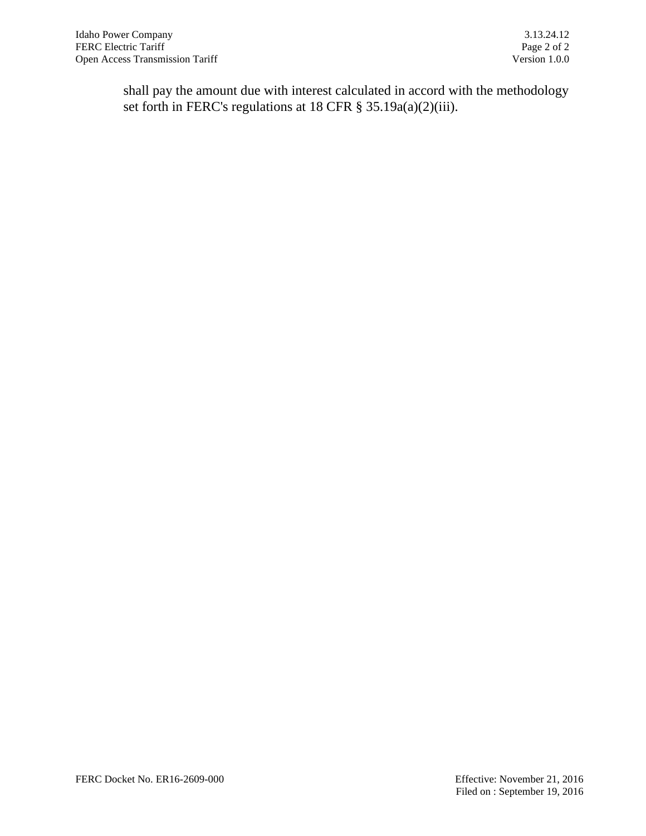shall pay the amount due with interest calculated in accord with the methodology set forth in FERC's regulations at 18 CFR § 35.19a(a)(2)(iii).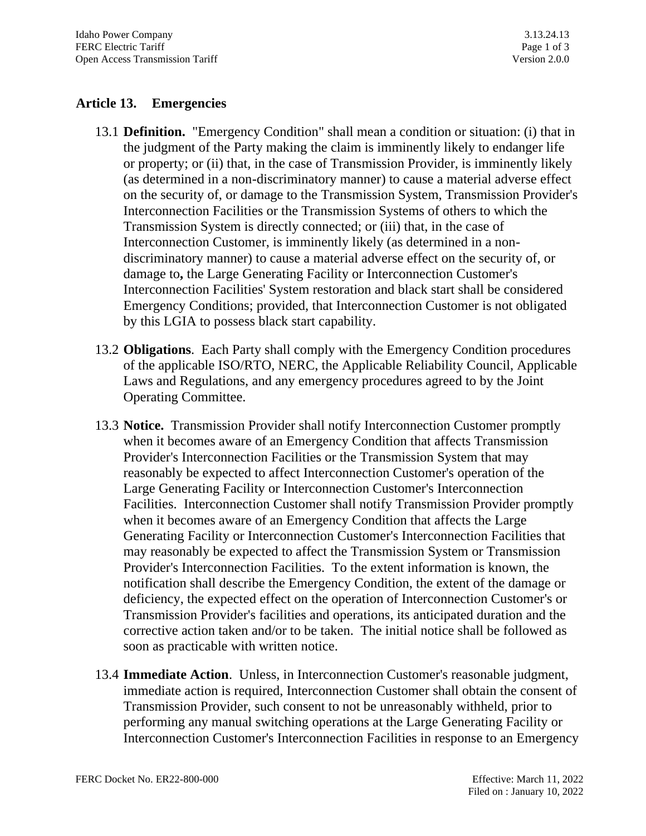# **Article 13. Emergencies**

- 13.1 **Definition.** "Emergency Condition" shall mean a condition or situation: (i) that in the judgment of the Party making the claim is imminently likely to endanger life or property; or (ii) that, in the case of Transmission Provider, is imminently likely (as determined in a non-discriminatory manner) to cause a material adverse effect on the security of, or damage to the Transmission System, Transmission Provider's Interconnection Facilities or the Transmission Systems of others to which the Transmission System is directly connected; or (iii) that, in the case of Interconnection Customer, is imminently likely (as determined in a nondiscriminatory manner) to cause a material adverse effect on the security of, or damage to**,** the Large Generating Facility or Interconnection Customer's Interconnection Facilities' System restoration and black start shall be considered Emergency Conditions; provided, that Interconnection Customer is not obligated by this LGIA to possess black start capability.
- 13.2 **Obligations**. Each Party shall comply with the Emergency Condition procedures of the applicable ISO/RTO, NERC, the Applicable Reliability Council, Applicable Laws and Regulations, and any emergency procedures agreed to by the Joint Operating Committee.
- 13.3 **Notice.** Transmission Provider shall notify Interconnection Customer promptly when it becomes aware of an Emergency Condition that affects Transmission Provider's Interconnection Facilities or the Transmission System that may reasonably be expected to affect Interconnection Customer's operation of the Large Generating Facility or Interconnection Customer's Interconnection Facilities. Interconnection Customer shall notify Transmission Provider promptly when it becomes aware of an Emergency Condition that affects the Large Generating Facility or Interconnection Customer's Interconnection Facilities that may reasonably be expected to affect the Transmission System or Transmission Provider's Interconnection Facilities. To the extent information is known, the notification shall describe the Emergency Condition, the extent of the damage or deficiency, the expected effect on the operation of Interconnection Customer's or Transmission Provider's facilities and operations, its anticipated duration and the corrective action taken and/or to be taken. The initial notice shall be followed as soon as practicable with written notice.
- 13.4 **Immediate Action**. Unless, in Interconnection Customer's reasonable judgment, immediate action is required, Interconnection Customer shall obtain the consent of Transmission Provider, such consent to not be unreasonably withheld, prior to performing any manual switching operations at the Large Generating Facility or Interconnection Customer's Interconnection Facilities in response to an Emergency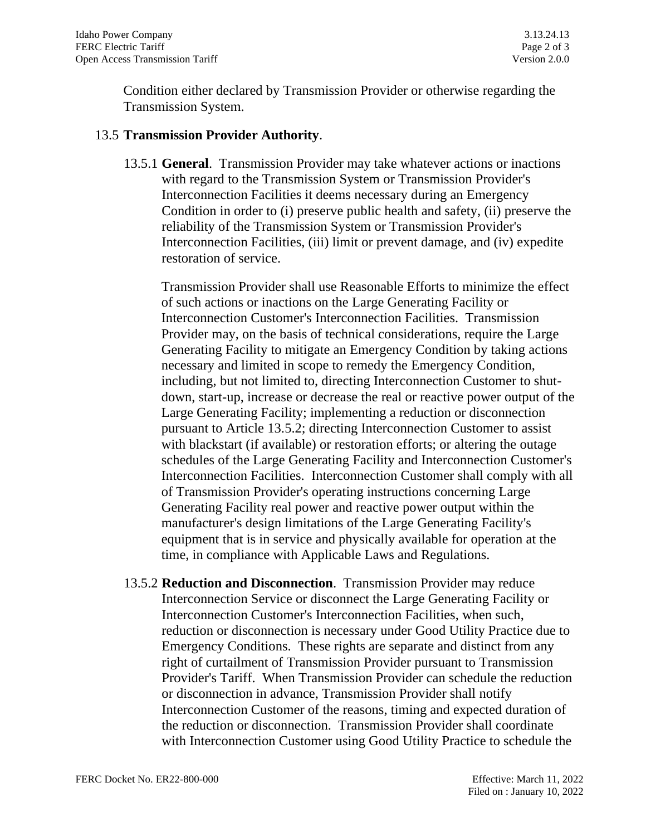Condition either declared by Transmission Provider or otherwise regarding the Transmission System.

#### 13.5 **Transmission Provider Authority**.

13.5.1 **General**. Transmission Provider may take whatever actions or inactions with regard to the Transmission System or Transmission Provider's Interconnection Facilities it deems necessary during an Emergency Condition in order to (i) preserve public health and safety, (ii) preserve the reliability of the Transmission System or Transmission Provider's Interconnection Facilities, (iii) limit or prevent damage, and (iv) expedite restoration of service.

Transmission Provider shall use Reasonable Efforts to minimize the effect of such actions or inactions on the Large Generating Facility or Interconnection Customer's Interconnection Facilities. Transmission Provider may, on the basis of technical considerations, require the Large Generating Facility to mitigate an Emergency Condition by taking actions necessary and limited in scope to remedy the Emergency Condition, including, but not limited to, directing Interconnection Customer to shutdown, start-up, increase or decrease the real or reactive power output of the Large Generating Facility; implementing a reduction or disconnection pursuant to Article 13.5.2; directing Interconnection Customer to assist with blackstart (if available) or restoration efforts; or altering the outage schedules of the Large Generating Facility and Interconnection Customer's Interconnection Facilities. Interconnection Customer shall comply with all of Transmission Provider's operating instructions concerning Large Generating Facility real power and reactive power output within the manufacturer's design limitations of the Large Generating Facility's equipment that is in service and physically available for operation at the time, in compliance with Applicable Laws and Regulations.

13.5.2 **Reduction and Disconnection**. Transmission Provider may reduce Interconnection Service or disconnect the Large Generating Facility or Interconnection Customer's Interconnection Facilities, when such, reduction or disconnection is necessary under Good Utility Practice due to Emergency Conditions. These rights are separate and distinct from any right of curtailment of Transmission Provider pursuant to Transmission Provider's Tariff. When Transmission Provider can schedule the reduction or disconnection in advance, Transmission Provider shall notify Interconnection Customer of the reasons, timing and expected duration of the reduction or disconnection. Transmission Provider shall coordinate with Interconnection Customer using Good Utility Practice to schedule the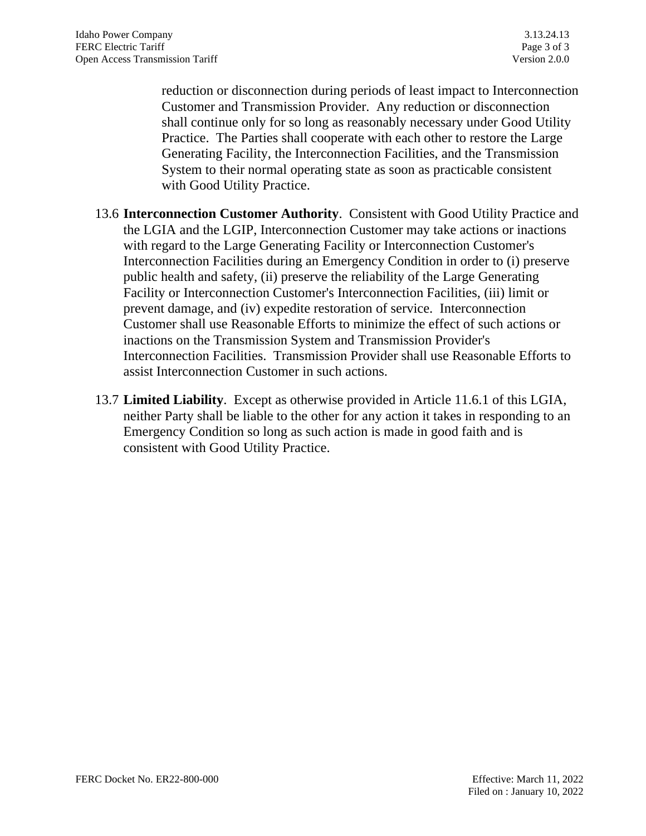reduction or disconnection during periods of least impact to Interconnection Customer and Transmission Provider. Any reduction or disconnection shall continue only for so long as reasonably necessary under Good Utility Practice. The Parties shall cooperate with each other to restore the Large Generating Facility, the Interconnection Facilities, and the Transmission System to their normal operating state as soon as practicable consistent with Good Utility Practice.

- 13.6 **Interconnection Customer Authority**. Consistent with Good Utility Practice and the LGIA and the LGIP, Interconnection Customer may take actions or inactions with regard to the Large Generating Facility or Interconnection Customer's Interconnection Facilities during an Emergency Condition in order to (i) preserve public health and safety, (ii) preserve the reliability of the Large Generating Facility or Interconnection Customer's Interconnection Facilities, (iii) limit or prevent damage, and (iv) expedite restoration of service. Interconnection Customer shall use Reasonable Efforts to minimize the effect of such actions or inactions on the Transmission System and Transmission Provider's Interconnection Facilities. Transmission Provider shall use Reasonable Efforts to assist Interconnection Customer in such actions.
- 13.7 **Limited Liability**. Except as otherwise provided in Article 11.6.1 of this LGIA, neither Party shall be liable to the other for any action it takes in responding to an Emergency Condition so long as such action is made in good faith and is consistent with Good Utility Practice.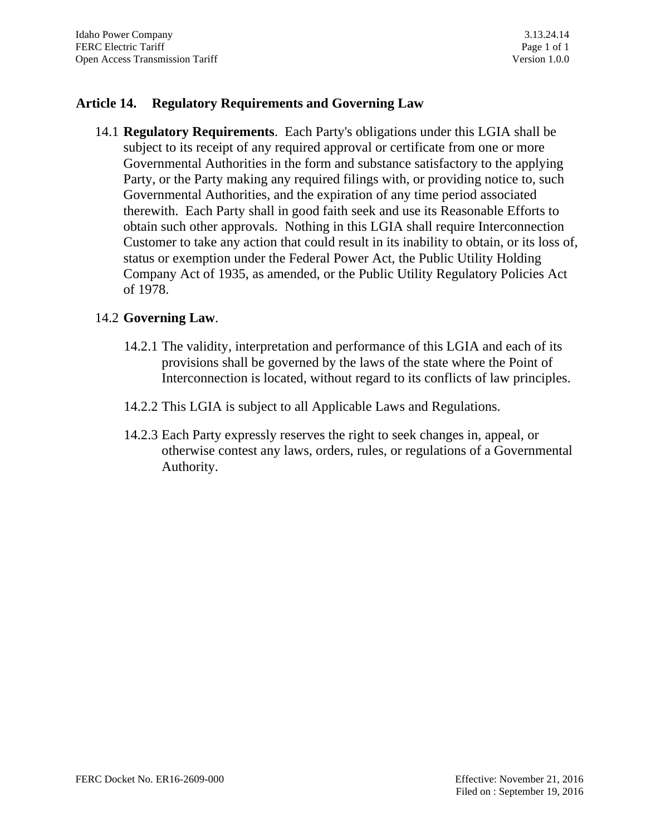## **Article 14. Regulatory Requirements and Governing Law**

14.1 **Regulatory Requirements**. Each Party's obligations under this LGIA shall be subject to its receipt of any required approval or certificate from one or more Governmental Authorities in the form and substance satisfactory to the applying Party, or the Party making any required filings with, or providing notice to, such Governmental Authorities, and the expiration of any time period associated therewith. Each Party shall in good faith seek and use its Reasonable Efforts to obtain such other approvals. Nothing in this LGIA shall require Interconnection Customer to take any action that could result in its inability to obtain, or its loss of, status or exemption under the Federal Power Act, the Public Utility Holding Company Act of 1935, as amended, or the Public Utility Regulatory Policies Act of 1978.

### 14.2 **Governing Law**.

- 14.2.1 The validity, interpretation and performance of this LGIA and each of its provisions shall be governed by the laws of the state where the Point of Interconnection is located, without regard to its conflicts of law principles.
- 14.2.2 This LGIA is subject to all Applicable Laws and Regulations.
- 14.2.3 Each Party expressly reserves the right to seek changes in, appeal, or otherwise contest any laws, orders, rules, or regulations of a Governmental Authority.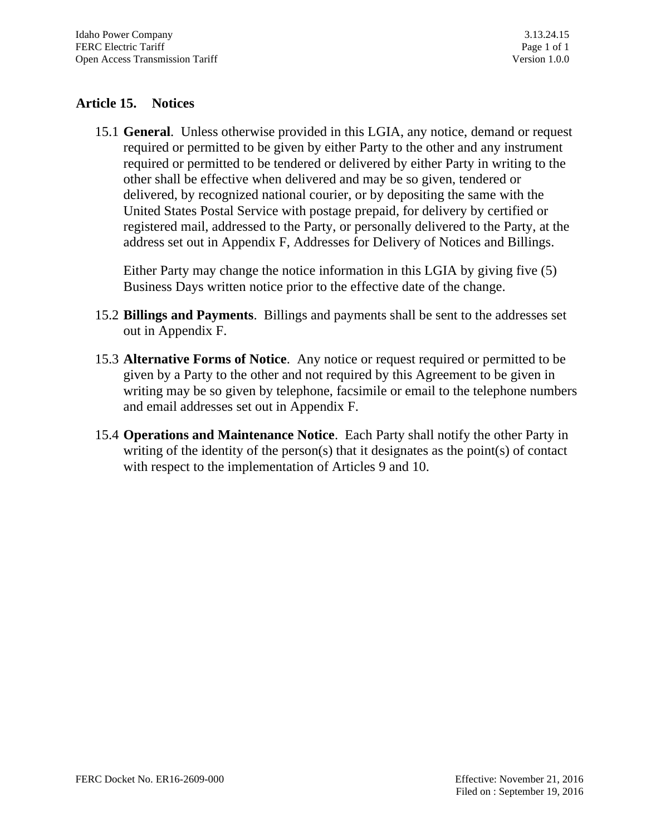# **Article 15. Notices**

15.1 **General**. Unless otherwise provided in this LGIA, any notice, demand or request required or permitted to be given by either Party to the other and any instrument required or permitted to be tendered or delivered by either Party in writing to the other shall be effective when delivered and may be so given, tendered or delivered, by recognized national courier, or by depositing the same with the United States Postal Service with postage prepaid, for delivery by certified or registered mail, addressed to the Party, or personally delivered to the Party, at the address set out in Appendix F, Addresses for Delivery of Notices and Billings.

Either Party may change the notice information in this LGIA by giving five (5) Business Days written notice prior to the effective date of the change.

- 15.2 **Billings and Payments**. Billings and payments shall be sent to the addresses set out in Appendix F.
- 15.3 **Alternative Forms of Notice**. Any notice or request required or permitted to be given by a Party to the other and not required by this Agreement to be given in writing may be so given by telephone, facsimile or email to the telephone numbers and email addresses set out in Appendix F.
- 15.4 **Operations and Maintenance Notice**. Each Party shall notify the other Party in writing of the identity of the person(s) that it designates as the point(s) of contact with respect to the implementation of Articles 9 and 10.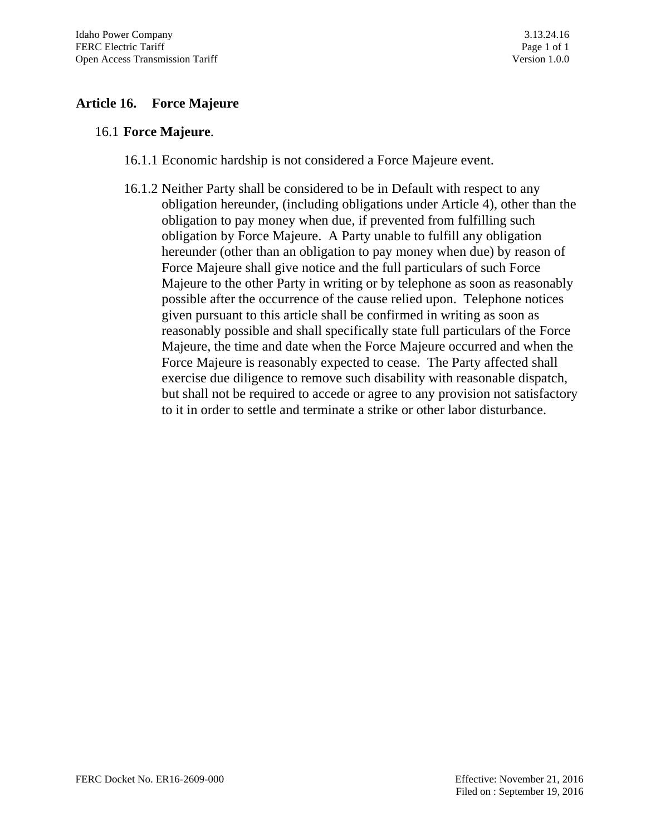# **Article 16. Force Majeure**

#### 16.1 **Force Majeure**.

- 16.1.1 Economic hardship is not considered a Force Majeure event.
- 16.1.2 Neither Party shall be considered to be in Default with respect to any obligation hereunder, (including obligations under Article 4), other than the obligation to pay money when due, if prevented from fulfilling such obligation by Force Majeure. A Party unable to fulfill any obligation hereunder (other than an obligation to pay money when due) by reason of Force Majeure shall give notice and the full particulars of such Force Majeure to the other Party in writing or by telephone as soon as reasonably possible after the occurrence of the cause relied upon. Telephone notices given pursuant to this article shall be confirmed in writing as soon as reasonably possible and shall specifically state full particulars of the Force Majeure, the time and date when the Force Majeure occurred and when the Force Majeure is reasonably expected to cease. The Party affected shall exercise due diligence to remove such disability with reasonable dispatch, but shall not be required to accede or agree to any provision not satisfactory to it in order to settle and terminate a strike or other labor disturbance.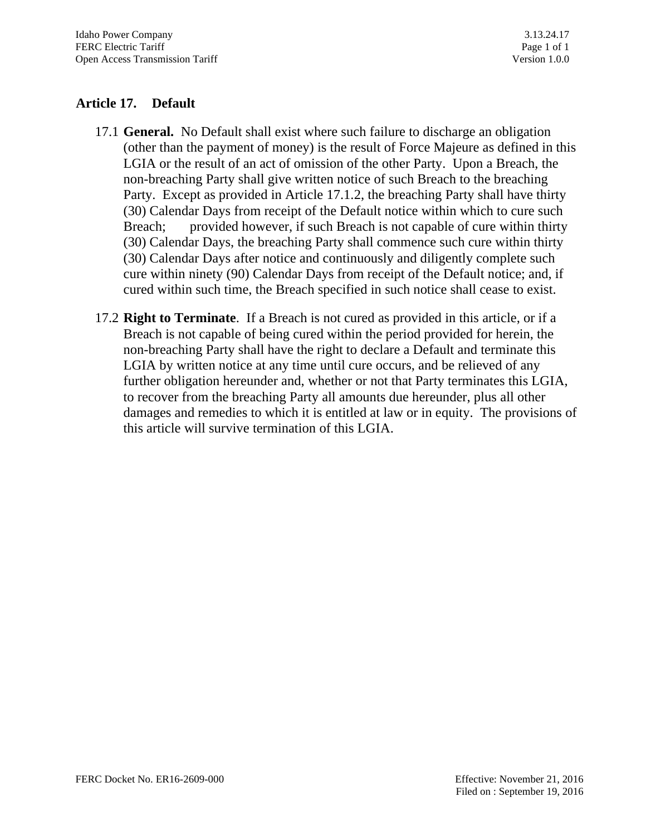# **Article 17. Default**

- 17.1 **General.** No Default shall exist where such failure to discharge an obligation (other than the payment of money) is the result of Force Majeure as defined in this LGIA or the result of an act of omission of the other Party. Upon a Breach, the non-breaching Party shall give written notice of such Breach to the breaching Party. Except as provided in Article 17.1.2, the breaching Party shall have thirty (30) Calendar Days from receipt of the Default notice within which to cure such Breach; provided however, if such Breach is not capable of cure within thirty (30) Calendar Days, the breaching Party shall commence such cure within thirty (30) Calendar Days after notice and continuously and diligently complete such cure within ninety (90) Calendar Days from receipt of the Default notice; and, if cured within such time, the Breach specified in such notice shall cease to exist.
- 17.2 **Right to Terminate**. If a Breach is not cured as provided in this article, or if a Breach is not capable of being cured within the period provided for herein, the non-breaching Party shall have the right to declare a Default and terminate this LGIA by written notice at any time until cure occurs, and be relieved of any further obligation hereunder and, whether or not that Party terminates this LGIA, to recover from the breaching Party all amounts due hereunder, plus all other damages and remedies to which it is entitled at law or in equity. The provisions of this article will survive termination of this LGIA.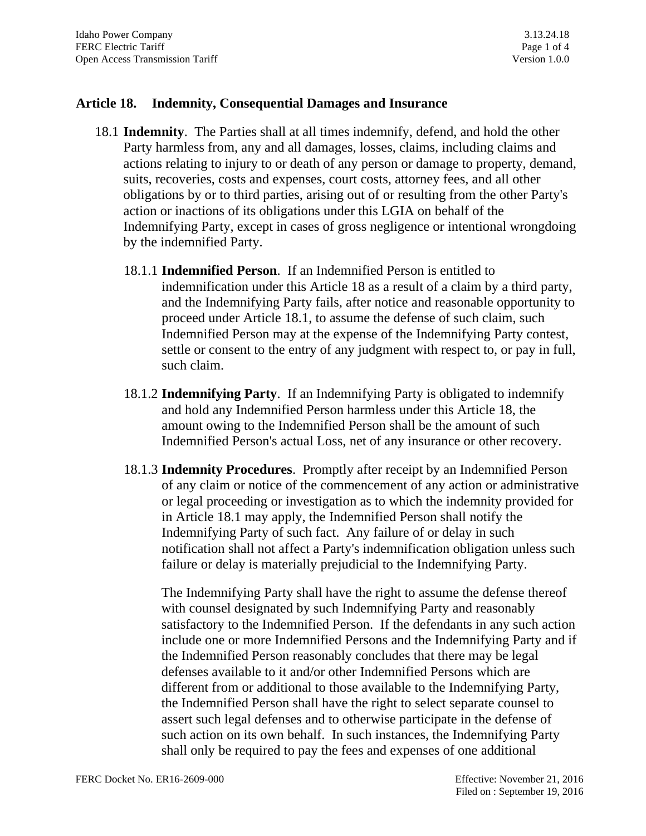#### **Article 18. Indemnity, Consequential Damages and Insurance**

- 18.1 **Indemnity**. The Parties shall at all times indemnify, defend, and hold the other Party harmless from, any and all damages, losses, claims, including claims and actions relating to injury to or death of any person or damage to property, demand, suits, recoveries, costs and expenses, court costs, attorney fees, and all other obligations by or to third parties, arising out of or resulting from the other Party's action or inactions of its obligations under this LGIA on behalf of the Indemnifying Party, except in cases of gross negligence or intentional wrongdoing by the indemnified Party.
	- 18.1.1 **Indemnified Person**. If an Indemnified Person is entitled to indemnification under this Article 18 as a result of a claim by a third party, and the Indemnifying Party fails, after notice and reasonable opportunity to proceed under Article 18.1, to assume the defense of such claim, such Indemnified Person may at the expense of the Indemnifying Party contest, settle or consent to the entry of any judgment with respect to, or pay in full, such claim.
	- 18.1.2 **Indemnifying Party**. If an Indemnifying Party is obligated to indemnify and hold any Indemnified Person harmless under this Article 18, the amount owing to the Indemnified Person shall be the amount of such Indemnified Person's actual Loss, net of any insurance or other recovery.
	- 18.1.3 **Indemnity Procedures**. Promptly after receipt by an Indemnified Person of any claim or notice of the commencement of any action or administrative or legal proceeding or investigation as to which the indemnity provided for in Article 18.1 may apply, the Indemnified Person shall notify the Indemnifying Party of such fact. Any failure of or delay in such notification shall not affect a Party's indemnification obligation unless such failure or delay is materially prejudicial to the Indemnifying Party.

The Indemnifying Party shall have the right to assume the defense thereof with counsel designated by such Indemnifying Party and reasonably satisfactory to the Indemnified Person. If the defendants in any such action include one or more Indemnified Persons and the Indemnifying Party and if the Indemnified Person reasonably concludes that there may be legal defenses available to it and/or other Indemnified Persons which are different from or additional to those available to the Indemnifying Party, the Indemnified Person shall have the right to select separate counsel to assert such legal defenses and to otherwise participate in the defense of such action on its own behalf. In such instances, the Indemnifying Party shall only be required to pay the fees and expenses of one additional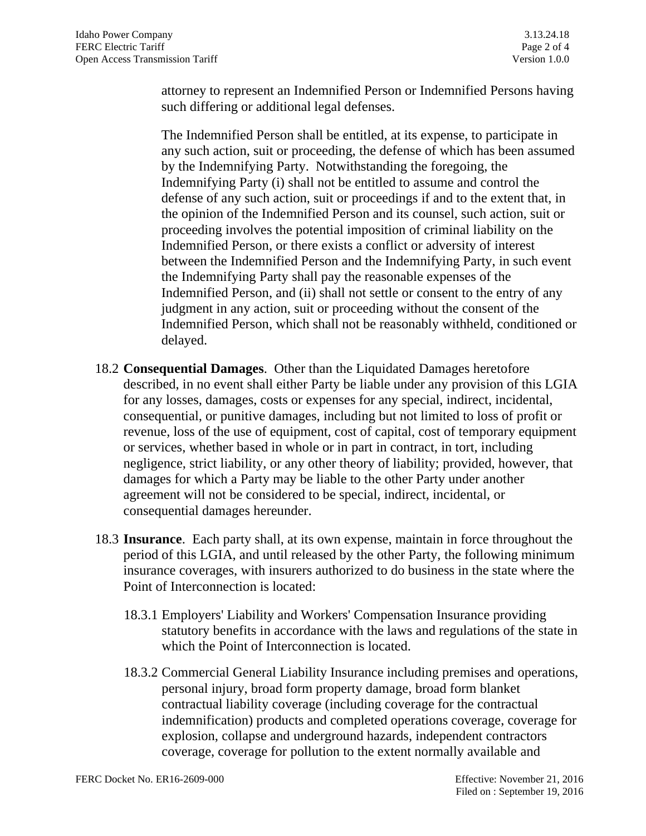attorney to represent an Indemnified Person or Indemnified Persons having such differing or additional legal defenses.

The Indemnified Person shall be entitled, at its expense, to participate in any such action, suit or proceeding, the defense of which has been assumed by the Indemnifying Party. Notwithstanding the foregoing, the Indemnifying Party (i) shall not be entitled to assume and control the defense of any such action, suit or proceedings if and to the extent that, in the opinion of the Indemnified Person and its counsel, such action, suit or proceeding involves the potential imposition of criminal liability on the Indemnified Person, or there exists a conflict or adversity of interest between the Indemnified Person and the Indemnifying Party, in such event the Indemnifying Party shall pay the reasonable expenses of the Indemnified Person, and (ii) shall not settle or consent to the entry of any judgment in any action, suit or proceeding without the consent of the Indemnified Person, which shall not be reasonably withheld, conditioned or delayed.

- 18.2 **Consequential Damages**. Other than the Liquidated Damages heretofore described, in no event shall either Party be liable under any provision of this LGIA for any losses, damages, costs or expenses for any special, indirect, incidental, consequential, or punitive damages, including but not limited to loss of profit or revenue, loss of the use of equipment, cost of capital, cost of temporary equipment or services, whether based in whole or in part in contract, in tort, including negligence, strict liability, or any other theory of liability; provided, however, that damages for which a Party may be liable to the other Party under another agreement will not be considered to be special, indirect, incidental, or consequential damages hereunder.
- 18.3 **Insurance**. Each party shall, at its own expense, maintain in force throughout the period of this LGIA, and until released by the other Party, the following minimum insurance coverages, with insurers authorized to do business in the state where the Point of Interconnection is located:
	- 18.3.1 Employers' Liability and Workers' Compensation Insurance providing statutory benefits in accordance with the laws and regulations of the state in which the Point of Interconnection is located.
	- 18.3.2 Commercial General Liability Insurance including premises and operations, personal injury, broad form property damage, broad form blanket contractual liability coverage (including coverage for the contractual indemnification) products and completed operations coverage, coverage for explosion, collapse and underground hazards, independent contractors coverage, coverage for pollution to the extent normally available and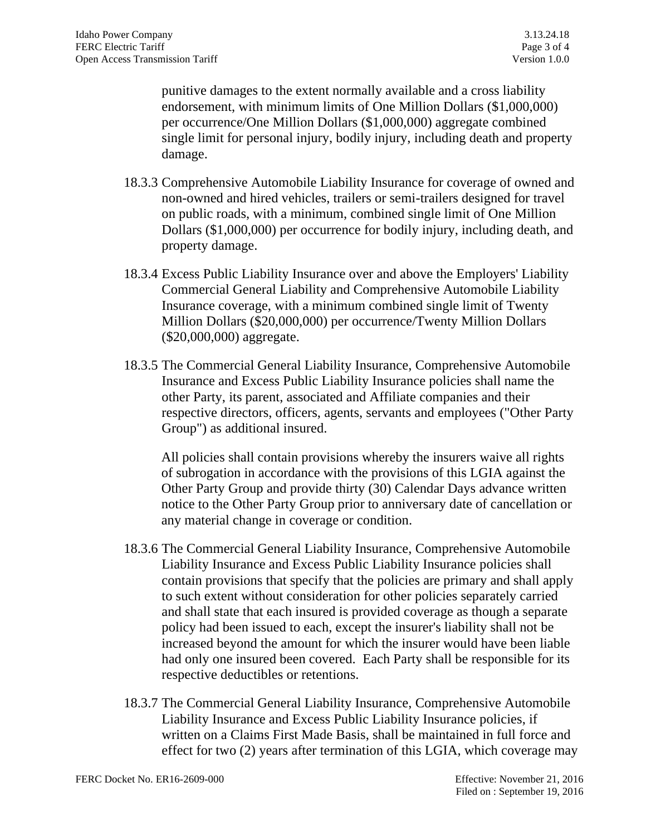punitive damages to the extent normally available and a cross liability endorsement, with minimum limits of One Million Dollars (\$1,000,000) per occurrence/One Million Dollars (\$1,000,000) aggregate combined single limit for personal injury, bodily injury, including death and property damage.

- 18.3.3 Comprehensive Automobile Liability Insurance for coverage of owned and non-owned and hired vehicles, trailers or semi-trailers designed for travel on public roads, with a minimum, combined single limit of One Million Dollars (\$1,000,000) per occurrence for bodily injury, including death, and property damage.
- 18.3.4 Excess Public Liability Insurance over and above the Employers' Liability Commercial General Liability and Comprehensive Automobile Liability Insurance coverage, with a minimum combined single limit of Twenty Million Dollars (\$20,000,000) per occurrence/Twenty Million Dollars (\$20,000,000) aggregate.
- 18.3.5 The Commercial General Liability Insurance, Comprehensive Automobile Insurance and Excess Public Liability Insurance policies shall name the other Party, its parent, associated and Affiliate companies and their respective directors, officers, agents, servants and employees ("Other Party Group") as additional insured.

All policies shall contain provisions whereby the insurers waive all rights of subrogation in accordance with the provisions of this LGIA against the Other Party Group and provide thirty (30) Calendar Days advance written notice to the Other Party Group prior to anniversary date of cancellation or any material change in coverage or condition.

- 18.3.6 The Commercial General Liability Insurance, Comprehensive Automobile Liability Insurance and Excess Public Liability Insurance policies shall contain provisions that specify that the policies are primary and shall apply to such extent without consideration for other policies separately carried and shall state that each insured is provided coverage as though a separate policy had been issued to each, except the insurer's liability shall not be increased beyond the amount for which the insurer would have been liable had only one insured been covered. Each Party shall be responsible for its respective deductibles or retentions.
- 18.3.7 The Commercial General Liability Insurance, Comprehensive Automobile Liability Insurance and Excess Public Liability Insurance policies, if written on a Claims First Made Basis, shall be maintained in full force and effect for two (2) years after termination of this LGIA, which coverage may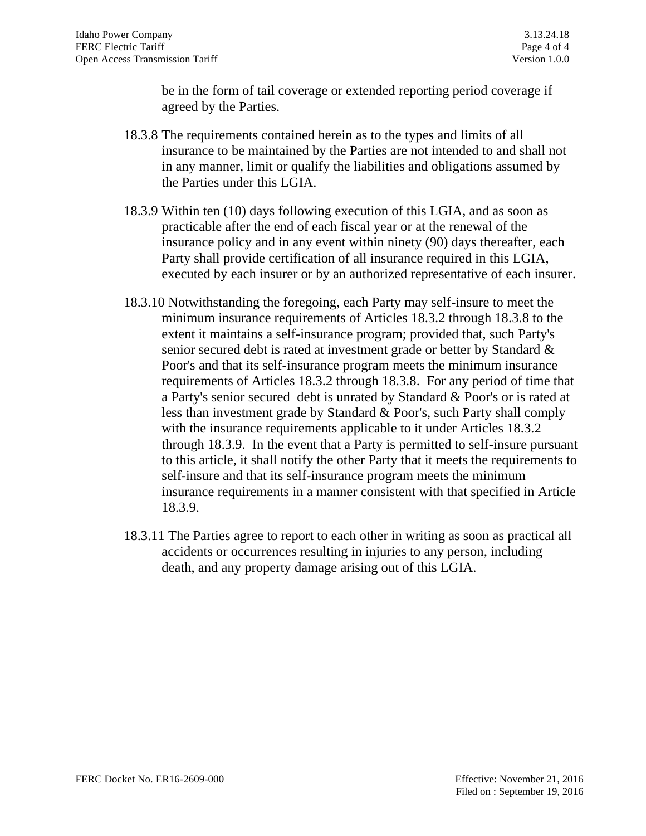be in the form of tail coverage or extended reporting period coverage if agreed by the Parties.

- 18.3.8 The requirements contained herein as to the types and limits of all insurance to be maintained by the Parties are not intended to and shall not in any manner, limit or qualify the liabilities and obligations assumed by the Parties under this LGIA.
- 18.3.9 Within ten (10) days following execution of this LGIA, and as soon as practicable after the end of each fiscal year or at the renewal of the insurance policy and in any event within ninety (90) days thereafter, each Party shall provide certification of all insurance required in this LGIA, executed by each insurer or by an authorized representative of each insurer.
- 18.3.10 Notwithstanding the foregoing, each Party may self-insure to meet the minimum insurance requirements of Articles 18.3.2 through 18.3.8 to the extent it maintains a self-insurance program; provided that, such Party's senior secured debt is rated at investment grade or better by Standard & Poor's and that its self-insurance program meets the minimum insurance requirements of Articles 18.3.2 through 18.3.8. For any period of time that a Party's senior secured debt is unrated by Standard & Poor's or is rated at less than investment grade by Standard & Poor's, such Party shall comply with the insurance requirements applicable to it under Articles 18.3.2 through 18.3.9. In the event that a Party is permitted to self-insure pursuant to this article, it shall notify the other Party that it meets the requirements to self-insure and that its self-insurance program meets the minimum insurance requirements in a manner consistent with that specified in Article 18.3.9.
- 18.3.11 The Parties agree to report to each other in writing as soon as practical all accidents or occurrences resulting in injuries to any person, including death, and any property damage arising out of this LGIA.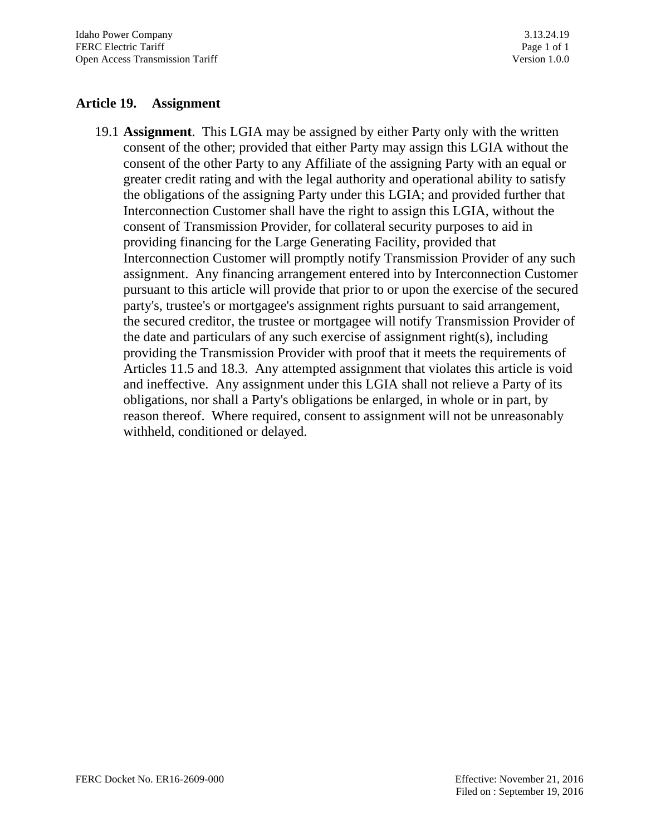### **Article 19. Assignment**

19.1 **Assignment**. This LGIA may be assigned by either Party only with the written consent of the other; provided that either Party may assign this LGIA without the consent of the other Party to any Affiliate of the assigning Party with an equal or greater credit rating and with the legal authority and operational ability to satisfy the obligations of the assigning Party under this LGIA; and provided further that Interconnection Customer shall have the right to assign this LGIA, without the consent of Transmission Provider, for collateral security purposes to aid in providing financing for the Large Generating Facility, provided that Interconnection Customer will promptly notify Transmission Provider of any such assignment. Any financing arrangement entered into by Interconnection Customer pursuant to this article will provide that prior to or upon the exercise of the secured party's, trustee's or mortgagee's assignment rights pursuant to said arrangement, the secured creditor, the trustee or mortgagee will notify Transmission Provider of the date and particulars of any such exercise of assignment right(s), including providing the Transmission Provider with proof that it meets the requirements of Articles 11.5 and 18.3. Any attempted assignment that violates this article is void and ineffective. Any assignment under this LGIA shall not relieve a Party of its obligations, nor shall a Party's obligations be enlarged, in whole or in part, by reason thereof. Where required, consent to assignment will not be unreasonably withheld, conditioned or delayed.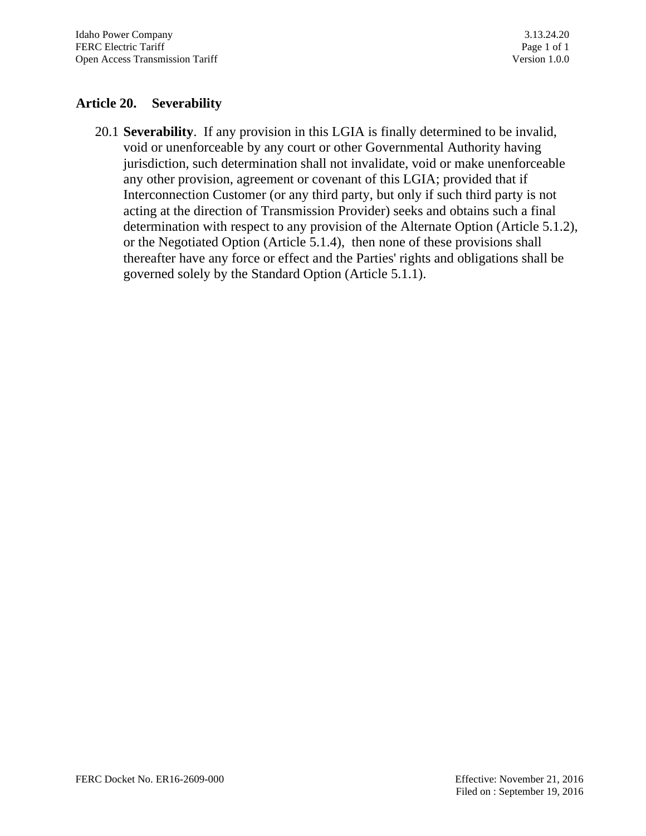## **Article 20. Severability**

20.1 **Severability**. If any provision in this LGIA is finally determined to be invalid, void or unenforceable by any court or other Governmental Authority having jurisdiction, such determination shall not invalidate, void or make unenforceable any other provision, agreement or covenant of this LGIA; provided that if Interconnection Customer (or any third party, but only if such third party is not acting at the direction of Transmission Provider) seeks and obtains such a final determination with respect to any provision of the Alternate Option (Article 5.1.2), or the Negotiated Option (Article 5.1.4), then none of these provisions shall thereafter have any force or effect and the Parties' rights and obligations shall be governed solely by the Standard Option (Article 5.1.1).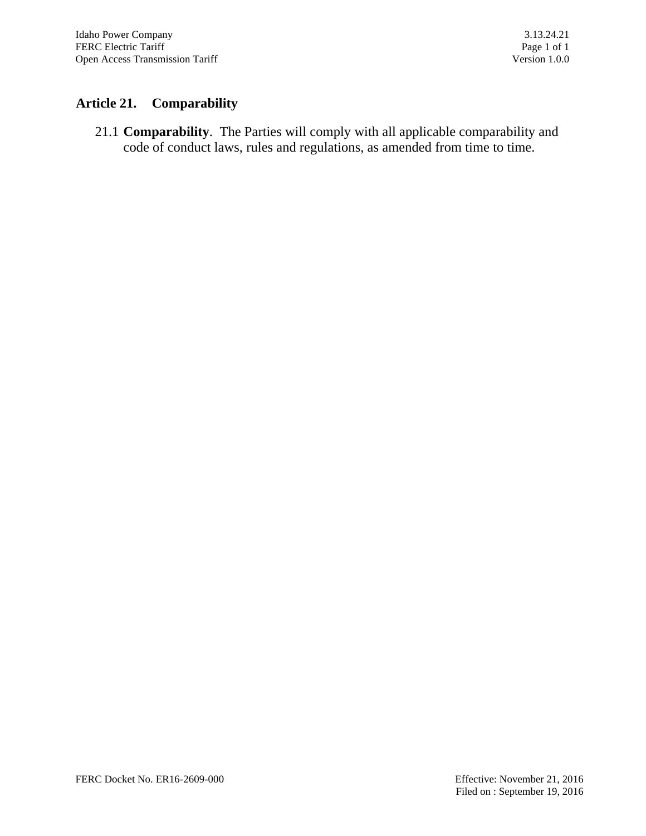## **Article 21. Comparability**

21.1 **Comparability**. The Parties will comply with all applicable comparability and code of conduct laws, rules and regulations, as amended from time to time.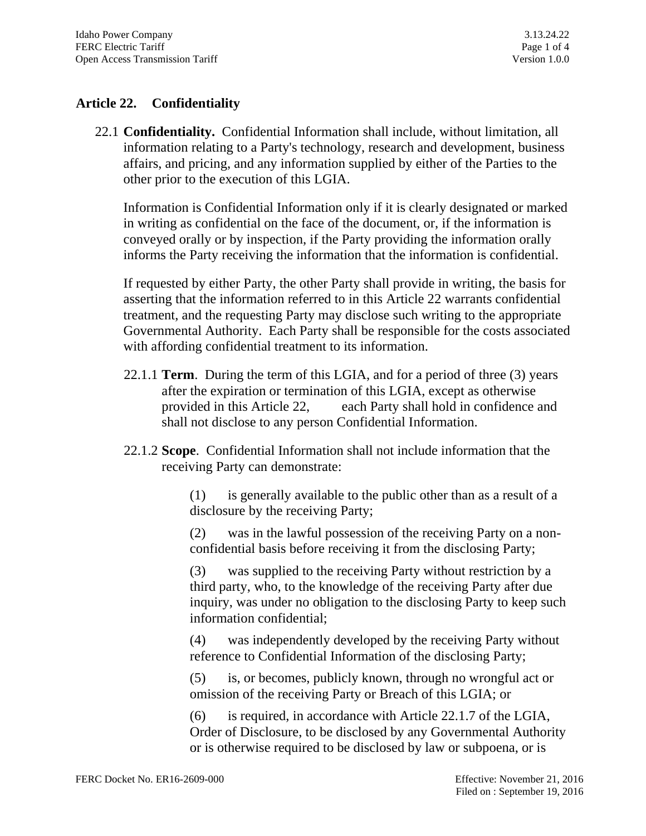## **Article 22. Confidentiality**

22.1 **Confidentiality.** Confidential Information shall include, without limitation, all information relating to a Party's technology, research and development, business affairs, and pricing, and any information supplied by either of the Parties to the other prior to the execution of this LGIA.

Information is Confidential Information only if it is clearly designated or marked in writing as confidential on the face of the document, or, if the information is conveyed orally or by inspection, if the Party providing the information orally informs the Party receiving the information that the information is confidential.

If requested by either Party, the other Party shall provide in writing, the basis for asserting that the information referred to in this Article 22 warrants confidential treatment, and the requesting Party may disclose such writing to the appropriate Governmental Authority. Each Party shall be responsible for the costs associated with affording confidential treatment to its information.

- 22.1.1 **Term**. During the term of this LGIA, and for a period of three (3) years after the expiration or termination of this LGIA, except as otherwise provided in this Article 22, each Party shall hold in confidence and shall not disclose to any person Confidential Information.
- 22.1.2 **Scope**. Confidential Information shall not include information that the receiving Party can demonstrate:

(1) is generally available to the public other than as a result of a disclosure by the receiving Party;

(2) was in the lawful possession of the receiving Party on a nonconfidential basis before receiving it from the disclosing Party;

(3) was supplied to the receiving Party without restriction by a third party, who, to the knowledge of the receiving Party after due inquiry, was under no obligation to the disclosing Party to keep such information confidential;

(4) was independently developed by the receiving Party without reference to Confidential Information of the disclosing Party;

(5) is, or becomes, publicly known, through no wrongful act or omission of the receiving Party or Breach of this LGIA; or

(6) is required, in accordance with Article 22.1.7 of the LGIA, Order of Disclosure, to be disclosed by any Governmental Authority or is otherwise required to be disclosed by law or subpoena, or is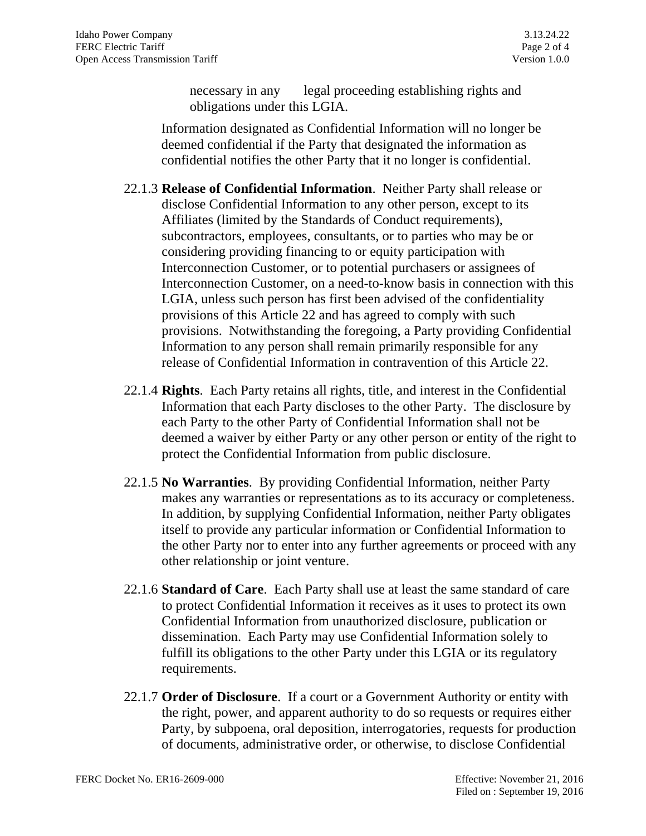necessary in any legal proceeding establishing rights and obligations under this LGIA.

Information designated as Confidential Information will no longer be deemed confidential if the Party that designated the information as confidential notifies the other Party that it no longer is confidential.

- 22.1.3 **Release of Confidential Information**. Neither Party shall release or disclose Confidential Information to any other person, except to its Affiliates (limited by the Standards of Conduct requirements), subcontractors, employees, consultants, or to parties who may be or considering providing financing to or equity participation with Interconnection Customer, or to potential purchasers or assignees of Interconnection Customer, on a need-to-know basis in connection with this LGIA, unless such person has first been advised of the confidentiality provisions of this Article 22 and has agreed to comply with such provisions. Notwithstanding the foregoing, a Party providing Confidential Information to any person shall remain primarily responsible for any release of Confidential Information in contravention of this Article 22.
- 22.1.4 **Rights**. Each Party retains all rights, title, and interest in the Confidential Information that each Party discloses to the other Party. The disclosure by each Party to the other Party of Confidential Information shall not be deemed a waiver by either Party or any other person or entity of the right to protect the Confidential Information from public disclosure.
- 22.1.5 **No Warranties**. By providing Confidential Information, neither Party makes any warranties or representations as to its accuracy or completeness. In addition, by supplying Confidential Information, neither Party obligates itself to provide any particular information or Confidential Information to the other Party nor to enter into any further agreements or proceed with any other relationship or joint venture.
- 22.1.6 **Standard of Care**. Each Party shall use at least the same standard of care to protect Confidential Information it receives as it uses to protect its own Confidential Information from unauthorized disclosure, publication or dissemination. Each Party may use Confidential Information solely to fulfill its obligations to the other Party under this LGIA or its regulatory requirements.
- 22.1.7 **Order of Disclosure**. If a court or a Government Authority or entity with the right, power, and apparent authority to do so requests or requires either Party, by subpoena, oral deposition, interrogatories, requests for production of documents, administrative order, or otherwise, to disclose Confidential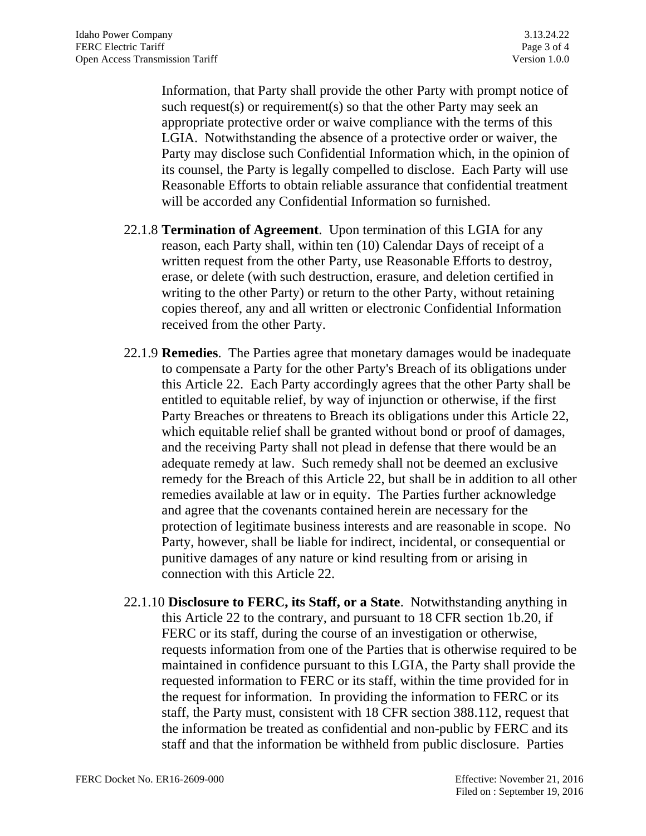Information, that Party shall provide the other Party with prompt notice of such request(s) or requirement(s) so that the other Party may seek an appropriate protective order or waive compliance with the terms of this LGIA. Notwithstanding the absence of a protective order or waiver, the Party may disclose such Confidential Information which, in the opinion of its counsel, the Party is legally compelled to disclose. Each Party will use Reasonable Efforts to obtain reliable assurance that confidential treatment will be accorded any Confidential Information so furnished.

- 22.1.8 **Termination of Agreement**. Upon termination of this LGIA for any reason, each Party shall, within ten (10) Calendar Days of receipt of a written request from the other Party, use Reasonable Efforts to destroy, erase, or delete (with such destruction, erasure, and deletion certified in writing to the other Party) or return to the other Party, without retaining copies thereof, any and all written or electronic Confidential Information received from the other Party.
- 22.1.9 **Remedies**. The Parties agree that monetary damages would be inadequate to compensate a Party for the other Party's Breach of its obligations under this Article 22. Each Party accordingly agrees that the other Party shall be entitled to equitable relief, by way of injunction or otherwise, if the first Party Breaches or threatens to Breach its obligations under this Article 22, which equitable relief shall be granted without bond or proof of damages, and the receiving Party shall not plead in defense that there would be an adequate remedy at law. Such remedy shall not be deemed an exclusive remedy for the Breach of this Article 22, but shall be in addition to all other remedies available at law or in equity. The Parties further acknowledge and agree that the covenants contained herein are necessary for the protection of legitimate business interests and are reasonable in scope. No Party, however, shall be liable for indirect, incidental, or consequential or punitive damages of any nature or kind resulting from or arising in connection with this Article 22.
- 22.1.10 **Disclosure to FERC, its Staff, or a State**. Notwithstanding anything in this Article 22 to the contrary, and pursuant to 18 CFR section 1b.20, if FERC or its staff, during the course of an investigation or otherwise, requests information from one of the Parties that is otherwise required to be maintained in confidence pursuant to this LGIA, the Party shall provide the requested information to FERC or its staff, within the time provided for in the request for information. In providing the information to FERC or its staff, the Party must, consistent with 18 CFR section 388.112, request that the information be treated as confidential and non-public by FERC and its staff and that the information be withheld from public disclosure. Parties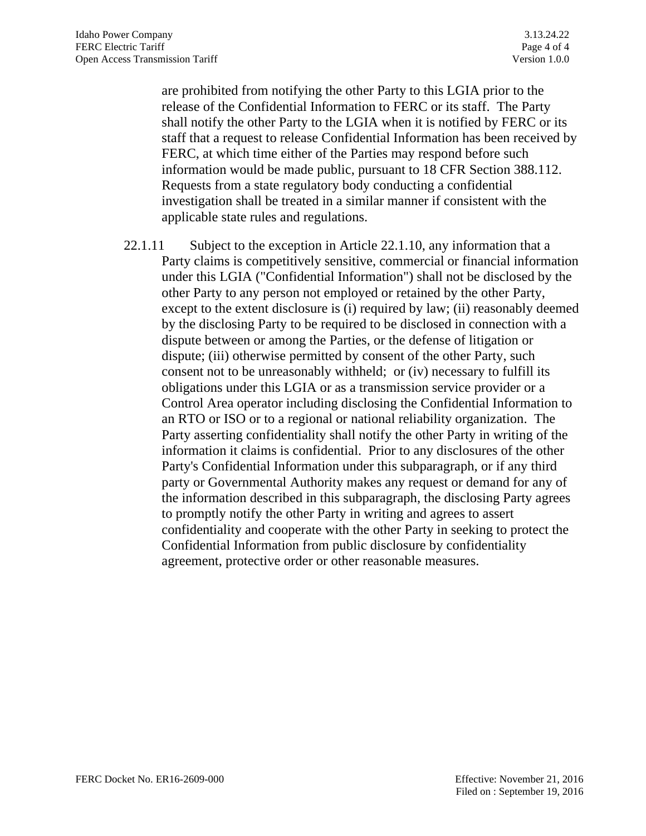are prohibited from notifying the other Party to this LGIA prior to the release of the Confidential Information to FERC or its staff. The Party shall notify the other Party to the LGIA when it is notified by FERC or its staff that a request to release Confidential Information has been received by FERC, at which time either of the Parties may respond before such information would be made public, pursuant to 18 CFR Section 388.112. Requests from a state regulatory body conducting a confidential investigation shall be treated in a similar manner if consistent with the applicable state rules and regulations.

22.1.11 Subject to the exception in Article 22.1.10, any information that a Party claims is competitively sensitive, commercial or financial information under this LGIA ("Confidential Information") shall not be disclosed by the other Party to any person not employed or retained by the other Party, except to the extent disclosure is (i) required by law; (ii) reasonably deemed by the disclosing Party to be required to be disclosed in connection with a dispute between or among the Parties, or the defense of litigation or dispute; (iii) otherwise permitted by consent of the other Party, such consent not to be unreasonably withheld; or (iv) necessary to fulfill its obligations under this LGIA or as a transmission service provider or a Control Area operator including disclosing the Confidential Information to an RTO or ISO or to a regional or national reliability organization. The Party asserting confidentiality shall notify the other Party in writing of the information it claims is confidential. Prior to any disclosures of the other Party's Confidential Information under this subparagraph, or if any third party or Governmental Authority makes any request or demand for any of the information described in this subparagraph, the disclosing Party agrees to promptly notify the other Party in writing and agrees to assert confidentiality and cooperate with the other Party in seeking to protect the Confidential Information from public disclosure by confidentiality agreement, protective order or other reasonable measures.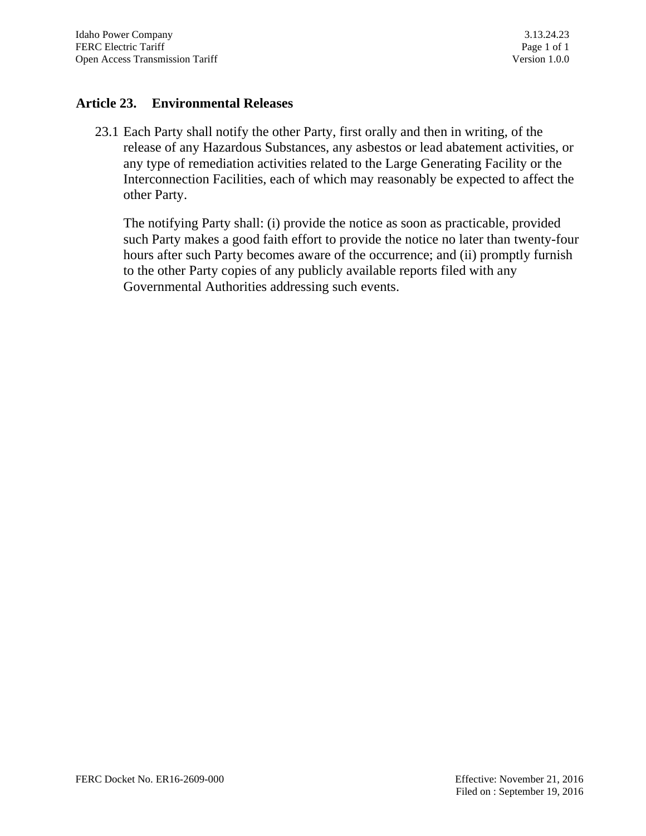### **Article 23. Environmental Releases**

23.1 Each Party shall notify the other Party, first orally and then in writing, of the release of any Hazardous Substances, any asbestos or lead abatement activities, or any type of remediation activities related to the Large Generating Facility or the Interconnection Facilities, each of which may reasonably be expected to affect the other Party.

The notifying Party shall: (i) provide the notice as soon as practicable, provided such Party makes a good faith effort to provide the notice no later than twenty-four hours after such Party becomes aware of the occurrence; and (ii) promptly furnish to the other Party copies of any publicly available reports filed with any Governmental Authorities addressing such events.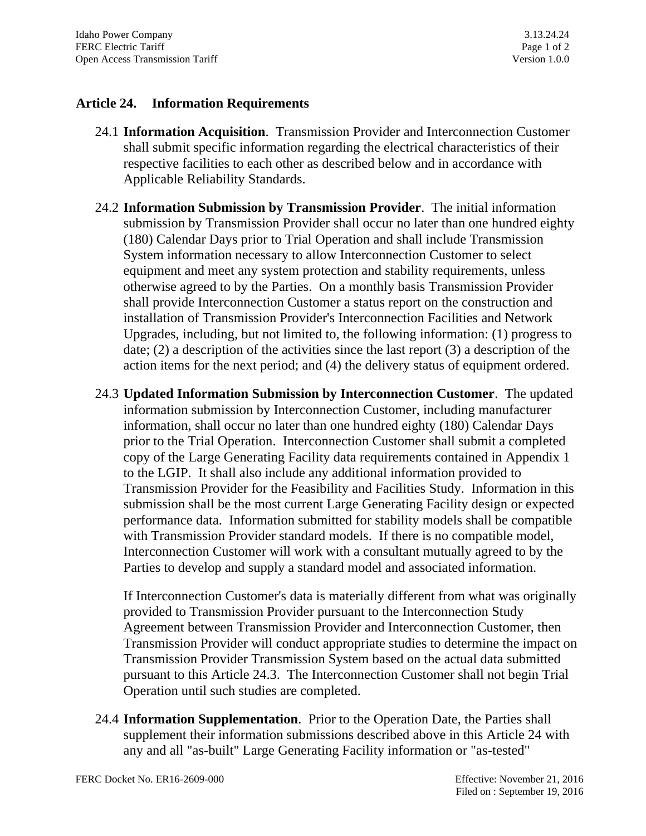## **Article 24. Information Requirements**

- 24.1 **Information Acquisition**. Transmission Provider and Interconnection Customer shall submit specific information regarding the electrical characteristics of their respective facilities to each other as described below and in accordance with Applicable Reliability Standards.
- 24.2 **Information Submission by Transmission Provider**. The initial information submission by Transmission Provider shall occur no later than one hundred eighty (180) Calendar Days prior to Trial Operation and shall include Transmission System information necessary to allow Interconnection Customer to select equipment and meet any system protection and stability requirements, unless otherwise agreed to by the Parties. On a monthly basis Transmission Provider shall provide Interconnection Customer a status report on the construction and installation of Transmission Provider's Interconnection Facilities and Network Upgrades, including, but not limited to, the following information: (1) progress to date; (2) a description of the activities since the last report (3) a description of the action items for the next period; and (4) the delivery status of equipment ordered.
- 24.3 **Updated Information Submission by Interconnection Customer**. The updated information submission by Interconnection Customer, including manufacturer information, shall occur no later than one hundred eighty (180) Calendar Days prior to the Trial Operation. Interconnection Customer shall submit a completed copy of the Large Generating Facility data requirements contained in Appendix 1 to the LGIP. It shall also include any additional information provided to Transmission Provider for the Feasibility and Facilities Study. Information in this submission shall be the most current Large Generating Facility design or expected performance data. Information submitted for stability models shall be compatible with Transmission Provider standard models. If there is no compatible model, Interconnection Customer will work with a consultant mutually agreed to by the Parties to develop and supply a standard model and associated information.

If Interconnection Customer's data is materially different from what was originally provided to Transmission Provider pursuant to the Interconnection Study Agreement between Transmission Provider and Interconnection Customer, then Transmission Provider will conduct appropriate studies to determine the impact on Transmission Provider Transmission System based on the actual data submitted pursuant to this Article 24.3. The Interconnection Customer shall not begin Trial Operation until such studies are completed.

24.4 **Information Supplementation**. Prior to the Operation Date, the Parties shall supplement their information submissions described above in this Article 24 with any and all "as-built" Large Generating Facility information or "as-tested"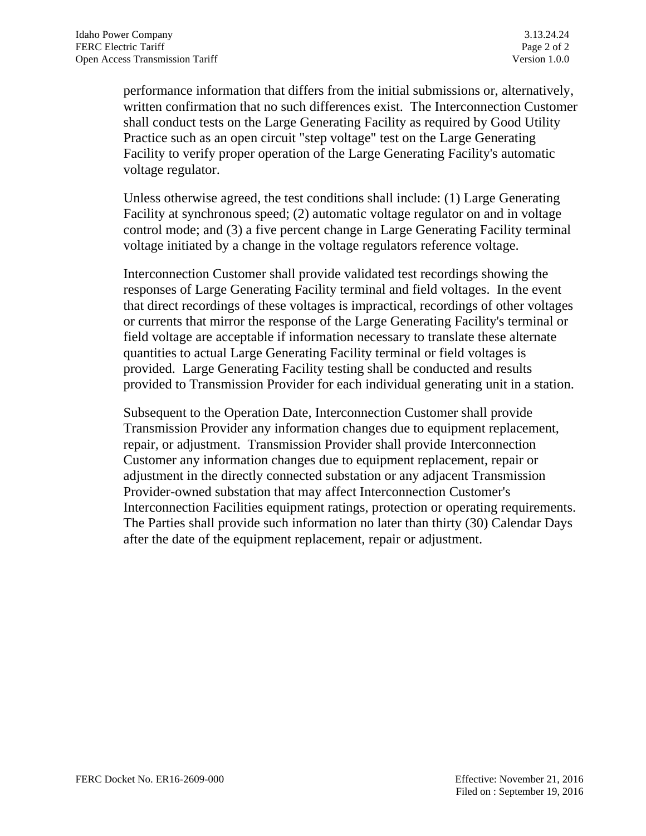performance information that differs from the initial submissions or, alternatively, written confirmation that no such differences exist. The Interconnection Customer shall conduct tests on the Large Generating Facility as required by Good Utility Practice such as an open circuit "step voltage" test on the Large Generating Facility to verify proper operation of the Large Generating Facility's automatic voltage regulator.

Unless otherwise agreed, the test conditions shall include: (1) Large Generating Facility at synchronous speed; (2) automatic voltage regulator on and in voltage control mode; and (3) a five percent change in Large Generating Facility terminal voltage initiated by a change in the voltage regulators reference voltage.

Interconnection Customer shall provide validated test recordings showing the responses of Large Generating Facility terminal and field voltages. In the event that direct recordings of these voltages is impractical, recordings of other voltages or currents that mirror the response of the Large Generating Facility's terminal or field voltage are acceptable if information necessary to translate these alternate quantities to actual Large Generating Facility terminal or field voltages is provided. Large Generating Facility testing shall be conducted and results provided to Transmission Provider for each individual generating unit in a station.

Subsequent to the Operation Date, Interconnection Customer shall provide Transmission Provider any information changes due to equipment replacement, repair, or adjustment. Transmission Provider shall provide Interconnection Customer any information changes due to equipment replacement, repair or adjustment in the directly connected substation or any adjacent Transmission Provider-owned substation that may affect Interconnection Customer's Interconnection Facilities equipment ratings, protection or operating requirements. The Parties shall provide such information no later than thirty (30) Calendar Days after the date of the equipment replacement, repair or adjustment.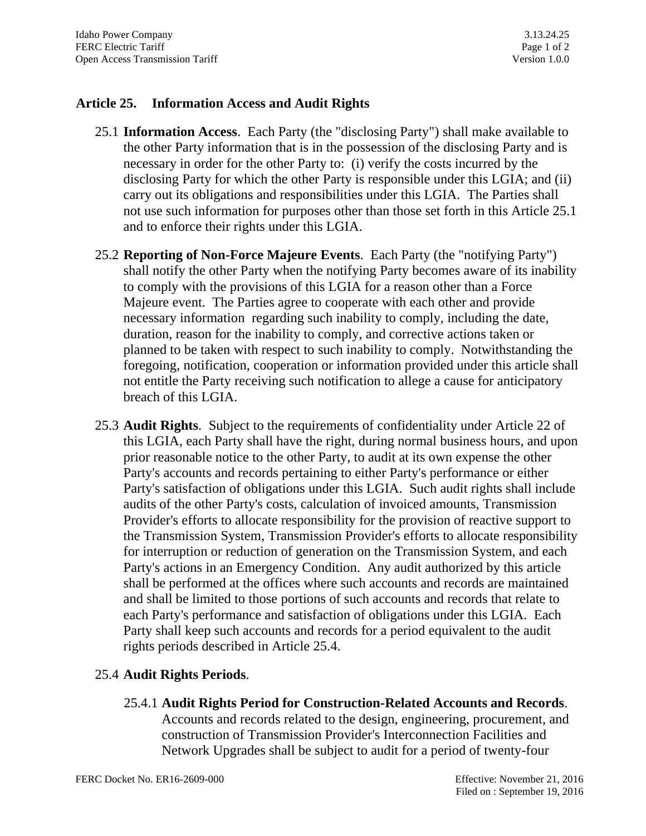### **Article 25. Information Access and Audit Rights**

- 25.1 **Information Access**. Each Party (the "disclosing Party") shall make available to the other Party information that is in the possession of the disclosing Party and is necessary in order for the other Party to: (i) verify the costs incurred by the disclosing Party for which the other Party is responsible under this LGIA; and (ii) carry out its obligations and responsibilities under this LGIA. The Parties shall not use such information for purposes other than those set forth in this Article 25.1 and to enforce their rights under this LGIA.
- 25.2 **Reporting of Non-Force Majeure Events**. Each Party (the "notifying Party") shall notify the other Party when the notifying Party becomes aware of its inability to comply with the provisions of this LGIA for a reason other than a Force Majeure event. The Parties agree to cooperate with each other and provide necessary information regarding such inability to comply, including the date, duration, reason for the inability to comply, and corrective actions taken or planned to be taken with respect to such inability to comply. Notwithstanding the foregoing, notification, cooperation or information provided under this article shall not entitle the Party receiving such notification to allege a cause for anticipatory breach of this LGIA.
- 25.3 **Audit Rights**. Subject to the requirements of confidentiality under Article 22 of this LGIA, each Party shall have the right, during normal business hours, and upon prior reasonable notice to the other Party, to audit at its own expense the other Party's accounts and records pertaining to either Party's performance or either Party's satisfaction of obligations under this LGIA. Such audit rights shall include audits of the other Party's costs, calculation of invoiced amounts, Transmission Provider's efforts to allocate responsibility for the provision of reactive support to the Transmission System, Transmission Provider's efforts to allocate responsibility for interruption or reduction of generation on the Transmission System, and each Party's actions in an Emergency Condition. Any audit authorized by this article shall be performed at the offices where such accounts and records are maintained and shall be limited to those portions of such accounts and records that relate to each Party's performance and satisfaction of obligations under this LGIA. Each Party shall keep such accounts and records for a period equivalent to the audit rights periods described in Article 25.4.

## 25.4 **Audit Rights Periods**.

25.4.1 **Audit Rights Period for Construction-Related Accounts and Records**. Accounts and records related to the design, engineering, procurement, and construction of Transmission Provider's Interconnection Facilities and Network Upgrades shall be subject to audit for a period of twenty-four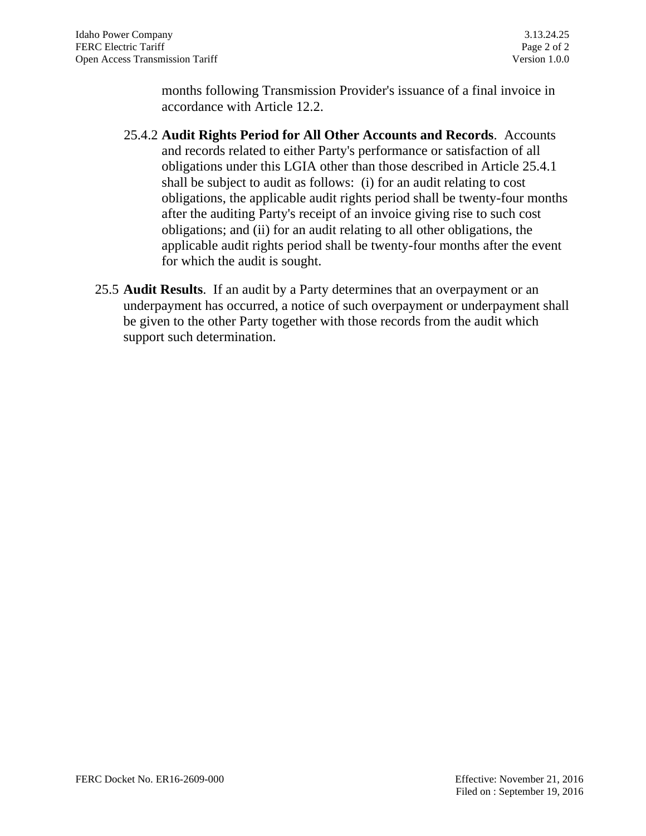months following Transmission Provider's issuance of a final invoice in accordance with Article 12.2.

- 25.4.2 **Audit Rights Period for All Other Accounts and Records**. Accounts and records related to either Party's performance or satisfaction of all obligations under this LGIA other than those described in Article 25.4.1 shall be subject to audit as follows: (i) for an audit relating to cost obligations, the applicable audit rights period shall be twenty-four months after the auditing Party's receipt of an invoice giving rise to such cost obligations; and (ii) for an audit relating to all other obligations, the applicable audit rights period shall be twenty-four months after the event for which the audit is sought.
- 25.5 **Audit Results**. If an audit by a Party determines that an overpayment or an underpayment has occurred, a notice of such overpayment or underpayment shall be given to the other Party together with those records from the audit which support such determination.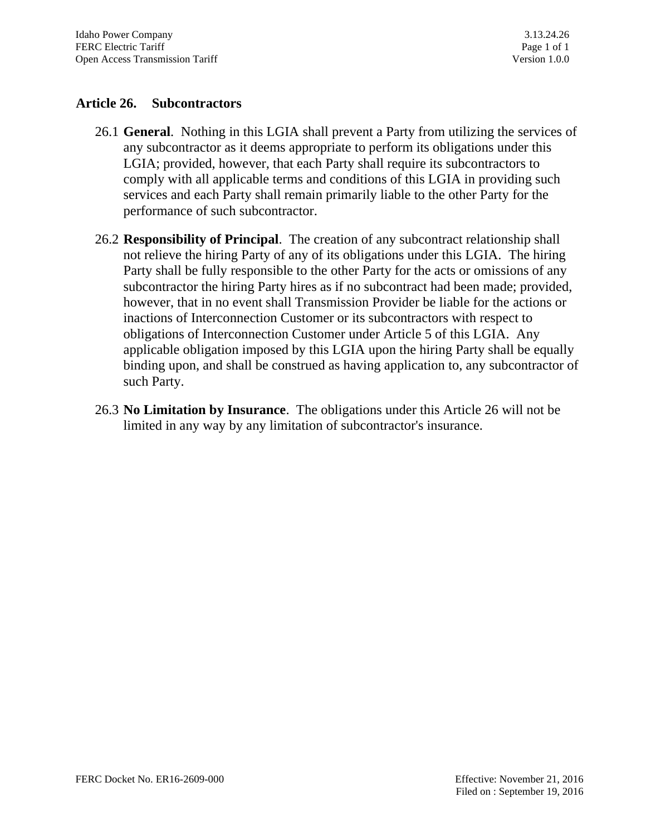### **Article 26. Subcontractors**

- 26.1 **General**. Nothing in this LGIA shall prevent a Party from utilizing the services of any subcontractor as it deems appropriate to perform its obligations under this LGIA; provided, however, that each Party shall require its subcontractors to comply with all applicable terms and conditions of this LGIA in providing such services and each Party shall remain primarily liable to the other Party for the performance of such subcontractor.
- 26.2 **Responsibility of Principal**. The creation of any subcontract relationship shall not relieve the hiring Party of any of its obligations under this LGIA. The hiring Party shall be fully responsible to the other Party for the acts or omissions of any subcontractor the hiring Party hires as if no subcontract had been made; provided, however, that in no event shall Transmission Provider be liable for the actions or inactions of Interconnection Customer or its subcontractors with respect to obligations of Interconnection Customer under Article 5 of this LGIA. Any applicable obligation imposed by this LGIA upon the hiring Party shall be equally binding upon, and shall be construed as having application to, any subcontractor of such Party.
- 26.3 **No Limitation by Insurance**. The obligations under this Article 26 will not be limited in any way by any limitation of subcontractor's insurance.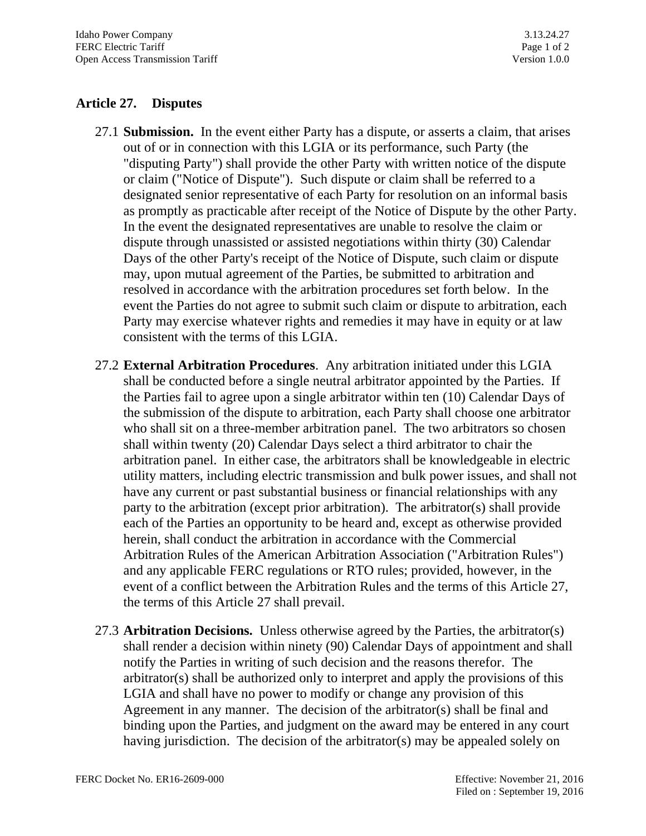# **Article 27. Disputes**

- 27.1 **Submission.** In the event either Party has a dispute, or asserts a claim, that arises out of or in connection with this LGIA or its performance, such Party (the "disputing Party") shall provide the other Party with written notice of the dispute or claim ("Notice of Dispute"). Such dispute or claim shall be referred to a designated senior representative of each Party for resolution on an informal basis as promptly as practicable after receipt of the Notice of Dispute by the other Party. In the event the designated representatives are unable to resolve the claim or dispute through unassisted or assisted negotiations within thirty (30) Calendar Days of the other Party's receipt of the Notice of Dispute, such claim or dispute may, upon mutual agreement of the Parties, be submitted to arbitration and resolved in accordance with the arbitration procedures set forth below. In the event the Parties do not agree to submit such claim or dispute to arbitration, each Party may exercise whatever rights and remedies it may have in equity or at law consistent with the terms of this LGIA.
- 27.2 **External Arbitration Procedures**. Any arbitration initiated under this LGIA shall be conducted before a single neutral arbitrator appointed by the Parties. If the Parties fail to agree upon a single arbitrator within ten (10) Calendar Days of the submission of the dispute to arbitration, each Party shall choose one arbitrator who shall sit on a three-member arbitration panel. The two arbitrators so chosen shall within twenty (20) Calendar Days select a third arbitrator to chair the arbitration panel. In either case, the arbitrators shall be knowledgeable in electric utility matters, including electric transmission and bulk power issues, and shall not have any current or past substantial business or financial relationships with any party to the arbitration (except prior arbitration). The arbitrator(s) shall provide each of the Parties an opportunity to be heard and, except as otherwise provided herein, shall conduct the arbitration in accordance with the Commercial Arbitration Rules of the American Arbitration Association ("Arbitration Rules") and any applicable FERC regulations or RTO rules; provided, however, in the event of a conflict between the Arbitration Rules and the terms of this Article 27, the terms of this Article 27 shall prevail.
- 27.3 **Arbitration Decisions.** Unless otherwise agreed by the Parties, the arbitrator(s) shall render a decision within ninety (90) Calendar Days of appointment and shall notify the Parties in writing of such decision and the reasons therefor. The arbitrator(s) shall be authorized only to interpret and apply the provisions of this LGIA and shall have no power to modify or change any provision of this Agreement in any manner. The decision of the arbitrator(s) shall be final and binding upon the Parties, and judgment on the award may be entered in any court having jurisdiction. The decision of the arbitrator(s) may be appealed solely on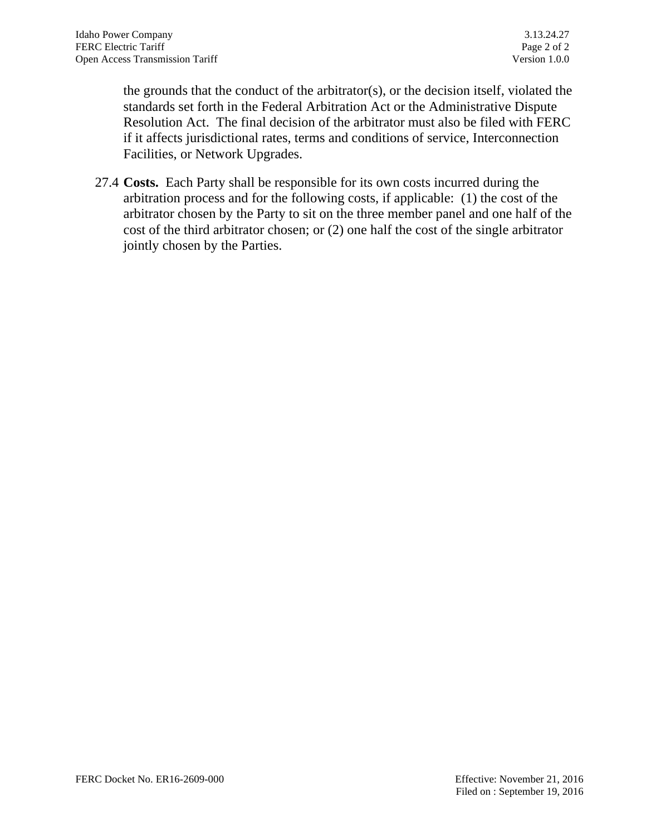the grounds that the conduct of the arbitrator(s), or the decision itself, violated the standards set forth in the Federal Arbitration Act or the Administrative Dispute Resolution Act. The final decision of the arbitrator must also be filed with FERC if it affects jurisdictional rates, terms and conditions of service, Interconnection Facilities, or Network Upgrades.

27.4 **Costs.** Each Party shall be responsible for its own costs incurred during the arbitration process and for the following costs, if applicable: (1) the cost of the arbitrator chosen by the Party to sit on the three member panel and one half of the cost of the third arbitrator chosen; or (2) one half the cost of the single arbitrator jointly chosen by the Parties.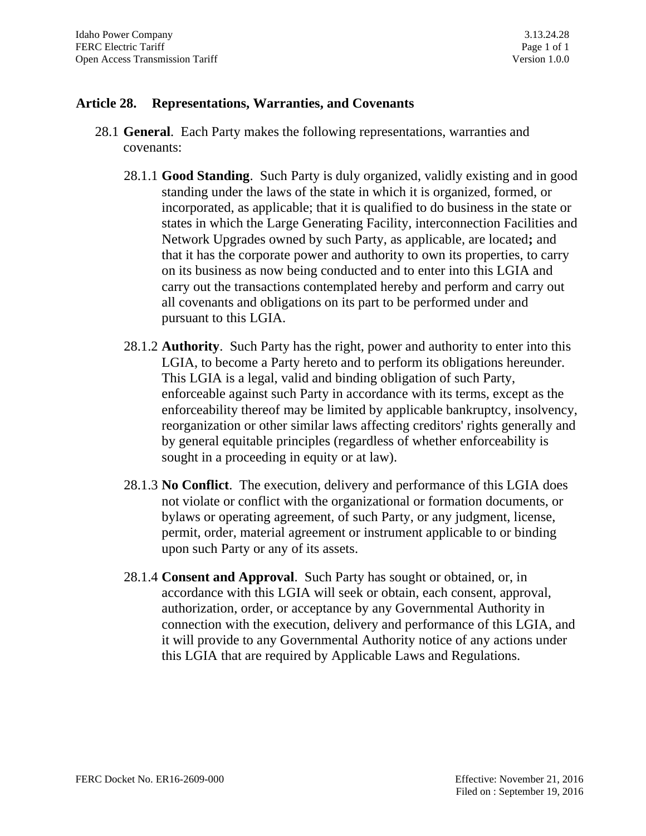### **Article 28. Representations, Warranties, and Covenants**

- 28.1 **General**. Each Party makes the following representations, warranties and covenants:
	- 28.1.1 **Good Standing**. Such Party is duly organized, validly existing and in good standing under the laws of the state in which it is organized, formed, or incorporated, as applicable; that it is qualified to do business in the state or states in which the Large Generating Facility, interconnection Facilities and Network Upgrades owned by such Party, as applicable, are located**;** and that it has the corporate power and authority to own its properties, to carry on its business as now being conducted and to enter into this LGIA and carry out the transactions contemplated hereby and perform and carry out all covenants and obligations on its part to be performed under and pursuant to this LGIA.
	- 28.1.2 **Authority**. Such Party has the right, power and authority to enter into this LGIA, to become a Party hereto and to perform its obligations hereunder. This LGIA is a legal, valid and binding obligation of such Party, enforceable against such Party in accordance with its terms, except as the enforceability thereof may be limited by applicable bankruptcy, insolvency, reorganization or other similar laws affecting creditors' rights generally and by general equitable principles (regardless of whether enforceability is sought in a proceeding in equity or at law).
	- 28.1.3 **No Conflict**. The execution, delivery and performance of this LGIA does not violate or conflict with the organizational or formation documents, or bylaws or operating agreement, of such Party, or any judgment, license, permit, order, material agreement or instrument applicable to or binding upon such Party or any of its assets.
	- 28.1.4 **Consent and Approval**. Such Party has sought or obtained, or, in accordance with this LGIA will seek or obtain, each consent, approval, authorization, order, or acceptance by any Governmental Authority in connection with the execution, delivery and performance of this LGIA, and it will provide to any Governmental Authority notice of any actions under this LGIA that are required by Applicable Laws and Regulations.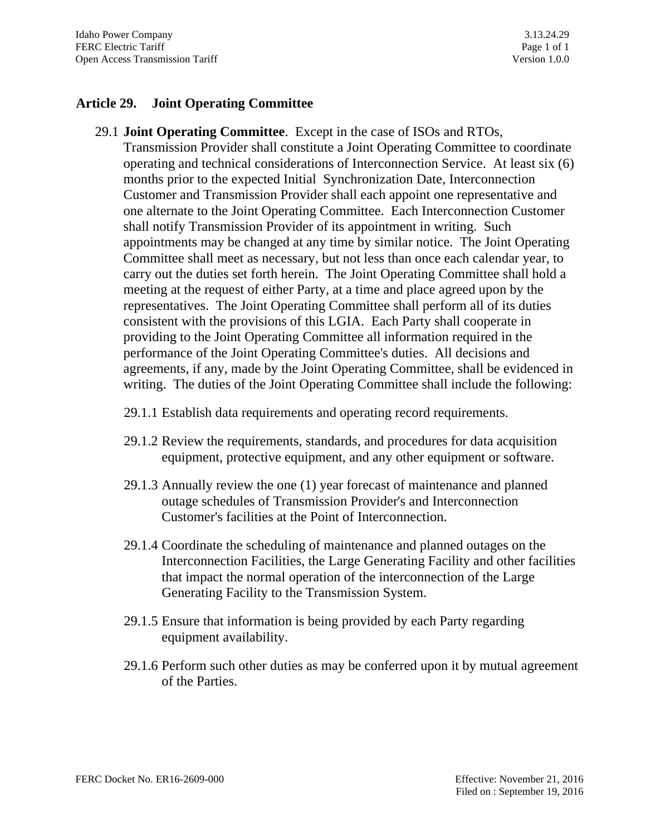### **Article 29. Joint Operating Committee**

29.1 **Joint Operating Committee**. Except in the case of ISOs and RTOs,

Transmission Provider shall constitute a Joint Operating Committee to coordinate operating and technical considerations of Interconnection Service. At least six (6) months prior to the expected Initial Synchronization Date, Interconnection Customer and Transmission Provider shall each appoint one representative and one alternate to the Joint Operating Committee. Each Interconnection Customer shall notify Transmission Provider of its appointment in writing. Such appointments may be changed at any time by similar notice. The Joint Operating Committee shall meet as necessary, but not less than once each calendar year, to carry out the duties set forth herein. The Joint Operating Committee shall hold a meeting at the request of either Party, at a time and place agreed upon by the representatives. The Joint Operating Committee shall perform all of its duties consistent with the provisions of this LGIA. Each Party shall cooperate in providing to the Joint Operating Committee all information required in the performance of the Joint Operating Committee's duties. All decisions and agreements, if any, made by the Joint Operating Committee, shall be evidenced in writing. The duties of the Joint Operating Committee shall include the following:

- 29.1.1 Establish data requirements and operating record requirements.
- 29.1.2 Review the requirements, standards, and procedures for data acquisition equipment, protective equipment, and any other equipment or software.
- 29.1.3 Annually review the one (1) year forecast of maintenance and planned outage schedules of Transmission Provider's and Interconnection Customer's facilities at the Point of Interconnection.
- 29.1.4 Coordinate the scheduling of maintenance and planned outages on the Interconnection Facilities, the Large Generating Facility and other facilities that impact the normal operation of the interconnection of the Large Generating Facility to the Transmission System.
- 29.1.5 Ensure that information is being provided by each Party regarding equipment availability.
- 29.1.6 Perform such other duties as may be conferred upon it by mutual agreement of the Parties.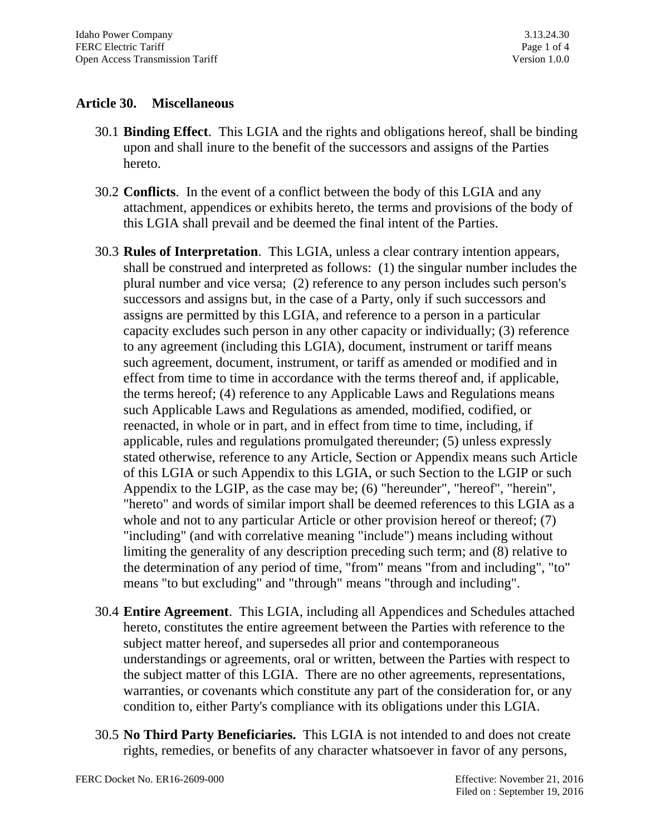## **Article 30. Miscellaneous**

- 30.1 **Binding Effect**. This LGIA and the rights and obligations hereof, shall be binding upon and shall inure to the benefit of the successors and assigns of the Parties hereto.
- 30.2 **Conflicts**. In the event of a conflict between the body of this LGIA and any attachment, appendices or exhibits hereto, the terms and provisions of the body of this LGIA shall prevail and be deemed the final intent of the Parties.
- 30.3 **Rules of Interpretation**. This LGIA, unless a clear contrary intention appears, shall be construed and interpreted as follows: (1) the singular number includes the plural number and vice versa; (2) reference to any person includes such person's successors and assigns but, in the case of a Party, only if such successors and assigns are permitted by this LGIA, and reference to a person in a particular capacity excludes such person in any other capacity or individually; (3) reference to any agreement (including this LGIA), document, instrument or tariff means such agreement, document, instrument, or tariff as amended or modified and in effect from time to time in accordance with the terms thereof and, if applicable, the terms hereof; (4) reference to any Applicable Laws and Regulations means such Applicable Laws and Regulations as amended, modified, codified, or reenacted, in whole or in part, and in effect from time to time, including, if applicable, rules and regulations promulgated thereunder; (5) unless expressly stated otherwise, reference to any Article, Section or Appendix means such Article of this LGIA or such Appendix to this LGIA, or such Section to the LGIP or such Appendix to the LGIP, as the case may be; (6) "hereunder", "hereof", "herein", "hereto" and words of similar import shall be deemed references to this LGIA as a whole and not to any particular Article or other provision hereof or thereof; (7) "including" (and with correlative meaning "include") means including without limiting the generality of any description preceding such term; and (8) relative to the determination of any period of time, "from" means "from and including", "to" means "to but excluding" and "through" means "through and including".
- 30.4 **Entire Agreement**. This LGIA, including all Appendices and Schedules attached hereto, constitutes the entire agreement between the Parties with reference to the subject matter hereof, and supersedes all prior and contemporaneous understandings or agreements, oral or written, between the Parties with respect to the subject matter of this LGIA. There are no other agreements, representations, warranties, or covenants which constitute any part of the consideration for, or any condition to, either Party's compliance with its obligations under this LGIA.
- 30.5 **No Third Party Beneficiaries.** This LGIA is not intended to and does not create rights, remedies, or benefits of any character whatsoever in favor of any persons,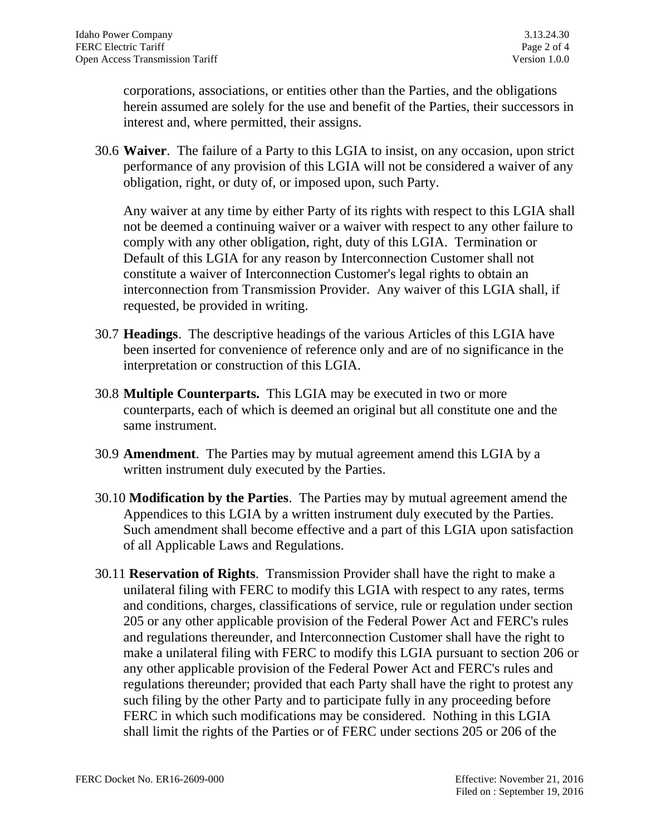corporations, associations, or entities other than the Parties, and the obligations herein assumed are solely for the use and benefit of the Parties, their successors in interest and, where permitted, their assigns.

30.6 **Waiver**. The failure of a Party to this LGIA to insist, on any occasion, upon strict performance of any provision of this LGIA will not be considered a waiver of any obligation, right, or duty of, or imposed upon, such Party.

Any waiver at any time by either Party of its rights with respect to this LGIA shall not be deemed a continuing waiver or a waiver with respect to any other failure to comply with any other obligation, right, duty of this LGIA. Termination or Default of this LGIA for any reason by Interconnection Customer shall not constitute a waiver of Interconnection Customer's legal rights to obtain an interconnection from Transmission Provider. Any waiver of this LGIA shall, if requested, be provided in writing.

- 30.7 **Headings**. The descriptive headings of the various Articles of this LGIA have been inserted for convenience of reference only and are of no significance in the interpretation or construction of this LGIA.
- 30.8 **Multiple Counterparts.** This LGIA may be executed in two or more counterparts, each of which is deemed an original but all constitute one and the same instrument.
- 30.9 **Amendment**. The Parties may by mutual agreement amend this LGIA by a written instrument duly executed by the Parties.
- 30.10 **Modification by the Parties**. The Parties may by mutual agreement amend the Appendices to this LGIA by a written instrument duly executed by the Parties. Such amendment shall become effective and a part of this LGIA upon satisfaction of all Applicable Laws and Regulations.
- 30.11 **Reservation of Rights**. Transmission Provider shall have the right to make a unilateral filing with FERC to modify this LGIA with respect to any rates, terms and conditions, charges, classifications of service, rule or regulation under section 205 or any other applicable provision of the Federal Power Act and FERC's rules and regulations thereunder, and Interconnection Customer shall have the right to make a unilateral filing with FERC to modify this LGIA pursuant to section 206 or any other applicable provision of the Federal Power Act and FERC's rules and regulations thereunder; provided that each Party shall have the right to protest any such filing by the other Party and to participate fully in any proceeding before FERC in which such modifications may be considered. Nothing in this LGIA shall limit the rights of the Parties or of FERC under sections 205 or 206 of the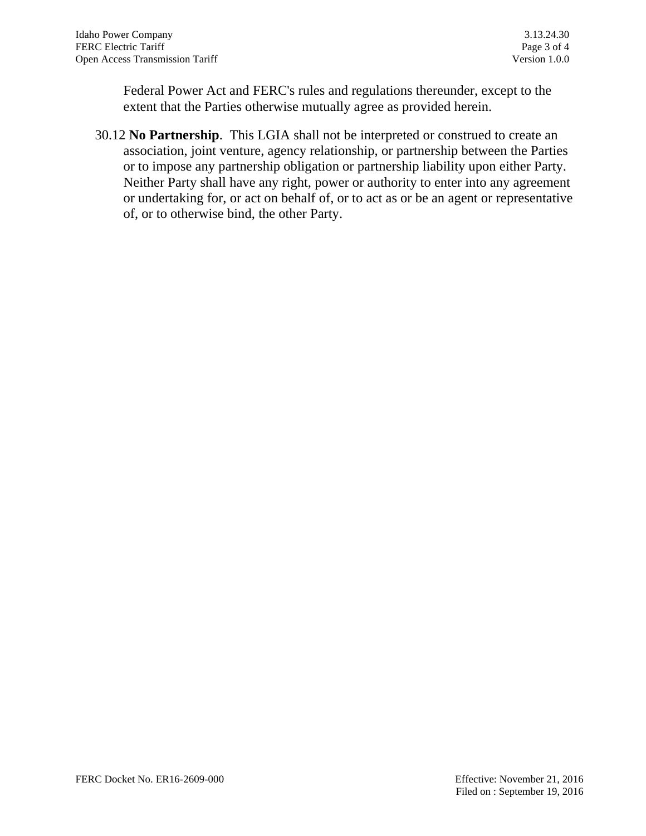Federal Power Act and FERC's rules and regulations thereunder, except to the extent that the Parties otherwise mutually agree as provided herein.

30.12 **No Partnership**. This LGIA shall not be interpreted or construed to create an association, joint venture, agency relationship, or partnership between the Parties or to impose any partnership obligation or partnership liability upon either Party. Neither Party shall have any right, power or authority to enter into any agreement or undertaking for, or act on behalf of, or to act as or be an agent or representative of, or to otherwise bind, the other Party.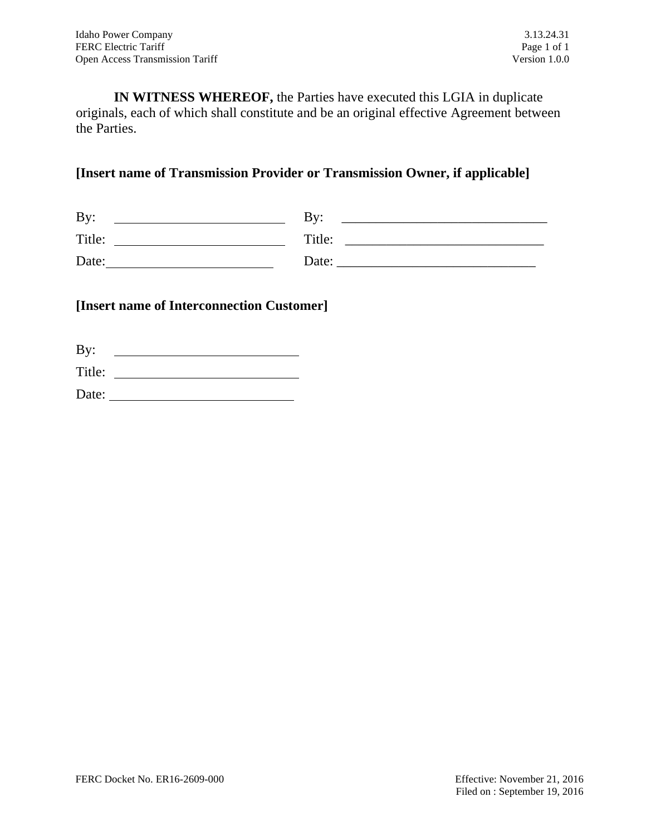**IN WITNESS WHEREOF,** the Parties have executed this LGIA in duplicate originals, each of which shall constitute and be an original effective Agreement between the Parties.

## **[Insert name of Transmission Provider or Transmission Owner, if applicable]**

| By:    | Bv:    |
|--------|--------|
| Title: | Title: |
| Date:  | Date:  |

### **[Insert name of Interconnection Customer]**

| By:    |  |
|--------|--|
| Title: |  |
| Date:  |  |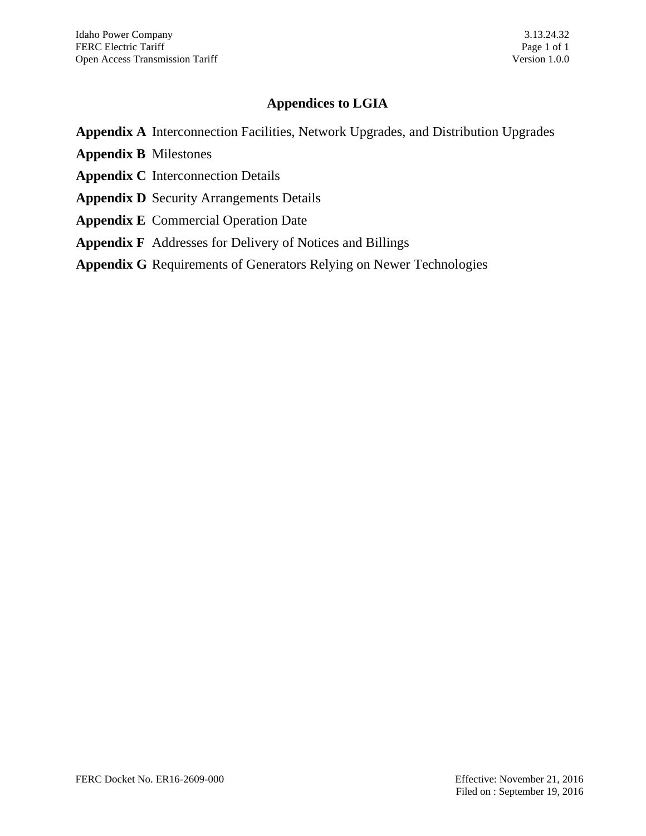# **Appendices to LGIA**

**Appendix A** Interconnection Facilities, Network Upgrades, and Distribution Upgrades

- **Appendix B** Milestones
- **Appendix C** Interconnection Details
- **Appendix D** Security Arrangements Details
- **Appendix E** Commercial Operation Date
- **Appendix F** Addresses for Delivery of Notices and Billings
- **Appendix G** Requirements of Generators Relying on Newer Technologies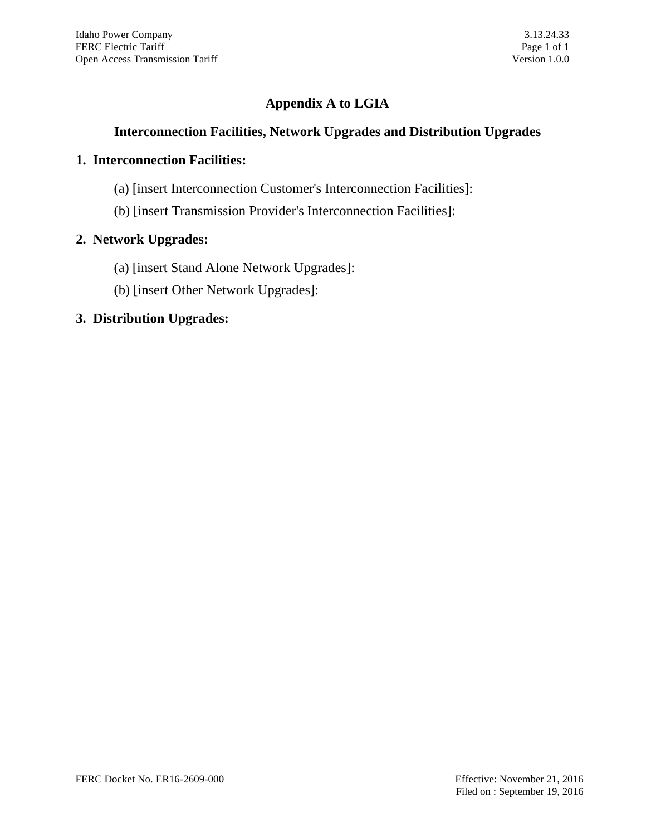# **Appendix A to LGIA**

## **Interconnection Facilities, Network Upgrades and Distribution Upgrades**

### **1. Interconnection Facilities:**

- (a) [insert Interconnection Customer's Interconnection Facilities]:
- (b) [insert Transmission Provider's Interconnection Facilities]:

## **2. Network Upgrades:**

- (a) [insert Stand Alone Network Upgrades]:
- (b) [insert Other Network Upgrades]:

## **3. Distribution Upgrades:**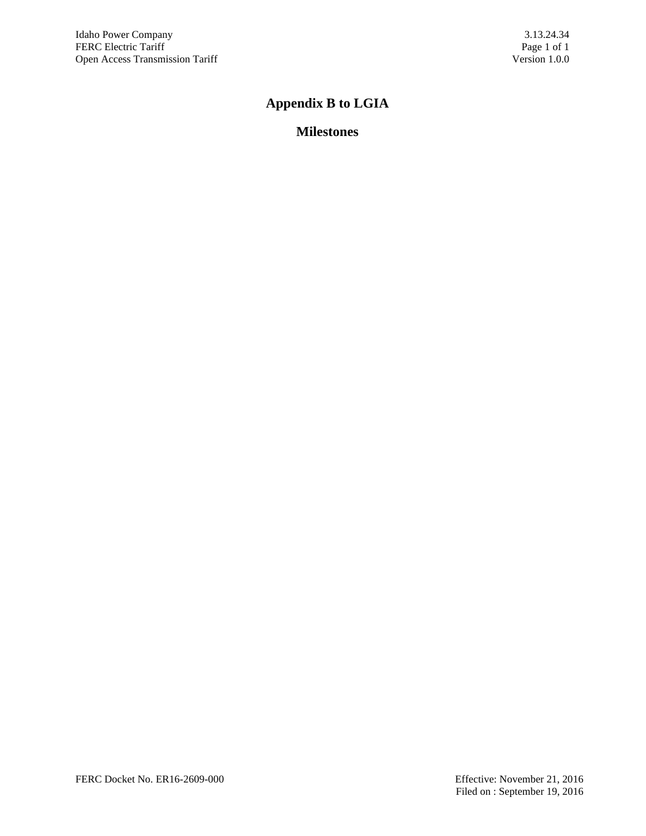# **Appendix B to LGIA**

# **Milestones**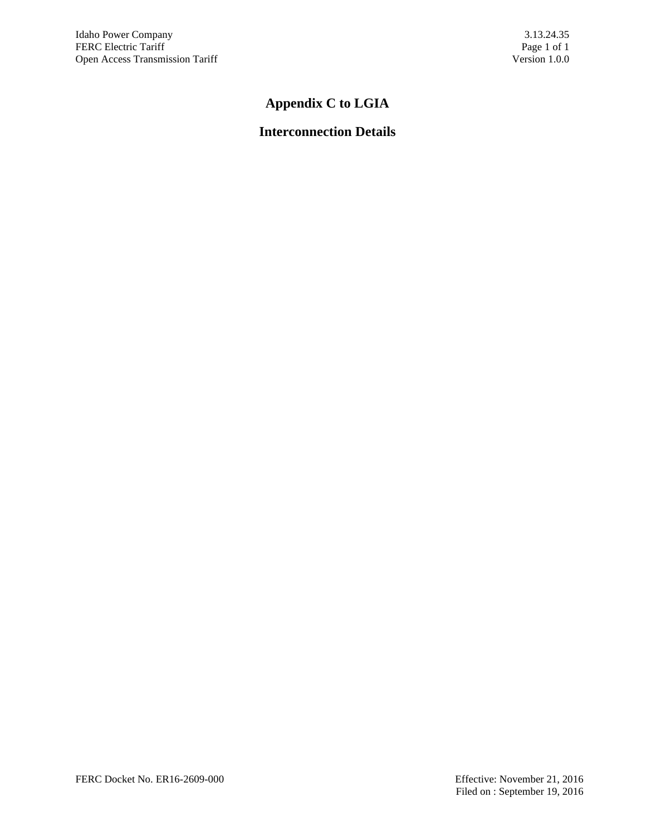# **Appendix C to LGIA**

# **Interconnection Details**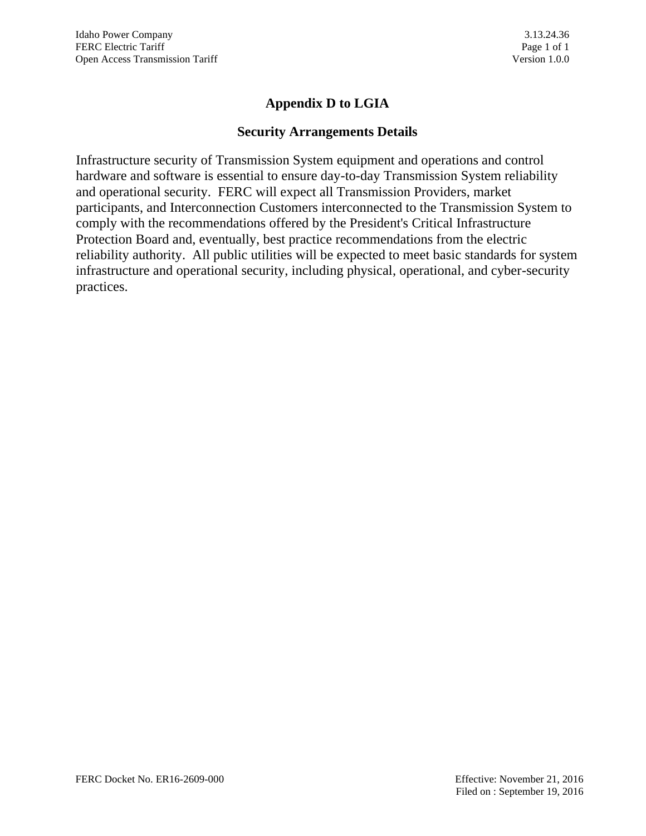## **Appendix D to LGIA**

#### **Security Arrangements Details**

Infrastructure security of Transmission System equipment and operations and control hardware and software is essential to ensure day-to-day Transmission System reliability and operational security. FERC will expect all Transmission Providers, market participants, and Interconnection Customers interconnected to the Transmission System to comply with the recommendations offered by the President's Critical Infrastructure Protection Board and, eventually, best practice recommendations from the electric reliability authority. All public utilities will be expected to meet basic standards for system infrastructure and operational security, including physical, operational, and cyber-security practices.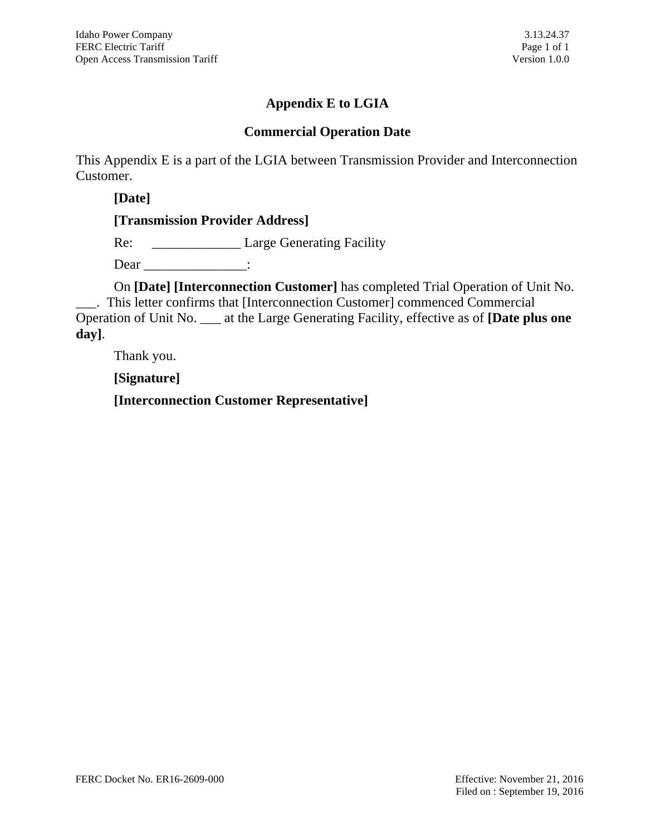# **Appendix E to LGIA**

## **Commercial Operation Date**

This Appendix E is a part of the LGIA between Transmission Provider and Interconnection Customer.

**[Date]**

**[Transmission Provider Address]**

Re: \_\_\_\_\_\_\_\_\_\_\_\_\_ Large Generating Facility

Dear :

On **[Date] [Interconnection Customer]** has completed Trial Operation of Unit No. \_\_\_. This letter confirms that [Interconnection Customer] commenced Commercial Operation of Unit No. \_\_\_ at the Large Generating Facility, effective as of **[Date plus one day]**.

Thank you.

**[Signature]**

**[Interconnection Customer Representative]**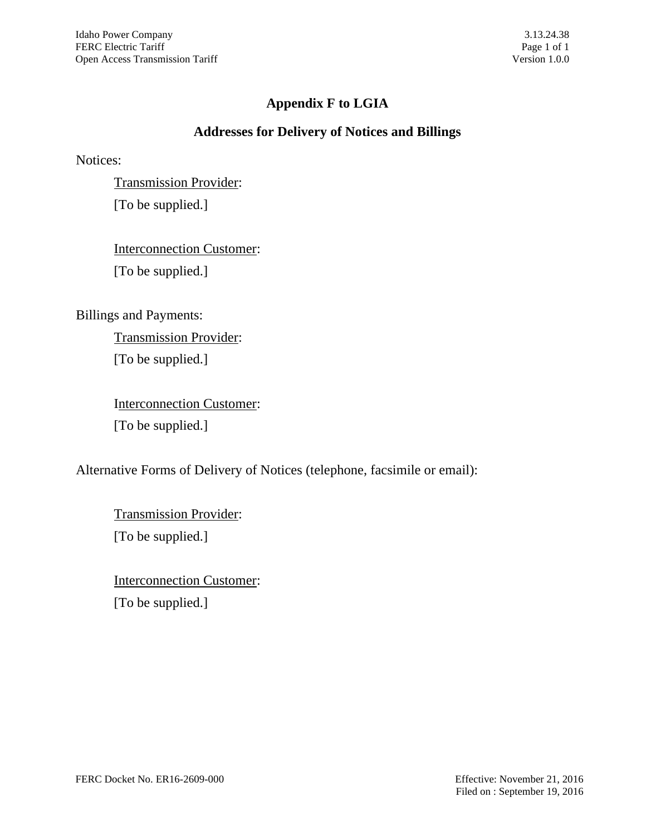# **Appendix F to LGIA**

## **Addresses for Delivery of Notices and Billings**

Notices:

Transmission Provider: [To be supplied.]

Interconnection Customer: [To be supplied.]

Billings and Payments:

Transmission Provider: [To be supplied.]

Interconnection Customer: [To be supplied.]

Alternative Forms of Delivery of Notices (telephone, facsimile or email):

Transmission Provider: [To be supplied.]

Interconnection Customer: [To be supplied.]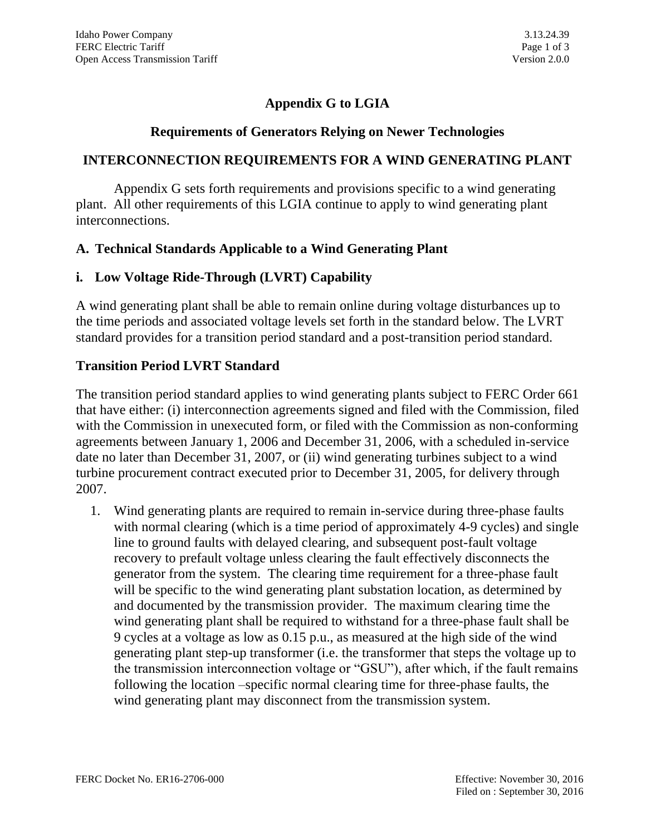# **Appendix G to LGIA**

### **Requirements of Generators Relying on Newer Technologies**

### **INTERCONNECTION REQUIREMENTS FOR A WIND GENERATING PLANT**

Appendix G sets forth requirements and provisions specific to a wind generating plant. All other requirements of this LGIA continue to apply to wind generating plant interconnections.

## **A. Technical Standards Applicable to a Wind Generating Plant**

## **i. Low Voltage Ride-Through (LVRT) Capability**

A wind generating plant shall be able to remain online during voltage disturbances up to the time periods and associated voltage levels set forth in the standard below. The LVRT standard provides for a transition period standard and a post-transition period standard.

### **Transition Period LVRT Standard**

The transition period standard applies to wind generating plants subject to FERC Order 661 that have either: (i) interconnection agreements signed and filed with the Commission, filed with the Commission in unexecuted form, or filed with the Commission as non-conforming agreements between January 1, 2006 and December 31, 2006, with a scheduled in-service date no later than December 31, 2007, or (ii) wind generating turbines subject to a wind turbine procurement contract executed prior to December 31, 2005, for delivery through 2007.

1. Wind generating plants are required to remain in-service during three-phase faults with normal clearing (which is a time period of approximately 4-9 cycles) and single line to ground faults with delayed clearing, and subsequent post-fault voltage recovery to prefault voltage unless clearing the fault effectively disconnects the generator from the system. The clearing time requirement for a three-phase fault will be specific to the wind generating plant substation location, as determined by and documented by the transmission provider. The maximum clearing time the wind generating plant shall be required to withstand for a three-phase fault shall be 9 cycles at a voltage as low as 0.15 p.u., as measured at the high side of the wind generating plant step-up transformer (i.e. the transformer that steps the voltage up to the transmission interconnection voltage or "GSU"), after which, if the fault remains following the location –specific normal clearing time for three-phase faults, the wind generating plant may disconnect from the transmission system.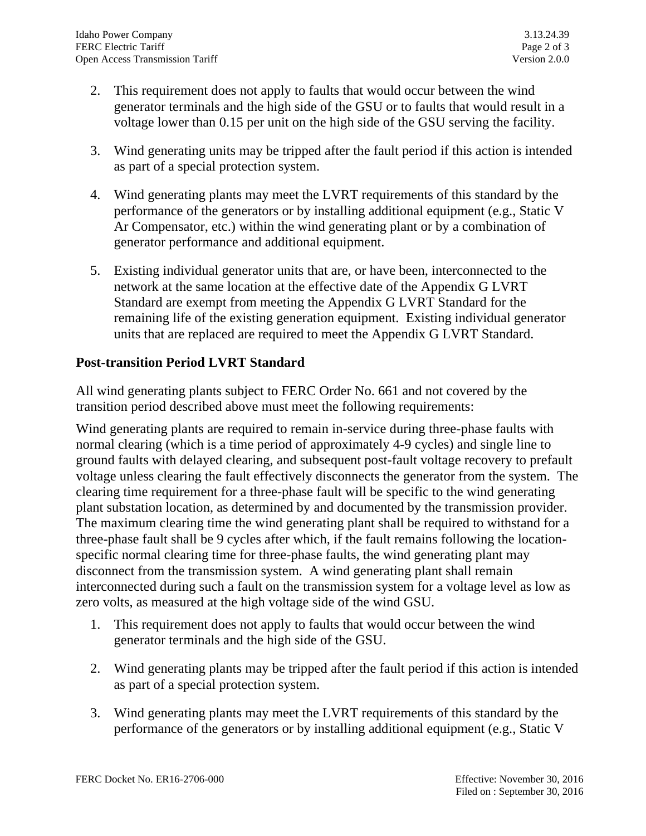- 2. This requirement does not apply to faults that would occur between the wind generator terminals and the high side of the GSU or to faults that would result in a voltage lower than 0.15 per unit on the high side of the GSU serving the facility.
- 3. Wind generating units may be tripped after the fault period if this action is intended as part of a special protection system.
- 4. Wind generating plants may meet the LVRT requirements of this standard by the performance of the generators or by installing additional equipment (e.g., Static V Ar Compensator, etc.) within the wind generating plant or by a combination of generator performance and additional equipment.
- 5. Existing individual generator units that are, or have been, interconnected to the network at the same location at the effective date of the Appendix G LVRT Standard are exempt from meeting the Appendix G LVRT Standard for the remaining life of the existing generation equipment. Existing individual generator units that are replaced are required to meet the Appendix G LVRT Standard.

## **Post-transition Period LVRT Standard**

All wind generating plants subject to FERC Order No. 661 and not covered by the transition period described above must meet the following requirements:

Wind generating plants are required to remain in-service during three-phase faults with normal clearing (which is a time period of approximately 4-9 cycles) and single line to ground faults with delayed clearing, and subsequent post-fault voltage recovery to prefault voltage unless clearing the fault effectively disconnects the generator from the system. The clearing time requirement for a three-phase fault will be specific to the wind generating plant substation location, as determined by and documented by the transmission provider. The maximum clearing time the wind generating plant shall be required to withstand for a three-phase fault shall be 9 cycles after which, if the fault remains following the locationspecific normal clearing time for three-phase faults, the wind generating plant may disconnect from the transmission system. A wind generating plant shall remain interconnected during such a fault on the transmission system for a voltage level as low as zero volts, as measured at the high voltage side of the wind GSU.

- 1. This requirement does not apply to faults that would occur between the wind generator terminals and the high side of the GSU.
- 2. Wind generating plants may be tripped after the fault period if this action is intended as part of a special protection system.
- 3. Wind generating plants may meet the LVRT requirements of this standard by the performance of the generators or by installing additional equipment (e.g., Static V